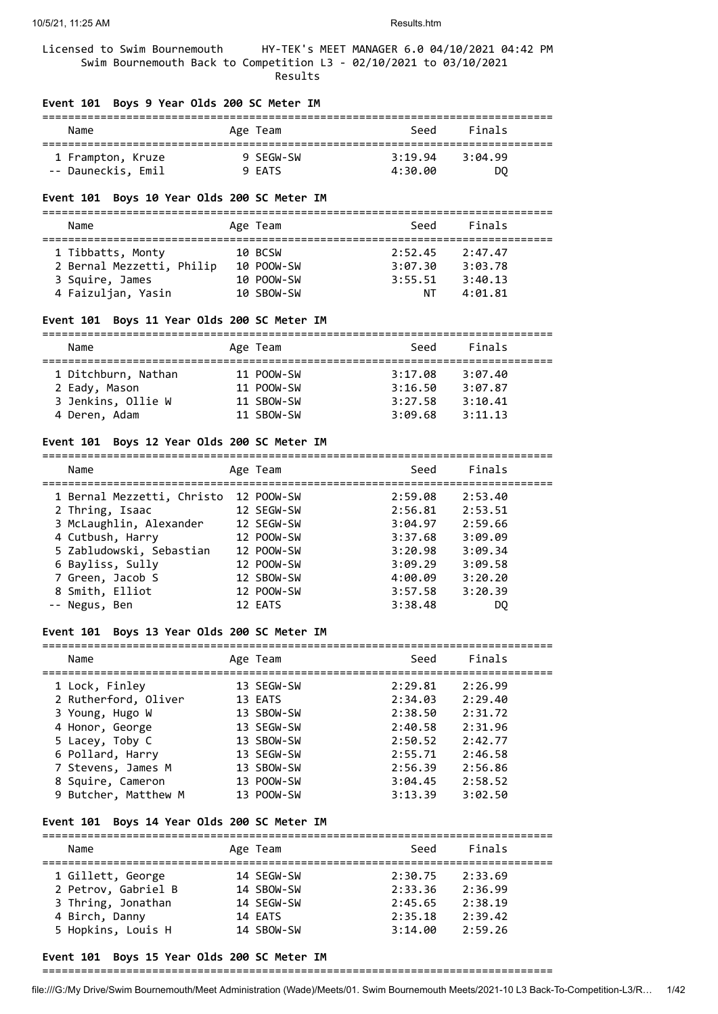Licensed to Swim Bournemouth HY-TEK's MEET MANAGER 6.0 04/10/2021 04:42 PM Swim Bournemouth Back to Competition L3 - 02/10/2021 to 03/10/2021 Results

#### **Event 101 Boys 9 Year Olds 200 SC Meter IM**

| Name               | Age Team  | Seed    | Finals  |  |
|--------------------|-----------|---------|---------|--|
| 1 Frampton, Kruze  | 9 SFGW-SW | 3:19.94 | 3:04.99 |  |
| -- Dauneckis, Emil | 9 EATS    | 4:30.00 | DQ      |  |

#### **Event 101 Boys 10 Year Olds 200 SC Meter IM**

#### =============================================================================== Seed Finals

| name                      | Age ream   | <b>SEEU</b> | <b>LTHQT2</b> |
|---------------------------|------------|-------------|---------------|
| 1 Tibbatts, Monty         | 10 BCSW    | 2:52.45     | 2:47.47       |
| 2 Bernal Mezzetti, Philip | 10 POOW-SW | 3:07.30     | 3:03.78       |
| 3 Squire, James           | 10 POOW-SW | 3:55.51     | 3:40.13       |
| 4 Faizuljan, Yasin        | 10 SBOW-SW | NΤ          | 4:01.81       |

#### **Event 101 Boys 11 Year Olds 200 SC Meter IM**

| Name                | Age Team   | Seed    | Finals  |  |  |  |
|---------------------|------------|---------|---------|--|--|--|
|                     |            |         |         |  |  |  |
| 1 Ditchburn, Nathan | 11 POOW-SW | 3:17.08 | 3:07.40 |  |  |  |
| 2 Eady, Mason       | 11 POOW-SW | 3:16.50 | 3:07.87 |  |  |  |
| 3 Jenkins, Ollie W  | 11 SBOW-SW | 3:27.58 | 3:10.41 |  |  |  |
| 4 Deren, Adam       | 11 SBOW-SW | 3:09.68 | 3:11.13 |  |  |  |

#### **Event 101 Boys 12 Year Olds 200 SC Meter IM**

| Name                                  | Age Team   | Seed    | Finals  |
|---------------------------------------|------------|---------|---------|
| 1 Bernal Mezzetti, Christo 12 POOW-SW |            | 2:59.08 | 2:53.40 |
| 2 Thring, Isaac                       | 12 SEGW-SW | 2:56.81 | 2:53.51 |
| 3 McLaughlin, Alexander               | 12 SEGW-SW | 3:04.97 | 2:59.66 |
| 4 Cutbush, Harry                      | 12 POOW-SW | 3:37.68 | 3:09.09 |
| 5 Zabludowski, Sebastian              | 12 POOW-SW | 3:20.98 | 3:09.34 |
| 6 Bayliss, Sully                      | 12 POOW-SW | 3:09.29 | 3:09.58 |
| 7 Green, Jacob S                      | 12 SBOW-SW | 4:00.09 | 3:20.20 |
| 8 Smith, Elliot                       | 12 POOW-SW | 3:57.58 | 3:20.39 |
| -- Negus, Ben                         | 12 EATS    | 3:38.48 | DO      |

#### **Event 101 Boys 13 Year Olds 200 SC Meter IM**

| Name                 | Age Team   | Seed    | Finals  |
|----------------------|------------|---------|---------|
| 1 Lock, Finley       | 13 SEGW-SW | 2:29.81 | 2:26.99 |
| 2 Rutherford, Oliver | 13 EATS    | 2:34.03 | 2:29.40 |
| 3 Young, Hugo W      | 13 SBOW-SW | 2:38.50 | 2:31.72 |
| 4 Honor, George      | 13 SEGW-SW | 2:40.58 | 2:31.96 |
| 5 Lacey, Toby C      | 13 SBOW-SW | 2:50.52 | 2:42.77 |
| 6 Pollard, Harry     | 13 SEGW-SW | 2:55.71 | 2:46.58 |
| 7 Stevens, James M   | 13 SBOW-SW | 2:56.39 | 2:56.86 |
| 8 Squire, Cameron    | 13 POOW-SW | 3:04.45 | 2:58.52 |
| 9 Butcher, Matthew M | 13 POOW-SW | 3:13.39 | 3:02.50 |
|                      |            |         |         |

#### **Event 101 Boys 14 Year Olds 200 SC Meter IM**

| Name                | Age Team   | Seed    | Finals  |  |  |  |
|---------------------|------------|---------|---------|--|--|--|
| 1 Gillett, George   | 14 SEGW-SW | 2:30.75 | 2:33.69 |  |  |  |
| 2 Petrov, Gabriel B | 14 SBOW-SW | 2:33.36 | 2:36.99 |  |  |  |
| 3 Thring, Jonathan  | 14 SEGW-SW | 2:45.65 | 2:38.19 |  |  |  |
| 4 Birch, Danny      | 14 EATS    | 2:35.18 | 2:39.42 |  |  |  |
| 5 Hopkins, Louis H  | 14 SBOW-SW | 3:14.00 | 2:59.26 |  |  |  |

## **Event 101 Boys 15 Year Olds 200 SC Meter IM**

===============================================================================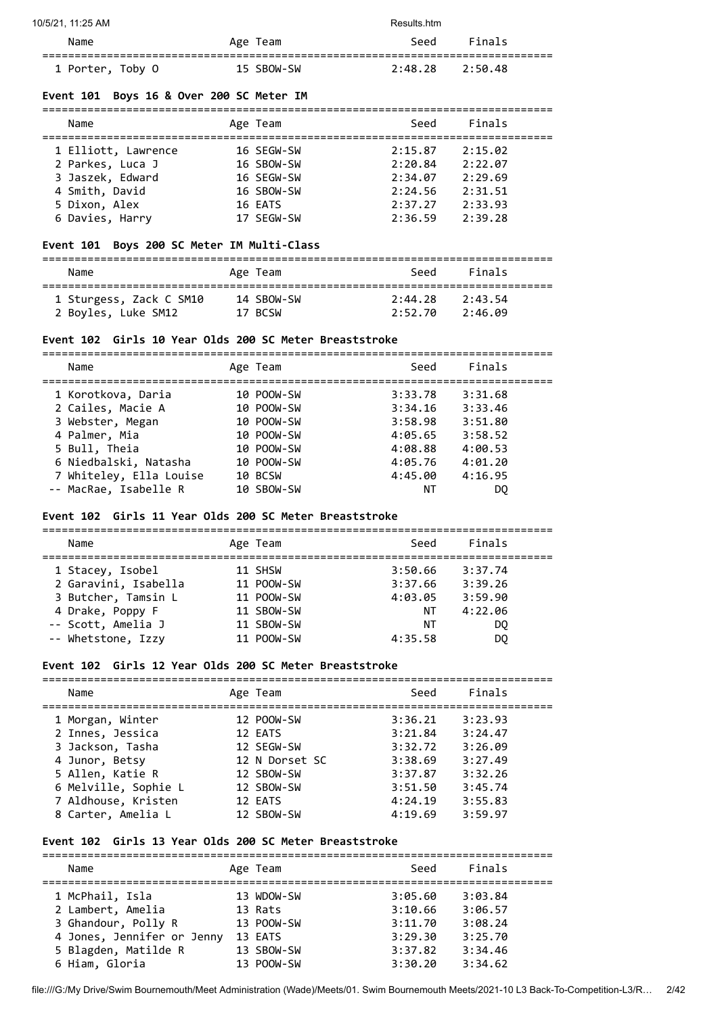| 10/5/21, 11:25 AM |            | Results.htm |         |
|-------------------|------------|-------------|---------|
| Name              | Age Team   | Seed        | Finals  |
| 1 Porter, Toby O  | 15 SBOW-SW | 2:48.28     | 2:50.48 |

## **Event 101 Boys 16 & Over 200 SC Meter IM**

| Name                | Age Team   | Seed    | Finals  |  |
|---------------------|------------|---------|---------|--|
| 1 Elliott, Lawrence | 16 SEGW-SW | 2:15.87 | 2:15.02 |  |
| 2 Parkes, Luca J    | 16 SBOW-SW | 2:20.84 | 2:22.07 |  |
| 3 Jaszek, Edward    | 16 SEGW-SW | 2:34.07 | 2:29.69 |  |
| 4 Smith, David      | 16 SBOW-SW | 2:24.56 | 2:31.51 |  |
| 5 Dixon, Alex       | 16 EATS    | 2:37.27 | 2:33.93 |  |
| 6 Davies, Harry     | 17 SEGW-SW | 2:36.59 | 2:39.28 |  |

## **Event 101 Boys 200 SC Meter IM Multi-Class**

| Name                    | Age Team   | Seed    | Finals  |  |
|-------------------------|------------|---------|---------|--|
| 1 Sturgess, Zack C SM10 | 14 SBOW-SW | 2:44.28 | 2:43.54 |  |
| 2 Boyles, Luke SM12     | 17 BCSW    | 2:52.70 | 2:46.09 |  |

## **Event 102 Girls 10 Year Olds 200 SC Meter Breaststroke**

| Name                    | Age Team   | Seed    | Finals  |
|-------------------------|------------|---------|---------|
| 1 Korotkova, Daria      | 10 POOW-SW | 3:33.78 | 3:31.68 |
| 2 Cailes, Macie A       | 10 POOW-SW | 3:34.16 | 3:33.46 |
| 3 Webster, Megan        | 10 POOW-SW | 3:58.98 | 3:51.80 |
| 4 Palmer, Mia           | 10 POOW-SW | 4:05.65 | 3:58.52 |
| 5 Bull, Theia           | 10 POOW-SW | 4:08.88 | 4:00.53 |
| 6 Niedbalski, Natasha   | 10 POOW-SW | 4:05.76 | 4:01.20 |
| 7 Whiteley, Ella Louise | 10 BCSW    | 4:45.00 | 4:16.95 |
| -- MacRae, Isabelle R   | 10 SBOW-SW | ΝT      | DO.     |

## **Event 102 Girls 11 Year Olds 200 SC Meter Breaststroke**

| Name                 | Age Team   | Seed    | Finals  |
|----------------------|------------|---------|---------|
| 1 Stacey, Isobel     | 11 SHSW    | 3:50.66 | 3:37.74 |
| 2 Garavini, Isabella | 11 POOW-SW | 3:37.66 | 3:39.26 |
| 3 Butcher, Tamsin L  | 11 POOW-SW | 4:03.05 | 3:59.90 |
| 4 Drake, Poppy F     | 11 SBOW-SW | ΝT      | 4:22.06 |
| -- Scott, Amelia J   | 11 SBOW-SW | ΝT      | DO      |
| -- Whetstone, Izzy   | 11 POOW-SW | 4:35.58 | DO      |

## **Event 102 Girls 12 Year Olds 200 SC Meter Breaststroke**

| Name                 | Age Team       | Seed    | Finals  |
|----------------------|----------------|---------|---------|
| 1 Morgan, Winter     | 12 POOW-SW     | 3:36.21 | 3:23.93 |
| 2 Innes, Jessica     | 12 EATS        | 3:21.84 | 3:24.47 |
| 3 Jackson, Tasha     | 12 SEGW-SW     | 3:32.72 | 3:26.09 |
| 4 Junor, Betsy       | 12 N Dorset SC | 3:38.69 | 3:27.49 |
| 5 Allen, Katie R     | 12 SBOW-SW     | 3:37.87 | 3:32.26 |
| 6 Melville, Sophie L | 12 SBOW-SW     | 3:51.50 | 3:45.74 |
| 7 Aldhouse, Kristen  | 12 EATS        | 4:24.19 | 3:55.83 |
| 8 Carter, Amelia L   | 12 SBOW-SW     | 4:19.69 | 3:59.97 |
|                      |                |         |         |

#### **Event 102 Girls 13 Year Olds 200 SC Meter Breaststroke**

| Name                       | Age Team   | Seed    | Finals  |
|----------------------------|------------|---------|---------|
| 1 McPhail, Isla            | 13 WDOW-SW | 3:05.60 | 3:03.84 |
| 2 Lambert, Amelia          | 13 Rats    | 3:10.66 | 3:06.57 |
| 3 Ghandour, Polly R        | 13 POOW-SW | 3:11.70 | 3:08.24 |
| 4 Jones, Jennifer or Jenny | 13 EATS    | 3:29.30 | 3:25.70 |
| 5 Blagden, Matilde R       | 13 SBOW-SW | 3:37.82 | 3:34.46 |
| 6 Hiam, Gloria             | 13 POOW-SW | 3:30.20 | 3:34.62 |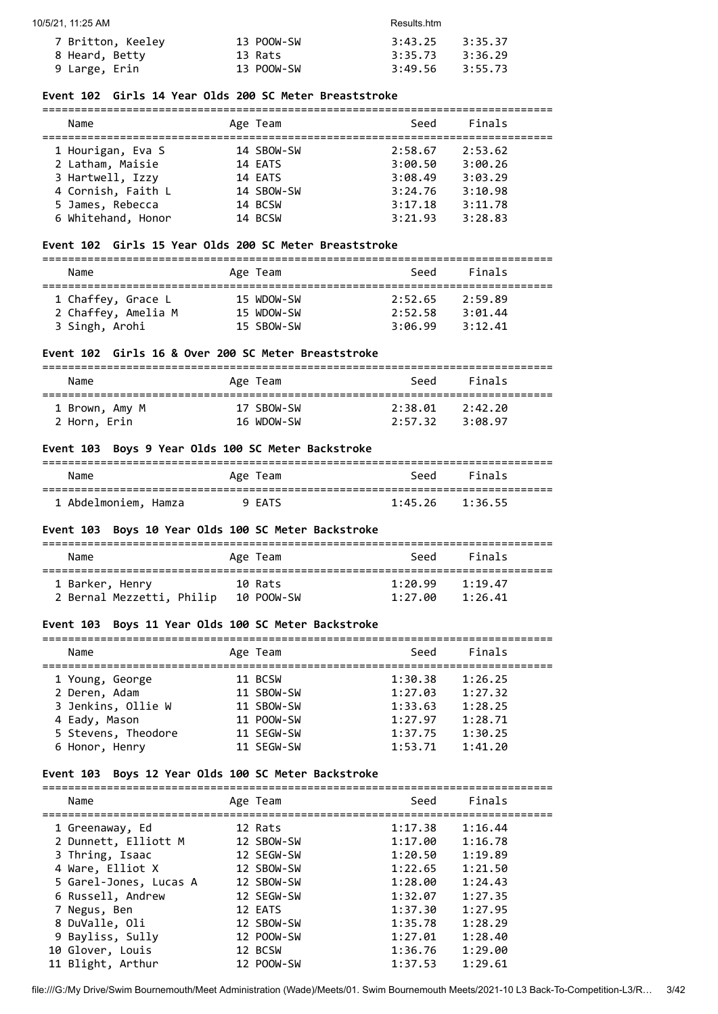| 7 Britton, Keeley | 13 POOW-SW | $3:43.25$ $3:35.37$ |  |
|-------------------|------------|---------------------|--|
| 8 Heard, Betty    | 13 Rats    | 3:35.73 3:36.29     |  |
| 9 Large, Erin     | 13 POOW-SW | 3:49.56 3:55.73     |  |

## **Event 102 Girls 14 Year Olds 200 SC Meter Breaststroke**

| Name               |  | Age Team   | Seed    | Finals  |  |
|--------------------|--|------------|---------|---------|--|
| 1 Hourigan, Eva S  |  | 14 SBOW-SW | 2:58.67 | 2:53.62 |  |
| 2 Latham, Maisie   |  | 14 EATS    | 3:00.50 | 3:00.26 |  |
| 3 Hartwell, Izzy   |  | 14 EATS    | 3:08.49 | 3:03.29 |  |
| 4 Cornish, Faith L |  | 14 SBOW-SW | 3:24.76 | 3:10.98 |  |
| 5 James, Rebecca   |  | 14 BCSW    | 3:17.18 | 3:11.78 |  |
| 6 Whitehand, Honor |  | 14 BCSW    | 3:21.93 | 3:28.83 |  |

## **Event 102 Girls 15 Year Olds 200 SC Meter Breaststroke**

| Name               | Age Team   |                 | Seed Finals |  |
|--------------------|------------|-----------------|-------------|--|
| 1 Chaffey, Grace L | 15 WDOW-SW | 2:52.65 2:59.89 |             |  |

# 2 Chaffey, Amelia M 15 WDOW-SW 2:52.58 3:01.44 3 Singh, Arohi 15 SBOW-SW 3:06.99 3:12.41

## **Event 102 Girls 16 & Over 200 SC Meter Breaststroke**

| Name           | Age Team   | Seed    | Finals  |  |
|----------------|------------|---------|---------|--|
| 1 Brown, Amy M | 17 SBOW-SW | 2:38.01 | 2:42.20 |  |
| 2 Horn, Erin   | 16 WDOW-SW | 2:57.32 | 3:08.97 |  |

#### **Event 103 Boys 9 Year Olds 100 SC Meter Backstroke**

| Name                 | Age Team | Seed                | Finals |  |
|----------------------|----------|---------------------|--------|--|
| 1 Abdelmoniem, Hamza | 9 EATS   | $1:45.26$ $1:36.55$ |        |  |

#### **Event 103 Boys 10 Year Olds 100 SC Meter Backstroke**

| Name                      | Age Team   | Seed    | Finals  |
|---------------------------|------------|---------|---------|
| 1 Barker, Henry           | 10 Rats    | 1:20.99 | 1:19.47 |
| 2 Bernal Mezzetti, Philip | 10 POOW-SW | 1:27.00 | 1:26.41 |

## **Event 103 Boys 11 Year Olds 100 SC Meter Backstroke**

| Name                |  | Age Team   | Seed    | Finals  |  |
|---------------------|--|------------|---------|---------|--|
| 1 Young, George     |  | 11 BCSW    | 1:30.38 | 1:26.25 |  |
| 2 Deren, Adam       |  | 11 SBOW-SW | 1:27.03 | 1:27.32 |  |
| 3 Jenkins, Ollie W  |  | 11 SBOW-SW | 1:33.63 | 1:28.25 |  |
| 4 Eady, Mason       |  | 11 POOW-SW | 1:27.97 | 1:28.71 |  |
| 5 Stevens, Theodore |  | 11 SEGW-SW | 1:37.75 | 1:30.25 |  |
| 6 Honor, Henry      |  | 11 SEGW-SW | 1:53.71 | 1:41.20 |  |

#### **Event 103 Boys 12 Year Olds 100 SC Meter Backstroke**

===============================================================================

| Name                   | Age Team   | Seed    | Finals  |  |
|------------------------|------------|---------|---------|--|
| 1 Greenaway, Ed        | 12 Rats    | 1:17.38 | 1:16.44 |  |
| 2 Dunnett, Elliott M   | 12 SBOW-SW | 1:17.00 | 1:16.78 |  |
| 3 Thring, Isaac        | 12 SEGW-SW | 1:20.50 | 1:19.89 |  |
| 4 Ware, Elliot X       | 12 SBOW-SW | 1:22.65 | 1:21.50 |  |
| 5 Garel-Jones, Lucas A | 12 SBOW-SW | 1:28.00 | 1:24.43 |  |
| 6 Russell, Andrew      | 12 SEGW-SW | 1:32.07 | 1:27.35 |  |
| 7 Negus, Ben           | 12 EATS    | 1:37.30 | 1:27.95 |  |
| 8 DuValle, Oli         | 12 SBOW-SW | 1:35.78 | 1:28.29 |  |
| 9 Bayliss, Sully       | 12 POOW-SW | 1:27.01 | 1:28.40 |  |
| 10 Glover, Louis       | 12 BCSW    | 1:36.76 | 1:29.00 |  |
| 11 Blight, Arthur      | 12 POOW-SW | 1:37.53 | 1:29.61 |  |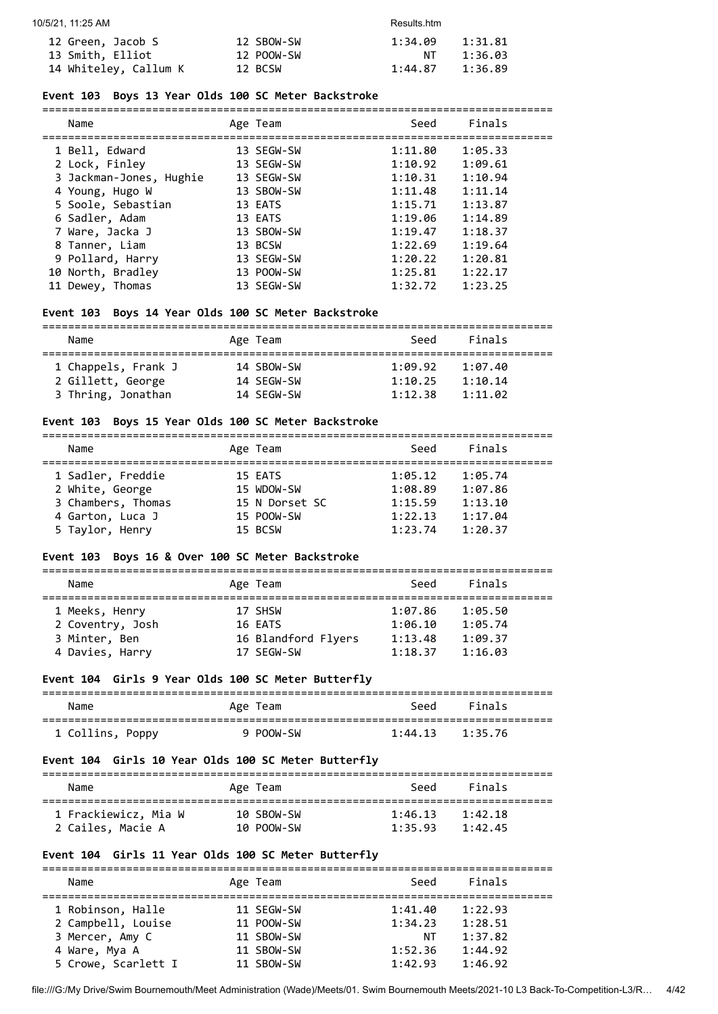| 10/5/21, 11:25 AM     |            | Results.htm |         |
|-----------------------|------------|-------------|---------|
| 12 Green, Jacob S     | 12 SBOW-SW | 1:34.09     | 1:31.81 |
| 13 Smith, Elliot      | 12 POOW-SW | NТ          | 1:36.03 |
| 14 Whiteley, Callum K | 12 BCSW    | 1:44.87     | 1:36.89 |

## **Event 103 Boys 13 Year Olds 100 SC Meter Backstroke**

| Name                    | Age Team   | Seed    | Finals  |
|-------------------------|------------|---------|---------|
| 1 Bell, Edward          | 13 SEGW-SW | 1:11.80 | 1:05.33 |
| 2 Lock, Finley          | 13 SEGW-SW | 1:10.92 | 1:09.61 |
| 3 Jackman-Jones, Hughie | 13 SEGW-SW | 1:10.31 | 1:10.94 |
| 4 Young, Hugo W         | 13 SBOW-SW | 1:11.48 | 1:11.14 |
| 5 Soole, Sebastian      | 13 EATS    | 1:15.71 | 1:13.87 |
| 6 Sadler, Adam          | 13 EATS    | 1:19.06 | 1:14.89 |
| 7 Ware, Jacka J         | 13 SBOW-SW | 1:19.47 | 1:18.37 |
| 8 Tanner, Liam          | 13 BCSW    | 1:22.69 | 1:19.64 |
| 9 Pollard, Harry        | 13 SEGW-SW | 1:20.22 | 1:20.81 |
| 10 North, Bradley       | 13 POOW-SW | 1:25.81 | 1:22.17 |
| 11 Dewey, Thomas        | 13 SEGW-SW | 1:32.72 | 1:23.25 |
|                         |            |         |         |

## **Event 103 Boys 14 Year Olds 100 SC Meter Backstroke**

| Name                | Age Team   | Seed    | Finals  |  |  |  |
|---------------------|------------|---------|---------|--|--|--|
| 1 Chappels, Frank J | 14 SBOW-SW | 1:09.92 | 1:07.40 |  |  |  |
| 2 Gillett, George   | 14 SEGW-SW | 1:10.25 | 1:10.14 |  |  |  |
| 3 Thring, Jonathan  | 14 SEGW-SW | 1:12.38 | 1:11.02 |  |  |  |

## **Event 103 Boys 15 Year Olds 100 SC Meter Backstroke**

| Name               | Age Team       | Seed    | Finals  |  |
|--------------------|----------------|---------|---------|--|
| 1 Sadler, Freddie  | 15 EATS        | 1:05.12 | 1:05.74 |  |
| 2 White, George    | 15 WDOW-SW     | 1:08.89 | 1:07.86 |  |
| 3 Chambers, Thomas | 15 N Dorset SC | 1:15.59 | 1:13.10 |  |
| 4 Garton, Luca J   | 15 POOW-SW     | 1:22.13 | 1:17.04 |  |
| 5 Taylor, Henry    | 15 BCSW        | 1:23.74 | 1:20.37 |  |

## **Event 103 Boys 16 & Over 100 SC Meter Backstroke**

| Finals<br>1:05.50 |
|-------------------|

## **Event 104 Girls 9 Year Olds 100 SC Meter Butterfly**

| Name             | Age Team  | Seed    | Finals  |
|------------------|-----------|---------|---------|
| 1 Collins, Poppy | 9 POOW-SW | 1:44.13 | 1:35.76 |

## **Event 104 Girls 10 Year Olds 100 SC Meter Butterfly**

| Name                 | Age Team   | Seed    | Finals  |  |
|----------------------|------------|---------|---------|--|
| 1 Frackiewicz, Mia W | 10 SBOW-SW | 1:46.13 | 1:42.18 |  |
| 2 Cailes, Macie A    | 10 POOW-SW | 1:35.93 | 1:42.45 |  |

## **Event 104 Girls 11 Year Olds 100 SC Meter Butterfly**

| Name                | Age Team   | Seed    | Finals  |  |
|---------------------|------------|---------|---------|--|
|                     |            |         |         |  |
| 1 Robinson, Halle   | 11 SEGW-SW | 1:41.40 | 1:22.93 |  |
| 2 Campbell, Louise  | 11 POOW-SW | 1:34.23 | 1:28.51 |  |
| 3 Mercer, Amy C     | 11 SBOW-SW | ΝT      | 1:37.82 |  |
| 4 Ware, Mya A       | 11 SBOW-SW | 1:52.36 | 1:44.92 |  |
| 5 Crowe, Scarlett I | 11 SBOW-SW | 1:42.93 | 1:46.92 |  |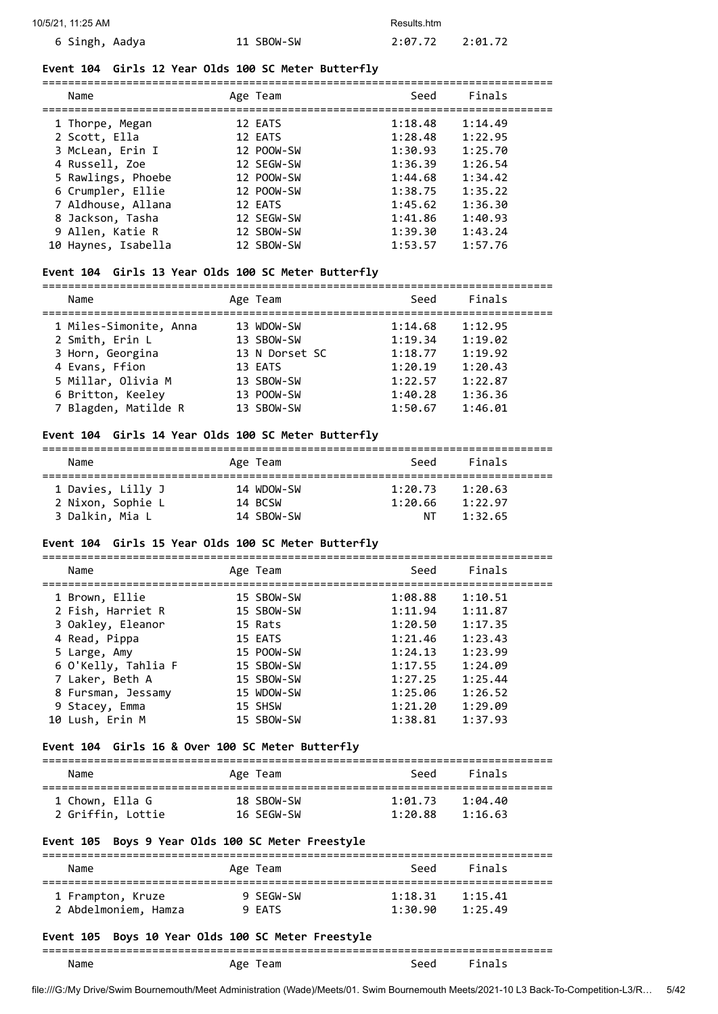| 10/5/21, 11:25 AM |            | Results.htm |         |
|-------------------|------------|-------------|---------|
| 6 Singh, Aadya    | 11 SBOW-SW | 2:07.72     | 2:01.72 |

#### **Event 104 Girls 12 Year Olds 100 SC Meter Butterfly**

| Name |                     | Age Team   | Seed    | Finals  |
|------|---------------------|------------|---------|---------|
|      | 1 Thorpe, Megan     | 12 EATS    | 1:18.48 | 1:14.49 |
|      | 2 Scott, Ella       | 12 EATS    | 1:28.48 | 1:22.95 |
|      | 3 McLean, Erin I    | 12 POOW-SW | 1:30.93 | 1:25.70 |
|      | 4 Russell, Zoe      | 12 SEGW-SW | 1:36.39 | 1:26.54 |
|      | 5 Rawlings, Phoebe  | 12 POOW-SW | 1:44.68 | 1:34.42 |
|      | 6 Crumpler, Ellie   | 12 POOW-SW | 1:38.75 | 1:35.22 |
|      | 7 Aldhouse, Allana  | 12 EATS    | 1:45.62 | 1:36.30 |
|      | 8 Jackson, Tasha    | 12 SEGW-SW | 1:41.86 | 1:40.93 |
|      | 9 Allen, Katie R    | 12 SBOW-SW | 1:39.30 | 1:43.24 |
|      | 10 Haynes, Isabella | 12 SBOW-SW | 1:53.57 | 1:57.76 |

===============================================================================

#### **Event 104 Girls 13 Year Olds 100 SC Meter Butterfly**

| Name                   | Age Team       | Seed    | Finals  |  |
|------------------------|----------------|---------|---------|--|
| 1 Miles-Simonite, Anna | 13 WDOW-SW     | 1:14.68 | 1:12.95 |  |
| 2 Smith, Erin L        | 13 SBOW-SW     | 1:19.34 | 1:19.02 |  |
| 3 Horn, Georgina       | 13 N Dorset SC | 1:18.77 | 1:19.92 |  |
| 4 Evans, Ffion         | 13 EATS        | 1:20.19 | 1:20.43 |  |
| 5 Millar, Olivia M     | 13 SBOW-SW     | 1:22.57 | 1:22.87 |  |
| 6 Britton, Keeley      | 13 POOW-SW     | 1:40.28 | 1:36.36 |  |
| 7 Blagden, Matilde R   | 13 SBOW-SW     | 1:50.67 | 1:46.01 |  |

#### **Event 104 Girls 14 Year Olds 100 SC Meter Butterfly**

# ===============================================================================

| Name              | Age Team   | Seed    | Finals  |  |
|-------------------|------------|---------|---------|--|
| 1 Davies, Lilly J | 14 WDOW-SW | 1:20.73 | 1:20.63 |  |
| 2 Nixon, Sophie L | 14 BCSW    | 1:20.66 | 1:22.97 |  |
| 3 Dalkin, Mia L   | 14 SBOW-SW | ΝT      | 1:32.65 |  |

#### **Event 104 Girls 15 Year Olds 100 SC Meter Butterfly**

| Name                | Age Team   | Seed    | Finals  |
|---------------------|------------|---------|---------|
| 1 Brown, Ellie      | 15 SBOW-SW | 1:08.88 | 1:10.51 |
| 2 Fish, Harriet R   | 15 SBOW-SW | 1:11.94 | 1:11.87 |
| 3 Oakley, Eleanor   | 15 Rats    | 1:20.50 | 1:17.35 |
| 4 Read, Pippa       | 15 EATS    | 1:21.46 | 1:23.43 |
| 5 Large, Amy        | 15 POOW-SW | 1:24.13 | 1:23.99 |
| 6 O'Kelly, Tahlia F | 15 SBOW-SW | 1:17.55 | 1:24.09 |
| 7 Laker, Beth A     | 15 SBOW-SW | 1:27.25 | 1:25.44 |
| 8 Fursman, Jessamy  | 15 WDOW-SW | 1:25.06 | 1:26.52 |
| 9 Stacey, Emma      | 15 SHSW    | 1:21.20 | 1:29.09 |
| 10 Lush, Erin M     | 15 SBOW-SW | 1:38.81 | 1:37.93 |

#### **Event 104 Girls 16 & Over 100 SC Meter Butterfly**

===============================================================================

| Name              | Age Team   | Seed    | Finals  |  |
|-------------------|------------|---------|---------|--|
| 1 Chown, Ella G   | 18 SBOW-SW | 1:01.73 | 1:04.40 |  |
| 2 Griffin, Lottie | 16 SEGW-SW | 1:20.88 | 1:16.63 |  |

## **Event 105 Boys 9 Year Olds 100 SC Meter Freestyle**

| Name                                                | Age Team            | Seed               | Finals             |  |
|-----------------------------------------------------|---------------------|--------------------|--------------------|--|
| 1 Frampton, Kruze<br>2 Abdelmoniem, Hamza           | 9 SEGW-SW<br>9 EATS | 1:18.31<br>1:30.90 | 1:15.41<br>1:25.49 |  |
| Front 10F, Boys 10 Voor Olds 100 CC Motor Encostule |                     |                    |                    |  |

#### **Event 105 Boys 10 Year Olds 100 SC Meter Freestyle**

#### =============================================================================== Name Age Team Seed Finals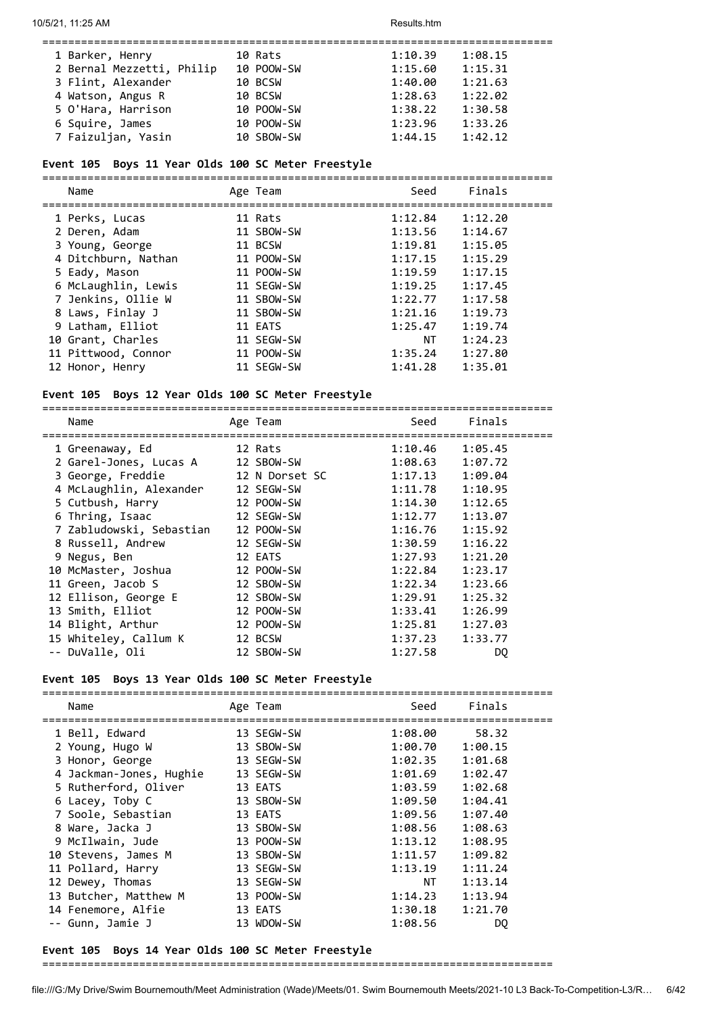| 1 Barker, Henry           | 10 Rats    | 1:10.39<br>1:08.15 |
|---------------------------|------------|--------------------|
| 2 Bernal Mezzetti, Philip | 10 POOW-SW | 1:15.60<br>1:15.31 |
| 3 Flint, Alexander        | 10 BCSW    | 1:40.00<br>1:21.63 |
| 4 Watson, Angus R         | 10 BCSW    | 1:28.63<br>1:22.02 |
| 5 O'Hara, Harrison        | 10 POOW-SW | 1:38.22<br>1:30.58 |
| 6 Squire, James           | 10 POOW-SW | 1:23.96<br>1:33.26 |
| 7 Faizuljan, Yasin        | 10 SBOW-SW | 1:44.15<br>1:42.12 |

#### **Event 105 Boys 11 Year Olds 100 SC Meter Freestyle**

===============================================================================

| Name                | Age Team   | Seed    | Finals  |
|---------------------|------------|---------|---------|
| 1 Perks, Lucas      | 11 Rats    | 1:12.84 | 1:12.20 |
| 2 Deren, Adam       | 11 SBOW-SW | 1:13.56 | 1:14.67 |
| 3 Young, George     | 11 BCSW    | 1:19.81 | 1:15.05 |
| 4 Ditchburn, Nathan | 11 POOW-SW | 1:17.15 | 1:15.29 |
| 5 Eady, Mason       | 11 POOW-SW | 1:19.59 | 1:17.15 |
| 6 McLaughlin, Lewis | 11 SEGW-SW | 1:19.25 | 1:17.45 |
| 7 Jenkins, Ollie W  | 11 SBOW-SW | 1:22.77 | 1:17.58 |
| 8 Laws, Finlay J    | 11 SBOW-SW | 1:21.16 | 1:19.73 |
| 9 Latham, Elliot    | 11 EATS    | 1:25.47 | 1:19.74 |
| 10 Grant, Charles   | 11 SEGW-SW | ΝT      | 1:24.23 |
| 11 Pittwood, Connor | 11 POOW-SW | 1:35.24 | 1:27.80 |
| 12 Honor, Henry     | 11 SEGW-SW | 1:41.28 | 1:35.01 |

#### **Event 105 Boys 12 Year Olds 100 SC Meter Freestyle**

=============================================================================== Name **Age Team** Seed Finals =============================================================================== 1 Greenaway, Ed 12 Rats 1:10.46 1:05.45 2 Garel-Jones, Lucas A 12 SBOW-SW 1:08.63 1:07.72 3 George, Freddie 12 N Dorset SC 1:17.13 1:09.04 4 McLaughlin, Alexander 12 SEGW-SW 1:11.78 1:10.95 5 Cutbush, Harry 12 POOW-SW 1:14.30 1:12.65 6 Thring, Isaac 12 SEGW-SW 1:12.77 1:13.07 7 Zabludowski, Sebastian 12 POOW-SW 1:16.76 1:15.92 8 Russell, Andrew 12 SEGW-SW 1:30.59 1:16.22 9 Negus, Ben 12 EATS 1:27.93 1:21.20 10 McMaster, Joshua 12 POOW-SW 1:22.84 1:23.17 11 Green, Jacob S 12 SBOW-SW 1:22.34 1:23.66 12 Ellison, George E 12 SBOW-SW 1:29.91 1:25.32 13 Smith, Elliot 12 POOW-SW 1:33.41 1:26.99 14 Blight, Arthur 12 POOW-SW 1:25.81 1:27.03 15 Whiteley, Callum K 12 BCSW 1:37.23 1:33.77 -- DuValle, Oli 12 SBOW-SW 1:27.58 DQ

#### **Event 105 Boys 13 Year Olds 100 SC Meter Freestyle**

| Name                    | Age Team   | Seed    | Finals  |
|-------------------------|------------|---------|---------|
|                         |            |         |         |
| 1 Bell, Edward          | 13 SEGW-SW | 1:08.00 | 58.32   |
| 2 Young, Hugo W         | 13 SBOW-SW | 1:00.70 | 1:00.15 |
| 3 Honor, George         | 13 SEGW-SW | 1:02.35 | 1:01.68 |
| 4 Jackman-Jones, Hughie | 13 SEGW-SW | 1:01.69 | 1:02.47 |
| 5 Rutherford, Oliver    | 13 EATS    | 1:03.59 | 1:02.68 |
| 6 Lacey, Toby C         | 13 SBOW-SW | 1:09.50 | 1:04.41 |
| 7 Soole, Sebastian      | 13 EATS    | 1:09.56 | 1:07.40 |
| 8 Ware, Jacka J         | 13 SBOW-SW | 1:08.56 | 1:08.63 |
| 9 McIlwain, Jude        | 13 POOW-SW | 1:13.12 | 1:08.95 |
| 10 Stevens, James M     | 13 SBOW-SW | 1:11.57 | 1:09.82 |
| 11 Pollard, Harry       | 13 SEGW-SW | 1:13.19 | 1:11.24 |
| 12 Dewey, Thomas        | 13 SEGW-SW | NT      | 1:13.14 |
| 13 Butcher, Matthew M   | 13 POOW-SW | 1:14.23 | 1:13.94 |
| 14 Fenemore, Alfie      | 13 EATS    | 1:30.18 | 1:21.70 |
| -- Gunn, Jamie J        | 13 WDOW-SW | 1:08.56 | DO.     |
|                         |            |         |         |

## **Event 105 Boys 14 Year Olds 100 SC Meter Freestyle**

===============================================================================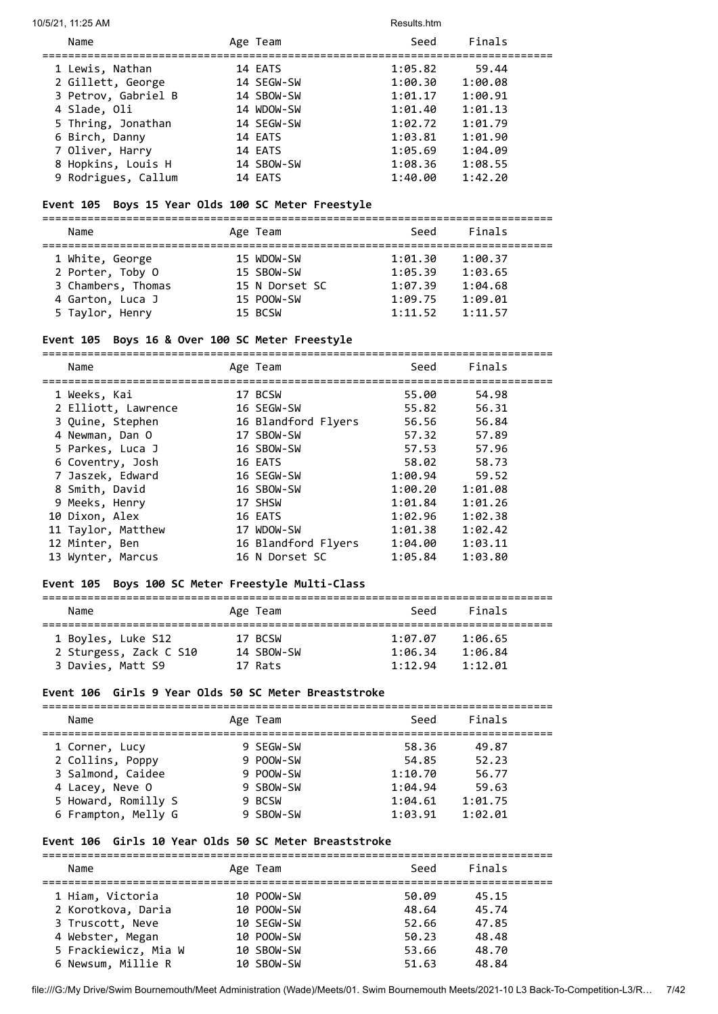#### 10/5/21, 11:25 AM Results.htm

| Name                | Age Team   | Seed    | Finals  |
|---------------------|------------|---------|---------|
| 1 Lewis, Nathan     | 14 EATS    | 1:05.82 | 59.44   |
| 2 Gillett, George   | 14 SEGW-SW | 1:00.30 | 1:00.08 |
| 3 Petrov, Gabriel B | 14 SBOW-SW | 1:01.17 | 1:00.91 |
| 4 Slade, Oli        | 14 WDOW-SW | 1:01.40 | 1:01.13 |
| 5 Thring, Jonathan  | 14 SEGW-SW | 1:02.72 | 1:01.79 |
| 6 Birch, Danny      | 14 EATS    | 1:03.81 | 1:01.90 |
| 7 Oliver, Harry     | 14 EATS    | 1:05.69 | 1:04.09 |
| 8 Hopkins, Louis H  | 14 SBOW-SW | 1:08.36 | 1:08.55 |
| 9 Rodrigues, Callum | 14 EATS    | 1:40.00 | 1:42.20 |

## **Event 105 Boys 15 Year Olds 100 SC Meter Freestyle**

===============================================================================

| Name               | Age Team       | Seed    | Finals  |  |
|--------------------|----------------|---------|---------|--|
| 1 White, George    | 15 WDOW-SW     | 1:01.30 | 1:00.37 |  |
| 2 Porter, Toby 0   | 15 SBOW-SW     | 1:05.39 | 1:03.65 |  |
| 3 Chambers, Thomas | 15 N Dorset SC | 1:07.39 | 1:04.68 |  |
| 4 Garton, Luca J   | 15 POOW-SW     | 1:09.75 | 1:09.01 |  |
| 5 Taylor, Henry    | 15 BCSW        | 1:11.52 | 1:11.57 |  |

#### **Event 105 Boys 16 & Over 100 SC Meter Freestyle**

===============================================================================

| Name                | Age Team            | Seed    | Finals  |
|---------------------|---------------------|---------|---------|
| 1 Weeks, Kai        | 17 BCSW             | 55.00   | 54.98   |
| 2 Elliott, Lawrence | 16 SEGW-SW          | 55.82   | 56.31   |
| 3 Quine, Stephen    | 16 Blandford Flyers | 56.56   | 56.84   |
| 4 Newman, Dan O     | 17 SBOW-SW          | 57.32   | 57.89   |
| 5 Parkes, Luca J    | 16 SBOW-SW          | 57.53   | 57.96   |
| 6 Coventry, Josh    | 16 EATS             | 58.02   | 58.73   |
| 7 Jaszek, Edward    | 16 SEGW-SW          | 1:00.94 | 59.52   |
| 8 Smith, David      | 16 SBOW-SW          | 1:00.20 | 1:01.08 |
| 9 Meeks, Henry      | 17 SHSW             | 1:01.84 | 1:01.26 |
| 10 Dixon, Alex      | 16 EATS             | 1:02.96 | 1:02.38 |
| 11 Taylor, Matthew  | 17 WDOW-SW          | 1:01.38 | 1:02.42 |
| 12 Minter, Ben      | 16 Blandford Flyers | 1:04.00 | 1:03.11 |
| 13 Wynter, Marcus   | 16 N Dorset SC      | 1:05.84 | 1:03.80 |
|                     |                     |         |         |

## **Event 105 Boys 100 SC Meter Freestyle Multi-Class**

| Name                   | Age Team   | Seed    | Finals  |  |
|------------------------|------------|---------|---------|--|
| 1 Boyles, Luke S12     | 17 BCSW    | 1:07.07 | 1:06.65 |  |
| 2 Sturgess, Zack C S10 | 14 SBOW-SW | 1:96.34 | 1:06.84 |  |
| 3 Davies, Matt S9      | 17 Rats    | 1:12.94 | 1:12.01 |  |

## **Event 106 Girls 9 Year Olds 50 SC Meter Breaststroke**

| Name                                   | Age Team               | Seed               | Finals           |
|----------------------------------------|------------------------|--------------------|------------------|
| 1 Corner, Lucy<br>2 Collins, Poppy     | 9 SEGW-SW<br>9 POOW-SW | 58.36<br>54.85     | 49.87<br>52.23   |
| 3 Salmond, Caidee                      | 9 POOW-SW              | 1:10.70            | 56.77            |
| 4 Lacey, Neve O<br>5 Howard, Romilly S | 9 SBOW-SW<br>9 BCSW    | 1:04.94<br>1:04.61 | 59.63<br>1:01.75 |
| 6 Frampton, Melly G                    | 9 SBOW-SW              | 1:03.91            | 1:02.01          |

## **Event 106 Girls 10 Year Olds 50 SC Meter Breaststroke**

| Name                 | Age Team   | Seed  | Finals |  |
|----------------------|------------|-------|--------|--|
| 1 Hiam, Victoria     | 10 POOW-SW | 50.09 | 45.15  |  |
| 2 Korotkova, Daria   | 10 POOW-SW | 48.64 | 45.74  |  |
| 3 Truscott, Neve     | 10 SEGW-SW | 52.66 | 47.85  |  |
| 4 Webster, Megan     | 10 POOW-SW | 50.23 | 48.48  |  |
| 5 Frackiewicz, Mia W | 10 SBOW-SW | 53.66 | 48.70  |  |
| 6 Newsum, Millie R   | 10 SBOW-SW | 51.63 | 48.84  |  |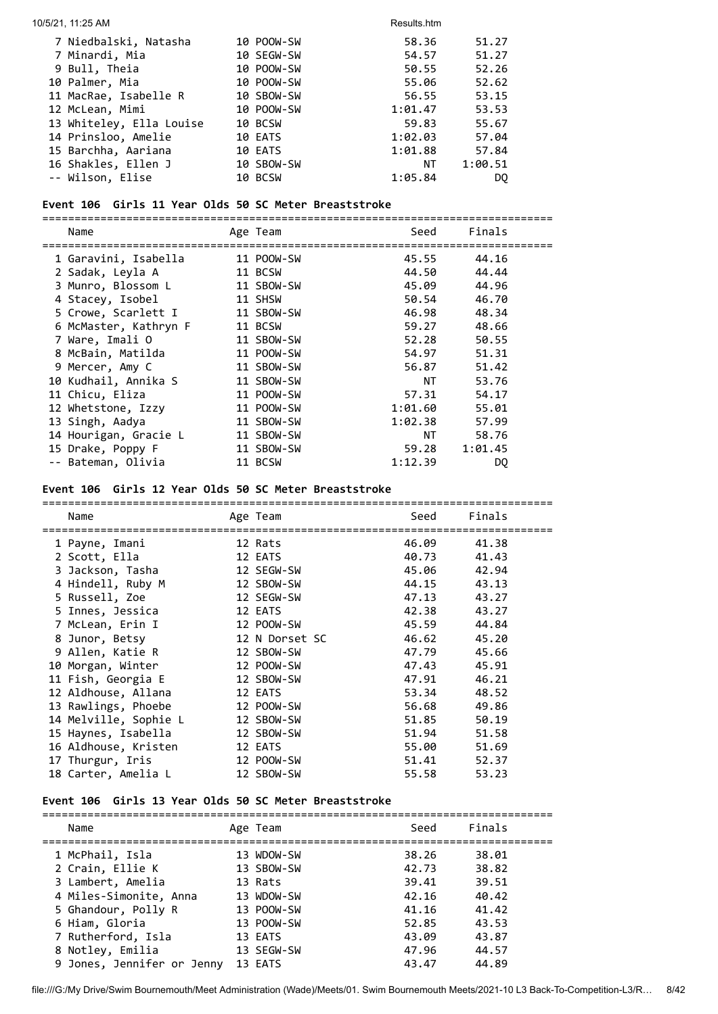| 10/5/21, 11:25 AM        |            | Results.htm |         |
|--------------------------|------------|-------------|---------|
| 7 Niedbalski, Natasha    | 10 POOW-SW | 58.36       | 51.27   |
| 7 Minardi, Mia           | 10 SEGW-SW | 54.57       | 51.27   |
| 9 Bull, Theia            | 10 POOW-SW | 50.55       | 52.26   |
| 10 Palmer, Mia           | 10 POOW-SW | 55.06       | 52.62   |
| 11 MacRae, Isabelle R    | 10 SBOW-SW | 56.55       | 53.15   |
| 12 McLean, Mimi          | 10 POOW-SW | 1:01.47     | 53.53   |
| 13 Whiteley, Ella Louise | 10 BCSW    | 59.83       | 55.67   |
| 14 Prinsloo, Amelie      | 10 EATS    | 1:02.03     | 57.04   |
| 15 Barchha, Aariana      | 10 EATS    | 1:01.88     | 57.84   |
| 16 Shakles, Ellen J      | 10 SBOW-SW | NT          | 1:00.51 |
| -- Wilson, Elise         | 10 BCSW    | 1:05.84     | DO.     |

## **Event 106 Girls 11 Year Olds 50 SC Meter Breaststroke**

===============================================================================

| Age Team   | Seed    | Finals  |                                             |
|------------|---------|---------|---------------------------------------------|
| 11 POOW-SW | 45.55   | 44.16   |                                             |
| 11 BCSW    | 44.50   | 44.44   |                                             |
| 11 SBOW-SW | 45.09   | 44.96   |                                             |
| 11 SHSW    |         | 46.70   |                                             |
| 11 SBOW-SW |         | 48.34   |                                             |
| 11 BCSW    | 59.27   | 48.66   |                                             |
| 11 SBOW-SW | 52.28   | 50.55   |                                             |
| 11 POOW-SW | 54.97   | 51.31   |                                             |
| 11 SBOW-SW |         | 51.42   |                                             |
| 11 SBOW-SW | NT      | 53.76   |                                             |
| 11 POOW-SW | 57.31   | 54.17   |                                             |
| 11 POOW-SW | 1:01.60 | 55.01   |                                             |
| 11 SBOW-SW |         | 57.99   |                                             |
| 11 SBOW-SW | NT      | 58.76   |                                             |
| 11 SBOW-SW |         | 1:01.45 |                                             |
| 11 BCSW    | 1:12.39 | DQ      |                                             |
|            |         |         | 50.54<br>46.98<br>56.87<br>1:02.38<br>59.28 |

## **Event 106 Girls 12 Year Olds 50 SC Meter Breaststroke**

| Name                  |                       | Seed                                                                                                                                                                                                                                                      | Finals |
|-----------------------|-----------------------|-----------------------------------------------------------------------------------------------------------------------------------------------------------------------------------------------------------------------------------------------------------|--------|
| 1 Payne, Imani        |                       | 46.09                                                                                                                                                                                                                                                     | 41.38  |
| 2 Scott, Ella         |                       | 40.73                                                                                                                                                                                                                                                     | 41.43  |
| 3 Jackson, Tasha      |                       | 45.06                                                                                                                                                                                                                                                     | 42.94  |
| 4 Hindell, Ruby M     |                       | 44.15                                                                                                                                                                                                                                                     | 43.13  |
| 5 Russell, Zoe        |                       | 47.13                                                                                                                                                                                                                                                     | 43.27  |
| 5 Innes, Jessica      |                       | 42.38                                                                                                                                                                                                                                                     | 43.27  |
| 7 McLean, Erin I      |                       | 45.59                                                                                                                                                                                                                                                     | 44.84  |
| 8 Junor, Betsy        |                       |                                                                                                                                                                                                                                                           | 45.20  |
| 9 Allen, Katie R      |                       | 47.79                                                                                                                                                                                                                                                     | 45.66  |
| 10 Morgan, Winter     |                       | 47.43                                                                                                                                                                                                                                                     | 45.91  |
| 11 Fish, Georgia E    |                       | 47.91                                                                                                                                                                                                                                                     | 46.21  |
| 12 Aldhouse, Allana   |                       | 53.34                                                                                                                                                                                                                                                     | 48.52  |
| 13 Rawlings, Phoebe   |                       | 56.68                                                                                                                                                                                                                                                     | 49.86  |
| 14 Melville, Sophie L |                       | 51.85                                                                                                                                                                                                                                                     | 50.19  |
| 15 Haynes, Isabella   |                       | 51.94                                                                                                                                                                                                                                                     | 51.58  |
| 16 Aldhouse, Kristen  |                       | 55.00                                                                                                                                                                                                                                                     | 51.69  |
| 17 Thurgur, Iris      |                       | 51.41                                                                                                                                                                                                                                                     | 52.37  |
| 18 Carter, Amelia L   |                       | 55.58                                                                                                                                                                                                                                                     | 53.23  |
|                       | ===================== | Age Team<br>12 Rats<br>12 EATS<br>12 SEGW-SW<br>12 SBOW-SW<br>12 SEGW-SW<br>12 EATS<br>12 POOW-SW<br>12 N Dorset SC<br>12 SBOW-SW<br>12 POOW-SW<br>12 SBOW-SW<br>12 EATS<br>12 POOW-SW<br>12 SBOW-SW<br>12 SBOW-SW<br>12 EATS<br>12 POOW-SW<br>12 SBOW-SW | 46.62  |

## **Event 106 Girls 13 Year Olds 50 SC Meter Breaststroke**

| Name                                                                                                                                              | Age Team                                                                                 | Seed                                                        | Finals                                                      |
|---------------------------------------------------------------------------------------------------------------------------------------------------|------------------------------------------------------------------------------------------|-------------------------------------------------------------|-------------------------------------------------------------|
| 1 McPhail, Isla<br>2 Crain, Ellie K<br>3 Lambert, Amelia<br>4 Miles-Simonite, Anna<br>5 Ghandour, Polly R<br>6 Hiam, Gloria<br>7 Rutherford, Isla | 13 WDOW-SW<br>13 SBOW-SW<br>13 Rats<br>13 WDOW-SW<br>13 POOW-SW<br>13 POOW-SW<br>13 EATS | 38.26<br>42.73<br>39.41<br>42.16<br>41.16<br>52.85<br>43.09 | 38.01<br>38.82<br>39.51<br>40.42<br>41.42<br>43.53<br>43.87 |
| 8 Notley, Emilia<br>9 Jones, Jennifer or Jenny                                                                                                    | 13 SEGW-SW<br>13 EATS                                                                    | 47.96<br>43.47                                              | 44.57<br>44.89                                              |
|                                                                                                                                                   |                                                                                          |                                                             |                                                             |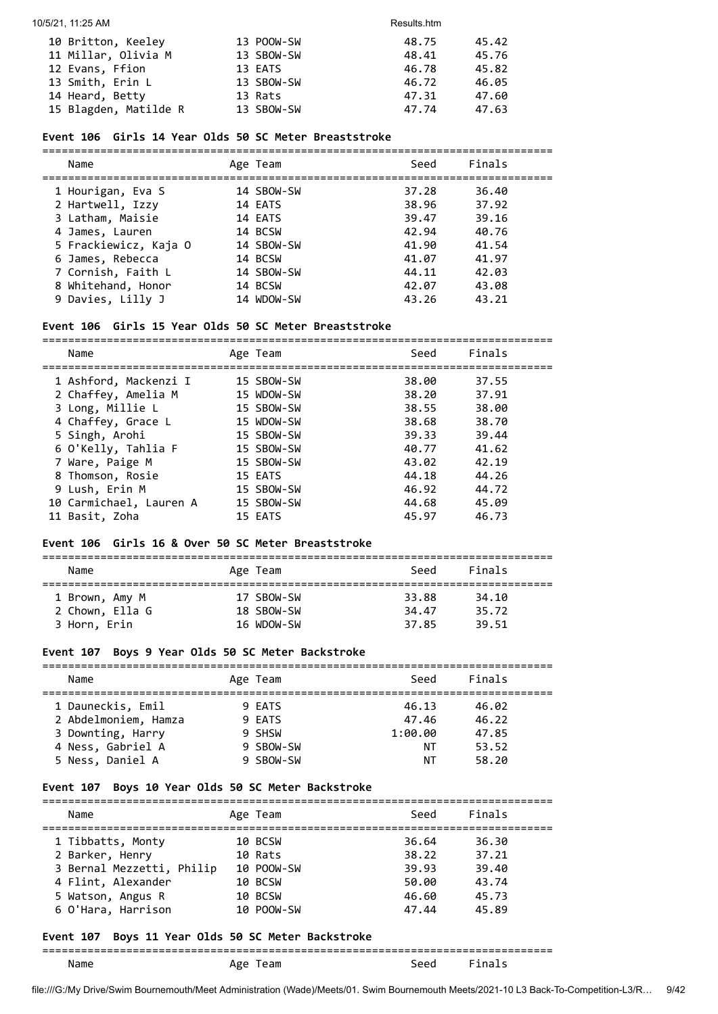| 10 Britton, Keeley    | 13 POOW-SW | 48.75 | 45.42 |
|-----------------------|------------|-------|-------|
| 11 Millar, Olivia M   | 13 SBOW-SW | 48.41 | 45.76 |
| 12 Evans, Ffion       | 13 EATS    | 46.78 | 45.82 |
| 13 Smith, Erin L      | 13 SBOW-SW | 46.72 | 46.05 |
| 14 Heard, Betty       | 13 Rats    | 47.31 | 47.60 |
| 15 Blagden, Matilde R | 13 SBOW-SW | 47.74 | 47.63 |

## **Event 106 Girls 14 Year Olds 50 SC Meter Breaststroke**

| Name                  | Age Team   | Seed  | Finals |
|-----------------------|------------|-------|--------|
| 1 Hourigan, Eva S     | 14 SBOW-SW | 37.28 | 36.40  |
| 2 Hartwell, Izzy      | 14 EATS    | 38.96 | 37.92  |
| 3 Latham, Maisie      | 14 EATS    | 39.47 | 39.16  |
| 4 James, Lauren       | 14 BCSW    | 42.94 | 40.76  |
| 5 Frackiewicz, Kaja O | 14 SBOW-SW | 41.90 | 41.54  |
| 6 James, Rebecca      | 14 BCSW    | 41.07 | 41.97  |
| 7 Cornish, Faith L    | 14 SBOW-SW | 44.11 | 42.03  |
| 8 Whitehand, Honor    | 14 BCSW    | 42.07 | 43.08  |
| 9 Davies, Lilly J     | 14 WDOW-SW | 43.26 | 43.21  |

## **Event 106 Girls 15 Year Olds 50 SC Meter Breaststroke**

| Name                    | Age Team   | Seed  | Finals |
|-------------------------|------------|-------|--------|
| 1 Ashford, Mackenzi I   | 15 SBOW-SW | 38.00 | 37.55  |
| 2 Chaffey, Amelia M     | 15 WDOW-SW | 38.20 | 37.91  |
| 3 Long, Millie L        | 15 SBOW-SW | 38.55 | 38.00  |
| 4 Chaffey, Grace L      | 15 WDOW-SW | 38.68 | 38.70  |
| 5 Singh, Arohi          | 15 SBOW-SW | 39.33 | 39.44  |
| 6 O'Kelly, Tahlia F     | 15 SBOW-SW | 40.77 | 41.62  |
| 7 Ware, Paige M         | 15 SBOW-SW | 43.02 | 42.19  |
| 8 Thomson, Rosie        | 15 EATS    | 44.18 | 44.26  |
| 9 Lush, Erin M          | 15 SBOW-SW | 46.92 | 44.72  |
| 10 Carmichael, Lauren A | 15 SBOW-SW | 44.68 | 45.09  |
| 11 Basit, Zoha          | 15 EATS    | 45.97 | 46.73  |

#### **Event 106 Girls 16 & Over 50 SC Meter Breaststroke**

| Name            | Age Team   | Seed  | Finals |  |  |  |  |
|-----------------|------------|-------|--------|--|--|--|--|
|                 |            |       |        |  |  |  |  |
| 1 Brown, Amy M  | 17 SBOW-SW | 33.88 | 34.10  |  |  |  |  |
| 2 Chown, Ella G | 18 SBOW-SW | 34.47 | 35.72  |  |  |  |  |
| 3 Horn, Erin    | 16 WDOW-SW | 37.85 | 39.51  |  |  |  |  |

## **Event 107 Boys 9 Year Olds 50 SC Meter Backstroke**

| Name                 |  | Age Team  | Seed    | Finals |  |  |
|----------------------|--|-----------|---------|--------|--|--|
| 1 Dauneckis, Emil    |  | 9 EATS    | 46.13   | 46.02  |  |  |
| 2 Abdelmoniem, Hamza |  | 9 EATS    | 47.46   | 46.22  |  |  |
| 3 Downting, Harry    |  | 9 SHSW    | 1:00.00 | 47.85  |  |  |
| 4 Ness, Gabriel A    |  | 9 SBOW-SW | ΝT      | 53.52  |  |  |
| 5 Ness, Daniel A     |  | 9 SBOW-SW | ΝT      | 58.20  |  |  |

## **Event 107 Boys 10 Year Olds 50 SC Meter Backstroke**

| Name                      | Age Team   | Seed  | Finals |
|---------------------------|------------|-------|--------|
|                           |            |       |        |
| 1 Tibbatts, Monty         | 10 BCSW    | 36.64 | 36.30  |
| 2 Barker, Henry           | 10 Rats    | 38.22 | 37.21  |
| 3 Bernal Mezzetti, Philip | 10 POOW-SW | 39.93 | 39.40  |
| 4 Flint, Alexander        | 10 BCSW    | 50.00 | 43.74  |
| 5 Watson, Angus R         | 10 BCSW    | 46.60 | 45.73  |
| 6 O'Hara, Harrison        | 10 POOW-SW | 47.44 | 45.89  |

## **Event 107 Boys 11 Year Olds 50 SC Meter Backstroke**

| ------- |  | _____ |
|---------|--|-------|
|         |  |       |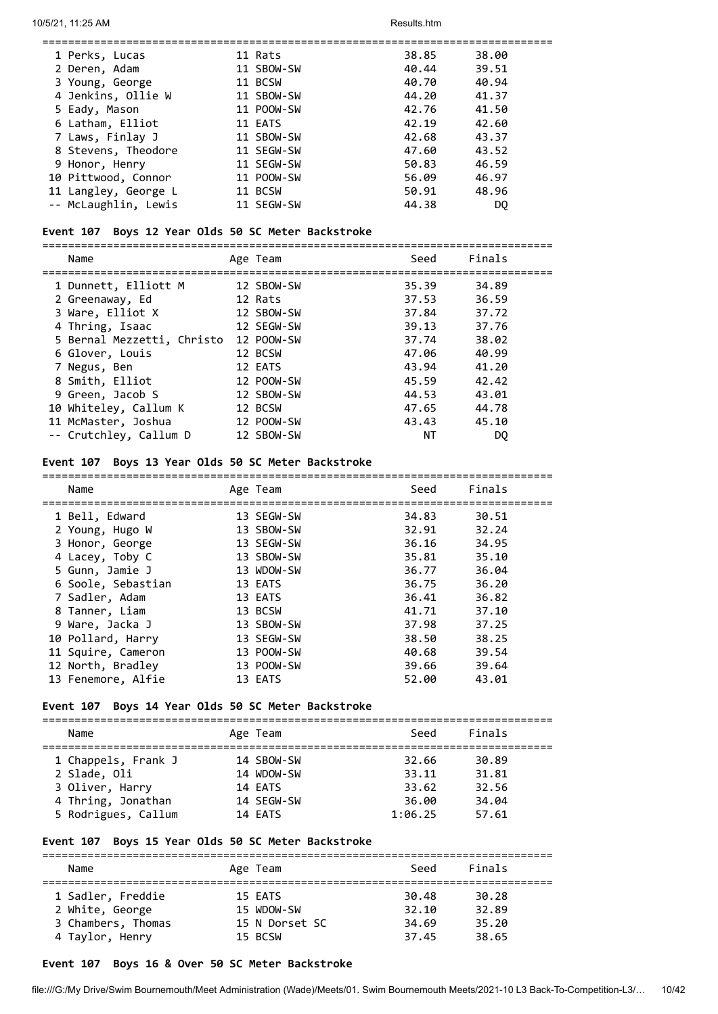| 1 Perks, Lucas       | 11 Rats    | 38.85 | 38.00 |
|----------------------|------------|-------|-------|
| 2 Deren, Adam        | 11 SBOW-SW | 40.44 | 39.51 |
| 3 Young, George      | 11 BCSW    | 40.70 | 40.94 |
| 4 Jenkins, Ollie W   | 11 SBOW-SW | 44.20 | 41.37 |
| 5 Eady, Mason        | 11 POOW-SW | 42.76 | 41.50 |
| 6 Latham, Elliot     | 11 EATS    | 42.19 | 42.60 |
| 7 Laws, Finlay J     | 11 SBOW-SW | 42.68 | 43.37 |
| 8 Stevens, Theodore  | 11 SEGW-SW | 47.60 | 43.52 |
| 9 Honor, Henry       | 11 SEGW-SW | 50.83 | 46.59 |
| 10 Pittwood, Connor  | 11 POOW-SW | 56.09 | 46.97 |
| 11 Langley, George L | 11 BCSW    | 50.91 | 48.96 |
| -- McLaughlin, Lewis | 11 SEGW-SW | 44.38 | DO.   |
|                      |            |       |       |

#### **Event 107 Boys 12 Year Olds 50 SC Meter Backstroke**

===============================================================================

| Name                       | Age Team   | Seed  | Finals |
|----------------------------|------------|-------|--------|
| 1 Dunnett, Elliott M       | 12 SBOW-SW | 35.39 | 34.89  |
| 2 Greenaway, Ed            | 12 Rats    | 37.53 | 36.59  |
| 3 Ware, Elliot X           | 12 SBOW-SW | 37.84 | 37.72  |
| 4 Thring, Isaac            | 12 SEGW-SW | 39.13 | 37.76  |
| 5 Bernal Mezzetti, Christo | 12 POOW-SW | 37.74 | 38.02  |
| 6 Glover, Louis            | 12 BCSW    | 47.06 | 40.99  |
| 7 Negus, Ben               | 12 EATS    | 43.94 | 41.20  |
| 8 Smith, Elliot            | 12 POOW-SW | 45.59 | 42.42  |
| 9 Green, Jacob S           | 12 SBOW-SW | 44.53 | 43.01  |
| 10 Whiteley, Callum K      | 12 BCSW    | 47.65 | 44.78  |
| 11 McMaster, Joshua        | 12 POOW-SW | 43.43 | 45.10  |
| -- Crutchley, Callum D     | 12 SBOW-SW | ΝT    | DO     |

#### **Event 107 Boys 13 Year Olds 50 SC Meter Backstroke**

| Name               | Age Team   | Seed  | Finals |
|--------------------|------------|-------|--------|
| 1 Bell, Edward     | 13 SEGW-SW | 34.83 | 30.51  |
| 2 Young, Hugo W    | 13 SBOW-SW | 32.91 | 32.24  |
| 3 Honor, George    | 13 SEGW-SW | 36.16 | 34.95  |
| 4 Lacey, Toby C    | 13 SBOW-SW | 35.81 | 35.10  |
| 5 Gunn, Jamie J    | 13 WDOW-SW | 36.77 | 36.04  |
| 6 Soole, Sebastian | 13 EATS    | 36.75 | 36.20  |
| 7 Sadler, Adam     | 13 EATS    | 36.41 | 36.82  |
| 8 Tanner, Liam     | 13 BCSW    | 41.71 | 37.10  |
| 9 Ware, Jacka J    | 13 SBOW-SW | 37.98 | 37.25  |
| 10 Pollard, Harry  | 13 SEGW-SW | 38.50 | 38.25  |
| 11 Squire, Cameron | 13 POOW-SW | 40.68 | 39.54  |
| 12 North, Bradley  | 13 POOW-SW | 39.66 | 39.64  |
| 13 Fenemore, Alfie | 13 EATS    | 52.00 | 43.01  |

#### **Event 107 Boys 14 Year Olds 50 SC Meter Backstroke**

=============================================================================== Name **Age Team** Seed Finals =============================================================================== 1 Chappels, Frank J 14 SBOW-SW 32.66 30.89 2 Slade, Oli 14 WDOW-SW 33.11 31.81 3 Oliver, Harry 14 EATS 33.62 32.56 4 Thring, Jonathan 14 SEGW-SW 36.00 34.04 5 Rodrigues, Callum 14 EATS 1:06.25 57.61

#### **Event 107 Boys 15 Year Olds 50 SC Meter Backstroke**

| Name               | Age Team       | Seed  | Finals |  |
|--------------------|----------------|-------|--------|--|
| 1 Sadler, Freddie  | 15 EATS        | 30.48 | 30.28  |  |
| 2 White, George    | 15 WDOW-SW     | 32.10 | 32.89  |  |
| 3 Chambers, Thomas | 15 N Dorset SC | 34.69 | 35.20  |  |
| 4 Taylor, Henry    | 15 BCSW        | 37.45 | 38.65  |  |
|                    |                |       |        |  |

#### **Event 107 Boys 16 & Over 50 SC Meter Backstroke**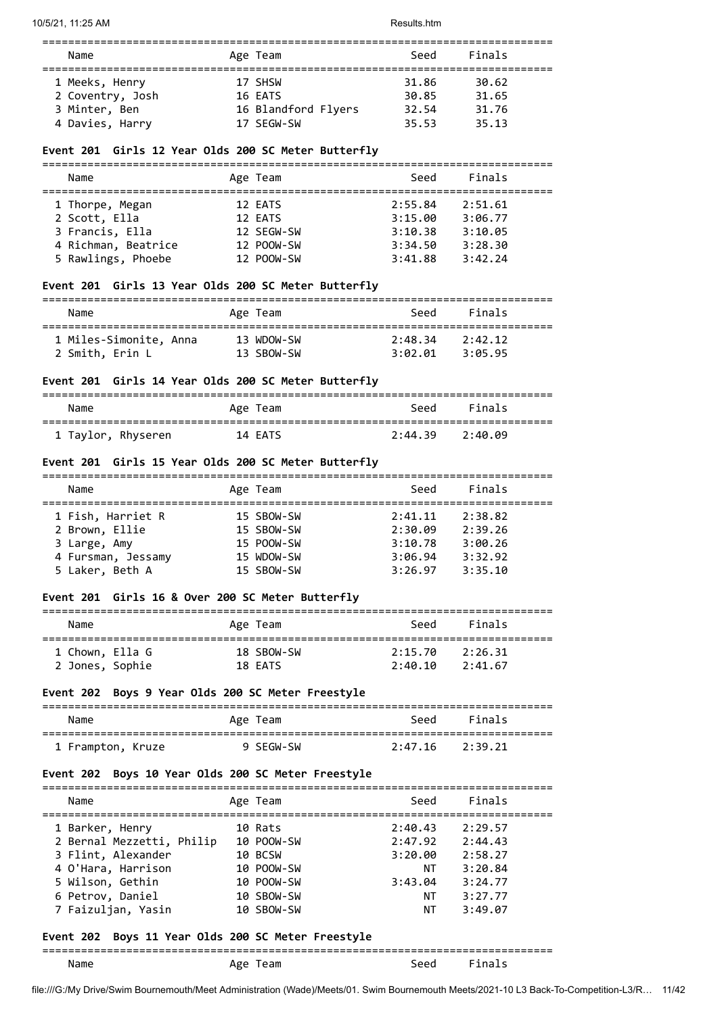| Name             | Age Team            | Seed  | Finals |  |
|------------------|---------------------|-------|--------|--|
| 1 Meeks, Henry   | 17 SHSW             | 31.86 | 30.62  |  |
| 2 Coventry, Josh | 16 EATS             | 30.85 | 31.65  |  |
| 3 Minter, Ben    | 16 Blandford Flyers | 32.54 | 31.76  |  |
| 4 Davies, Harry  | 17 SEGW-SW          | 35.53 | 35.13  |  |

## **Event 201 Girls 12 Year Olds 200 SC Meter Butterfly**

| Name                | Age Team   | Seed    | Finals  |
|---------------------|------------|---------|---------|
| 1 Thorpe, Megan     | 12 EATS    | 2:55.84 | 2:51.61 |
| 2 Scott, Ella       | 12 EATS    | 3:15.00 | 3:06.77 |
| 3 Francis, Ella     | 12 SEGW-SW | 3:10.38 | 3:10.05 |
| 4 Richman, Beatrice | 12 POOW-SW | 3:34.50 | 3:28.30 |
| 5 Rawlings, Phoebe  | 12 POOW-SW | 3:41.88 | 3:42.24 |

## **Event 201 Girls 13 Year Olds 200 SC Meter Butterfly**

| Name                   | Age Team   | Seed    | Finals  |  |
|------------------------|------------|---------|---------|--|
| 1 Miles-Simonite, Anna | 13 WDOW-SW | 2:48.34 | 2:42.12 |  |
| 2 Smith, Erin L        | 13 SBOW-SW | 3:02.01 | 3:05.95 |  |

## **Event 201 Girls 14 Year Olds 200 SC Meter Butterfly**

| Name               | Age Team | Seed    | Finals  |  |
|--------------------|----------|---------|---------|--|
| 1 Taylor, Rhyseren | 14 EATS  | 2:44.39 | 2:40.09 |  |

## **Event 201 Girls 15 Year Olds 200 SC Meter Butterfly**

| Name               | Age Team   | Seed    | Finals  |  |  |
|--------------------|------------|---------|---------|--|--|
|                    |            |         |         |  |  |
| 1 Fish, Harriet R  | 15 SBOW-SW | 2:41.11 | 2:38.82 |  |  |
| 2 Brown, Ellie     | 15 SBOW-SW | 2:30.09 | 2:39.26 |  |  |
| 3 Large, Amy       | 15 POOW-SW | 3:10.78 | 3:00.26 |  |  |
| 4 Fursman, Jessamy | 15 WDOW-SW | 3:06.94 | 3:32.92 |  |  |
| 5 Laker, Beth A    | 15 SBOW-SW | 3:26.97 | 3:35.10 |  |  |
|                    |            |         |         |  |  |

#### **Event 201 Girls 16 & Over 200 SC Meter Butterfly**

| Name            | Age Team   | Seed    | Finals  |  |
|-----------------|------------|---------|---------|--|
| 1 Chown, Ella G | 18 SBOW-SW | 2:15.70 | 2:26.31 |  |
| 2 Jones, Sophie | 18 FATS    | 2:40.10 | 2:41.67 |  |

#### **Event 202 Boys 9 Year Olds 200 SC Meter Freestyle**

| Name              | Age Team  | Seed            | Finals |
|-------------------|-----------|-----------------|--------|
| 1 Frampton, Kruze | 9 SEGW-SW | 2:47.16 2:39.21 |        |

#### **Event 202 Boys 10 Year Olds 200 SC Meter Freestyle**

| Name                      | Age Team                                 | Seed    | Finals  |
|---------------------------|------------------------------------------|---------|---------|
| 1 Barker, Henry           | 10 Rats                                  | 2:40.43 | 2:29.57 |
| 2 Bernal Mezzetti, Philip | 10 POOW-SW                               | 2:47.92 | 2:44.43 |
| 3 Flint, Alexander        | 10 BCSW                                  | 3:20.00 | 2:58.27 |
| 4 O'Hara, Harrison        | 10 POOW-SW                               | NΤ      | 3:20.84 |
| 5 Wilson, Gethin          | 10 POOW-SW                               | 3:43.04 | 3:24.77 |
| 6 Petrov, Daniel          | 10 SBOW-SW                               | NΤ      | 3:27.77 |
| 7 Faizuljan, Yasin        | 10 SBOW-SW                               | ΝT      | 3:49.07 |
| Event 202                 | Boys 11 Year Olds 200 SC Meter Freestyle |         |         |

# ===============================================================================

| Name | Age Team |  | Seed Finals |
|------|----------|--|-------------|
|------|----------|--|-------------|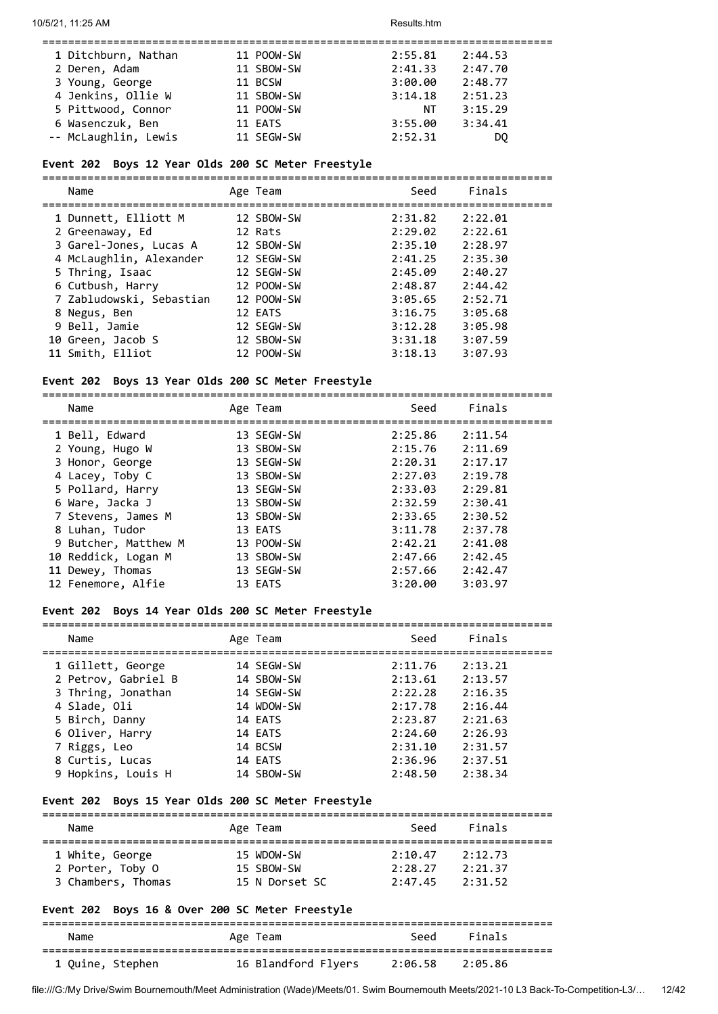| 1 Ditchburn, Nathan  | 11 POOW-SW | 2:55.81 | 2:44.53 |
|----------------------|------------|---------|---------|
| 2 Deren, Adam        | 11 SBOW-SW | 2:41.33 | 2:47.70 |
| 3 Young, George      | 11 BCSW    | 3:00.00 | 2:48.77 |
| 4 Jenkins, Ollie W   | 11 SBOW-SW | 3:14.18 | 2:51.23 |
| 5 Pittwood, Connor   | 11 POOW-SW | NΤ      | 3:15.29 |
| 6 Wasenczuk, Ben     | 11 EATS    | 3:55.00 | 3:34.41 |
| -- McLaughlin, Lewis | 11 SEGW-SW | 2:52.31 | DO      |

## **Event 202 Boys 12 Year Olds 200 SC Meter Freestyle**

===============================================================================

| Name                     | Age Team   | Seed    | Finals  |
|--------------------------|------------|---------|---------|
| 1 Dunnett, Elliott M     | 12 SBOW-SW | 2:31.82 | 2:22.01 |
| 2 Greenaway, Ed          | 12 Rats    | 2:29.02 | 2:22.61 |
| 3 Garel-Jones, Lucas A   | 12 SBOW-SW | 2:35.10 | 2:28.97 |
| 4 McLaughlin, Alexander  | 12 SEGW-SW | 2:41.25 | 2:35.30 |
| 5 Thring, Isaac          | 12 SEGW-SW | 2:45.09 | 2:40.27 |
| 6 Cutbush, Harry         | 12 POOW-SW | 2:48.87 | 2:44.42 |
| 7 Zabludowski, Sebastian | 12 POOW-SW | 3:05.65 | 2:52.71 |
| 8 Negus, Ben             | 12 EATS    | 3:16.75 | 3:05.68 |
| 9 Bell, Jamie            | 12 SEGW-SW | 3:12.28 | 3:05.98 |
| 10 Green, Jacob S        | 12 SBOW-SW | 3:31.18 | 3:07.59 |
| 11 Smith, Elliot         | 12 POOW-SW | 3:18.13 | 3:07.93 |
|                          |            |         |         |

#### **Event 202 Boys 13 Year Olds 200 SC Meter Freestyle**

===============================================================================

| Name                 | Age Team   | Seed    | Finals  |
|----------------------|------------|---------|---------|
| 1 Bell, Edward       | 13 SEGW-SW | 2:25.86 | 2:11.54 |
| 2 Young, Hugo W      | 13 SBOW-SW | 2:15.76 | 2:11.69 |
| 3 Honor, George      | 13 SEGW-SW | 2:20.31 | 2:17.17 |
| 4 Lacey, Toby C      | 13 SBOW-SW | 2:27.03 | 2:19.78 |
| 5 Pollard, Harry     | 13 SEGW-SW | 2:33.03 | 2:29.81 |
| 6 Ware, Jacka J      | 13 SBOW-SW | 2:32.59 | 2:30.41 |
| 7 Stevens, James M   | 13 SBOW-SW | 2:33.65 | 2:30.52 |
| 8 Luhan, Tudor       | 13 EATS    | 3:11.78 | 2:37.78 |
| 9 Butcher, Matthew M | 13 POOW-SW | 2:42.21 | 2:41.08 |
| 10 Reddick, Logan M  | 13 SBOW-SW | 2:47.66 | 2:42.45 |
| 11 Dewey, Thomas     | 13 SEGW-SW | 2:57.66 | 2:42.47 |
| 12 Fenemore, Alfie   | 13 EATS    | 3:20.00 | 3:03.97 |

## **Event 202 Boys 14 Year Olds 200 SC Meter Freestyle**

| Name                | Age Team   | Seed    | Finals  |
|---------------------|------------|---------|---------|
| 1 Gillett, George   | 14 SEGW-SW | 2:11.76 | 2:13.21 |
| 2 Petrov, Gabriel B | 14 SBOW-SW | 2:13.61 | 2:13.57 |
| 3 Thring, Jonathan  | 14 SEGW-SW | 2:22.28 | 2:16.35 |
| 4 Slade, Oli        | 14 WDOW-SW | 2:17.78 | 2:16.44 |
| 5 Birch, Danny      | 14 EATS    | 2:23.87 | 2:21.63 |
| 6 Oliver, Harry     | 14 EATS    | 2:24.60 | 2:26.93 |
| 7 Riggs, Leo        | 14 BCSW    | 2:31.10 | 2:31.57 |
| 8 Curtis, Lucas     | 14 EATS    | 2:36.96 | 2:37.51 |
| 9 Hopkins, Louis H  | 14 SBOW-SW | 2:48.50 | 2:38.34 |

## **Event 202 Boys 15 Year Olds 200 SC Meter Freestyle**

| Name               | Age Team       | Seed    | Finals  |  |
|--------------------|----------------|---------|---------|--|
| 1 White, George    | 15 WDOW-SW     | 2:10.47 | 2:12.73 |  |
| 2 Porter, Toby O   | 15 SBOW-SW     | 2:28.27 | 2:21.37 |  |
| 3 Chambers, Thomas | 15 N Dorset SC | 2:47.45 | 2:31.52 |  |

===============================================================================

## **Event 202 Boys 16 & Over 200 SC Meter Freestyle**

===============================================================================

| Name             | Age Team            | Seed    | Finals  |
|------------------|---------------------|---------|---------|
|                  | 16 Blandford Flyers | 2:06.58 | 2:05.86 |
| 1 Quine, Stephen |                     |         |         |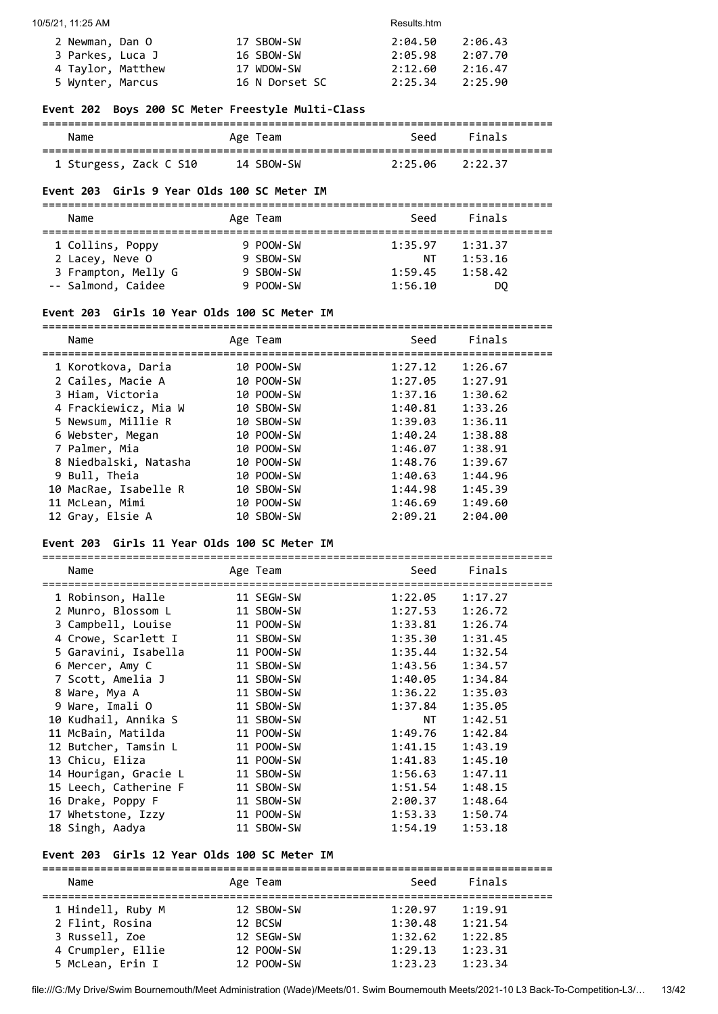| 2 Newman, Dan O   | 17 SBOW-SW     | 2:04.50 | 2:06.43 |
|-------------------|----------------|---------|---------|
| 3 Parkes, Luca J  | 16 SBOW-SW     | 2:05.98 | 2:07.70 |
| 4 Taylor, Matthew | 17 WDOW-SW     | 2:12.60 | 2:16.47 |
| 5 Wynter, Marcus  | 16 N Dorset SC | 2:25.34 | 2:25.90 |

## **Event 202 Boys 200 SC Meter Freestyle Multi-Class**

| Name                   | Age Team   | Seed            | Finals |
|------------------------|------------|-----------------|--------|
| 1 Sturgess, Zack C S10 | 14 SBOW-SW | 2:25.06 2:22.37 |        |

## **Event 203 Girls 9 Year Olds 100 SC Meter IM**

| Name                | Age Team  | Seed    | Finals  |  |
|---------------------|-----------|---------|---------|--|
| 1 Collins, Poppy    | 9 POOW-SW | 1:35.97 | 1:31.37 |  |
| 2 Lacey, Neve O     | 9 SBOW-SW | NΤ      | 1:53.16 |  |
| 3 Frampton, Melly G | 9 SBOW-SW | 1:59.45 | 1:58.42 |  |
| -- Salmond, Caidee  | 9 POOW-SW | 1:56.10 | DO      |  |

## **Event 203 Girls 10 Year Olds 100 SC Meter IM**

| Name                  | Age Team   | Seed    | Finals  |
|-----------------------|------------|---------|---------|
| 1 Korotkova, Daria    | 10 POOW-SW | 1:27.12 | 1:26.67 |
| 2 Cailes, Macie A     | 10 POOW-SW | 1:27.05 | 1:27.91 |
| 3 Hiam, Victoria      | 10 POOW-SW | 1:37.16 | 1:30.62 |
| 4 Frackiewicz, Mia W  | 10 SBOW-SW | 1:40.81 | 1:33.26 |
| 5 Newsum, Millie R    | 10 SBOW-SW | 1:39.03 | 1:36.11 |
| 6 Webster, Megan      | 10 POOW-SW | 1:40.24 | 1:38.88 |
| 7 Palmer, Mia         | 10 POOW-SW | 1:46.07 | 1:38.91 |
| 8 Niedbalski, Natasha | 10 POOW-SW | 1:48.76 | 1:39.67 |
| 9 Bull, Theia         | 10 POOW-SW | 1:40.63 | 1:44.96 |
| 10 MacRae, Isabelle R | 10 SBOW-SW | 1:44.98 | 1:45.39 |
| 11 McLean, Mimi       | 10 POOW-SW | 1:46.69 | 1:49.60 |
| 12 Gray, Elsie A      | 10 SBOW-SW | 2:09.21 | 2:04.00 |

#### **Event 203 Girls 11 Year Olds 100 SC Meter IM**

===============================================================================

| Name                  | Age Team   | Seed    | Finals  |
|-----------------------|------------|---------|---------|
| 1 Robinson, Halle     | 11 SEGW-SW | 1:22.05 | 1:17.27 |
| 2 Munro, Blossom L    | 11 SBOW-SW | 1:27.53 | 1:26.72 |
| 3 Campbell, Louise    | 11 POOW-SW | 1:33.81 | 1:26.74 |
| 4 Crowe, Scarlett I   | 11 SBOW-SW | 1:35.30 | 1:31.45 |
| 5 Garavini, Isabella  | 11 POOW-SW | 1:35.44 | 1:32.54 |
| 6 Mercer, Amy C       | 11 SBOW-SW | 1:43.56 | 1:34.57 |
| 7 Scott, Amelia J     | 11 SBOW-SW | 1:40.05 | 1:34.84 |
| 8 Ware, Mya A         | 11 SBOW-SW | 1:36.22 | 1:35.03 |
| 9 Ware, Imali O       | 11 SBOW-SW | 1:37.84 | 1:35.05 |
| 10 Kudhail, Annika S  | 11 SBOW-SW | NT T    | 1:42.51 |
| 11 McBain, Matilda    | 11 POOW-SW | 1:49.76 | 1:42.84 |
| 12 Butcher, Tamsin L  | 11 POOW-SW | 1:41.15 | 1:43.19 |
| 13 Chicu, Eliza       | 11 POOW-SW | 1:41.83 | 1:45.10 |
| 14 Hourigan, Gracie L | 11 SBOW-SW | 1:56.63 | 1:47.11 |
| 15 Leech, Catherine F | 11 SBOW-SW | 1:51.54 | 1:48.15 |
| 16 Drake, Poppy F     | 11 SBOW-SW | 2:00.37 | 1:48.64 |
| 17 Whetstone, Izzy    | 11 POOW-SW | 1:53.33 | 1:50.74 |
| 18 Singh, Aadya       | 11 SBOW-SW | 1:54.19 | 1:53.18 |

#### **Event 203 Girls 12 Year Olds 100 SC Meter IM**

| Name              | Age Team   | Seed    | Finals  |  |  |
|-------------------|------------|---------|---------|--|--|
|                   |            |         |         |  |  |
| 1 Hindell, Ruby M | 12 SBOW-SW | 1:20.97 | 1:19.91 |  |  |
| 2 Flint, Rosina   | 12 BCSW    | 1:30.48 | 1:21.54 |  |  |
| 3 Russell, Zoe    | 12 SEGW-SW | 1:32.62 | 1:22.85 |  |  |
| 4 Crumpler, Ellie | 12 POOW-SW | 1:29.13 | 1:23.31 |  |  |
| 5 McLean, Erin I  | 12 POOW-SW | 1:23.23 | 1:23.34 |  |  |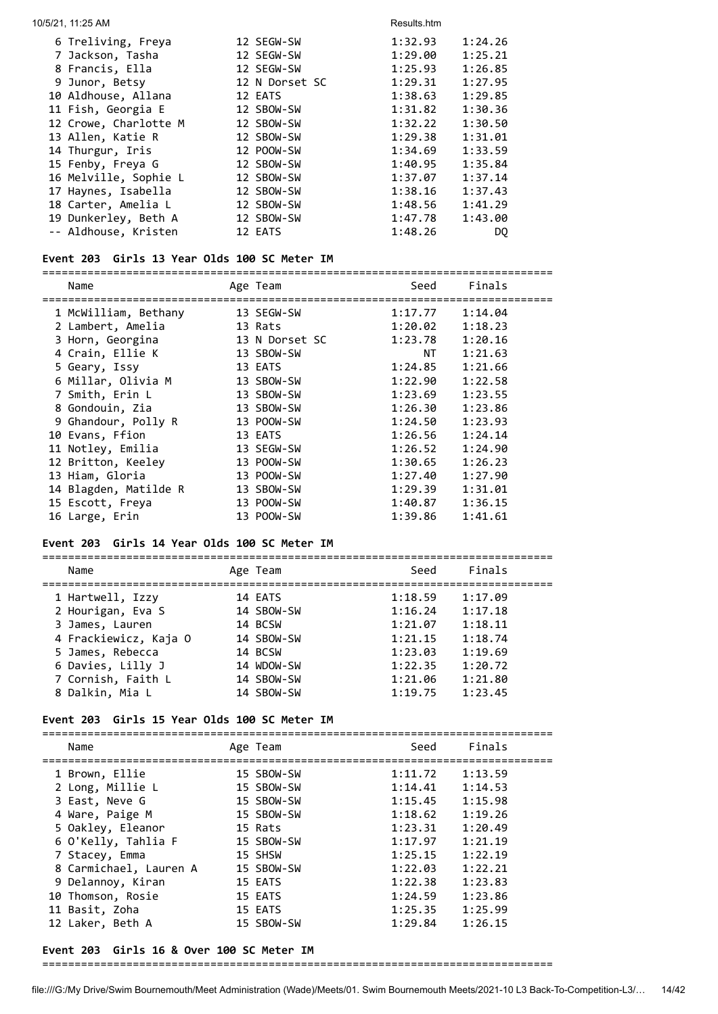| 10/5/21, 11:25 AM     |                | Results.htm        |
|-----------------------|----------------|--------------------|
| 6 Treliving, Freya    | 12 SEGW-SW     | 1:32.93<br>1:24.26 |
| 7 Jackson, Tasha      | 12 SEGW-SW     | 1:29.00<br>1:25.21 |
| 8 Francis, Ella       | 12 SEGW-SW     | 1:25.93<br>1:26.85 |
| 9 Junor, Betsy        | 12 N Dorset SC | 1:29.31<br>1:27.95 |
| 10 Aldhouse, Allana   | 12 EATS        | 1:38.63<br>1:29.85 |
| 11 Fish, Georgia E    | 12 SBOW-SW     | 1:30.36<br>1:31.82 |
| 12 Crowe, Charlotte M | 12 SBOW-SW     | 1:32.22<br>1:30.50 |
| 13 Allen, Katie R     | 12 SBOW-SW     | 1:29.38<br>1:31.01 |
| 14 Thurgur, Iris      | 12 POOW-SW     | 1:34.69<br>1:33.59 |
| 15 Fenby, Freya G     | 12 SBOW-SW     | 1:40.95<br>1:35.84 |
| 16 Melville, Sophie L | 12 SBOW-SW     | 1:37.14<br>1:37.07 |
| 17 Haynes, Isabella   | 12 SBOW-SW     | 1:38.16<br>1:37.43 |
| 18 Carter, Amelia L   | 12 SBOW-SW     | 1:48.56<br>1:41.29 |
| 19 Dunkerley, Beth A  | 12 SBOW-SW     | 1:43.00<br>1:47.78 |
| -- Aldhouse, Kristen  | 12 EATS        | 1:48.26<br>DQ      |

#### **Event 203 Girls 13 Year Olds 100 SC Meter IM**

=============================================================================== Name Age Team Seed Finals =============================================================================== 1 McWilliam, Bethany 13 SEGW-SW 1:17.77 1:14.04 2 Lambert, Amelia 13 Rats 1:20.02 1:18.23 3 Horn, Georgina 13 N Dorset SC 1:23.78 1:20.16 4 Crain, Ellie K 13 SBOW-SW NT 1:21.63 5 Geary, Issy 13 EATS 1:24.85 1:21.66 6 Millar, Olivia M 13 SBOW-SW 1:22.90 1:22.58 7 Smith, Erin L 13 SBOW-SW 1:23.69 1:23.55 8 Gondouin, Zia 13 SBOW-SW 1:26.30 1:23.86 9 Ghandour, Polly R 13 POOW-SW 1:24.50 1:23.93 10 Evans, Ffion 13 EATS 1:26.56 1:24.14 11 Notley, Emilia 13 SEGW-SW 1:26.52 1:24.90 12 Britton, Keeley 13 POOW-SW 1:30.65 1:26.23 13 Hiam, Gloria 13 POOW-SW 1:27.40 1:27.90 14 Blagden, Matilde R 13 SBOW-SW 1:29.39 1:31.01 15 Escott, Freya 13 POOW-SW 1:40.87 1:36.15 16 Large, Erin 13 POOW-SW 1:39.86 1:41.61

#### **Event 203 Girls 14 Year Olds 100 SC Meter IM**

=============================================================================== Name **Age Team** Seed Finals =============================================================================== 1 Hartwell, Izzy 14 EATS 1:18.59 1:17.09 2 Hourigan, Eva S 14 SBOW-SW 1:16.24 1:17.18 3 James, Lauren 14 BCSW 1:21.07 1:18.11 4 Frackiewicz, Kaja O 14 SBOW-SW 1:21.15 1:18.74 5 James, Rebecca 14 BCSW 1:23.03 1:19.69 6 Davies, Lilly J 14 WDOW-SW 1:22.35 1:20.72 7 Cornish, Faith L 14 SBOW-SW 1:21.06 1:21.80 8 Dalkin, Mia L 14 SBOW-SW 1:19.75 1:23.45

#### **Event 203 Girls 15 Year Olds 100 SC Meter IM**

| Name                   | Age Team   | Seed    | Finals  |
|------------------------|------------|---------|---------|
|                        |            |         |         |
| 1 Brown, Ellie         | 15 SBOW-SW | 1:11.72 | 1:13.59 |
| 2 Long, Millie L       | 15 SBOW-SW | 1:14.41 | 1:14.53 |
| 3 East, Neve G         | 15 SBOW-SW | 1:15.45 | 1:15.98 |
| 4 Ware, Paige M        | 15 SBOW-SW | 1:18.62 | 1:19.26 |
| 5 Oakley, Eleanor      | 15 Rats    | 1:23.31 | 1:20.49 |
| 6 O'Kelly, Tahlia F    | 15 SBOW-SW | 1:17.97 | 1:21.19 |
| 7 Stacey, Emma         | 15 SHSW    | 1:25.15 | 1:22.19 |
| 8 Carmichael, Lauren A | 15 SBOW-SW | 1:22.03 | 1:22.21 |
| 9 Delannoy, Kiran      | 15 EATS    | 1:22.38 | 1:23.83 |
| 10 Thomson, Rosie      | 15 EATS    | 1:24.59 | 1:23.86 |
| 11 Basit, Zoha         | 15 EATS    | 1:25.35 | 1:25.99 |
| 12 Laker, Beth A       | 15 SBOW-SW | 1:29.84 | 1:26.15 |
|                        |            |         |         |

#### **Event 203 Girls 16 & Over 100 SC Meter IM**

#### ===============================================================================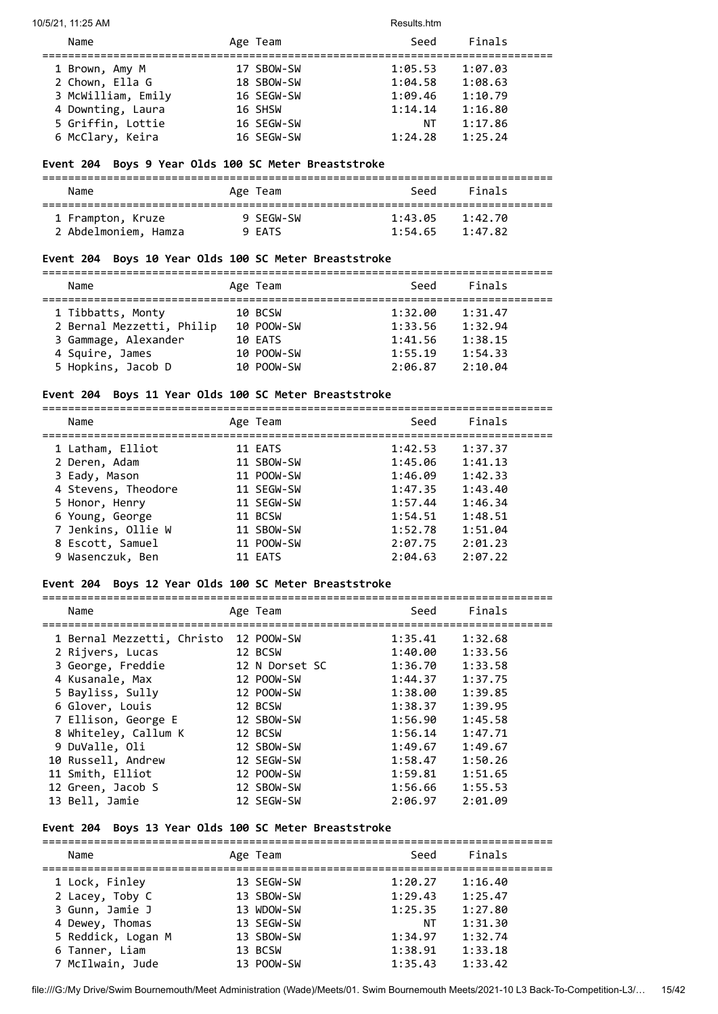10/5/21, 11:25 AM Results.htm

| Name               | Age Team   | Seed    | Finals  |
|--------------------|------------|---------|---------|
| 1 Brown, Amy M     | 17 SBOW-SW | 1:05.53 | 1:07.03 |
| 2 Chown, Ella G    | 18 SBOW-SW | 1:04.58 | 1:08.63 |
| 3 McWilliam, Emily | 16 SEGW-SW | 1:09.46 | 1:10.79 |
| 4 Downting, Laura  | 16 SHSW    | 1:14.14 | 1:16.80 |
| 5 Griffin, Lottie  | 16 SEGW-SW | NΤ      | 1:17.86 |
| 6 McClary, Keira   | 16 SEGW-SW | 1:24.28 | 1:25.24 |
|                    |            |         |         |

## **Event 204 Boys 9 Year Olds 100 SC Meter Breaststroke**

| Name                 | Age Team  | Seed    | Finals  |  |
|----------------------|-----------|---------|---------|--|
| 1 Frampton, Kruze    | 9 SFGW-SW | 1:43.05 | 1:42.70 |  |
| 2 Abdelmoniem, Hamza | 9 FATS    | 1:54.65 | 1:47.82 |  |

#### **Event 204 Boys 10 Year Olds 100 SC Meter Breaststroke**

=============================================================================== Name **Age Team** Age Team Seed Finals =============================================================================== 1 Tibbatts, Monty 10 BCSW 1:32.00 1:31.47<br>2 Bernal Mezzetti, Philip 10 POOW-SW 1:33.56 1:32.94 2 Bernal Mezzetti, Philip 10 POOW-SW 1:33.56 1:32.94 3 Gammage, Alexander 10 EATS 1:41.56 1:38.15 4 Squire, James 10 POOW-SW 1:55.19 1:54.33 5 Hopkins, Jacob D 10 POOW-SW 2:06.87 2:10.04

#### **Event 204 Boys 11 Year Olds 100 SC Meter Breaststroke** ===============================================================================

| Name                | Age Team   | Seed    | Finals  |
|---------------------|------------|---------|---------|
| 1 Latham, Elliot    | 11 EATS    | 1:42.53 | 1:37.37 |
| 2 Deren, Adam       | 11 SBOW-SW | 1:45.06 | 1:41.13 |
| 3 Eady, Mason       | 11 POOW-SW | 1:46.09 | 1:42.33 |
| 4 Stevens, Theodore | 11 SEGW-SW | 1:47.35 | 1:43.40 |
| 5 Honor, Henry      | 11 SEGW-SW | 1:57.44 | 1:46.34 |
| 6 Young, George     | 11 BCSW    | 1:54.51 | 1:48.51 |
| 7 Jenkins, Ollie W  | 11 SBOW-SW | 1:52.78 | 1:51.04 |
| 8 Escott, Samuel    | 11 POOW-SW | 2:07.75 | 2:01.23 |
| 9 Wasenczuk, Ben    | 11 EATS    | 2:04.63 | 2:07.22 |

#### **Event 204 Boys 12 Year Olds 100 SC Meter Breaststroke**

| Name                                  | Age Team       | Seed    | Finals  |
|---------------------------------------|----------------|---------|---------|
| 1 Bernal Mezzetti, Christo 12 POOW-SW |                | 1:35.41 | 1:32.68 |
| 2 Rijvers, Lucas                      | 12 BCSW        | 1:40.00 | 1:33.56 |
| 3 George, Freddie                     | 12 N Dorset SC | 1:36.70 | 1:33.58 |
| 4 Kusanale, Max                       | 12 POOW-SW     | 1:44.37 | 1:37.75 |
| 5 Bayliss, Sully                      | 12 POOW-SW     | 1:38.00 | 1:39.85 |
| 6 Glover, Louis                       | 12 BCSW        | 1:38.37 | 1:39.95 |
| 7 Ellison, George E                   | 12 SBOW-SW     | 1:56.90 | 1:45.58 |
| 8 Whiteley, Callum K                  | 12 BCSW        | 1:56.14 | 1:47.71 |
| 9 DuValle, Oli                        | 12 SBOW-SW     | 1:49.67 | 1:49.67 |
| 10 Russell, Andrew                    | 12 SEGW-SW     | 1:58.47 | 1:50.26 |
| 11 Smith, Elliot                      | 12 POOW-SW     | 1:59.81 | 1:51.65 |
| 12 Green, Jacob S                     | 12 SBOW-SW     | 1:56.66 | 1:55.53 |
| 13 Bell, Jamie                        | 12 SEGW-SW     | 2:06.97 | 2:01.09 |

===============================================================================

## **Event 204 Boys 13 Year Olds 100 SC Meter Breaststroke**

| Name               | Age Team   | Seed    | Finals  |  |
|--------------------|------------|---------|---------|--|
| 1 Lock, Finley     | 13 SEGW-SW | 1:20.27 | 1:16.40 |  |
| 2 Lacey, Toby C    | 13 SBOW-SW | 1:29.43 | 1:25.47 |  |
| 3 Gunn, Jamie J    | 13 WDOW-SW | 1:25.35 | 1:27.80 |  |
| 4 Dewey, Thomas    | 13 SEGW-SW | NT      | 1:31.30 |  |
| 5 Reddick, Logan M | 13 SBOW-SW | 1:34.97 | 1:32.74 |  |
| 6 Tanner, Liam     | 13 BCSW    | 1:38.91 | 1:33.18 |  |
| 7 McIlwain, Jude   | 13 POOW-SW | 1:35.43 | 1:33.42 |  |
|                    |            |         |         |  |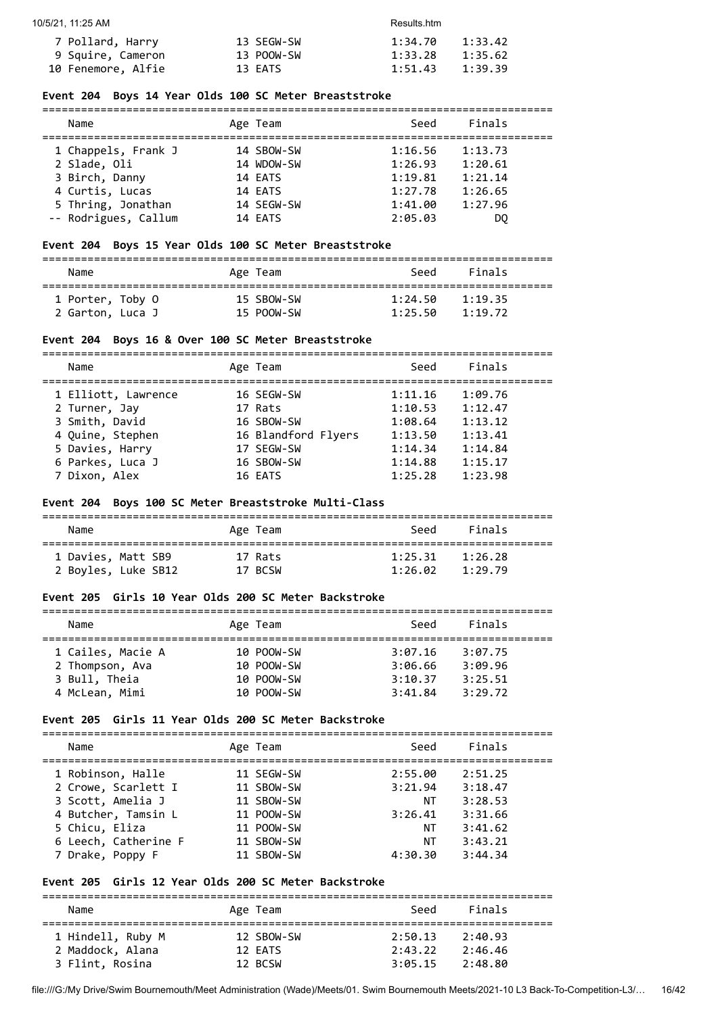| 7 Pollard, Harry   | 13 SEGW-SW | 1:34.70 | 1:33.42 |
|--------------------|------------|---------|---------|
| 9 Squire, Cameron  | 13 POOW-SW | 1:33.28 | 1:35.62 |
| 10 Fenemore, Alfie | 13 EATS    | 1:51.43 | 1:39.39 |

#### **Event 204 Boys 14 Year Olds 100 SC Meter Breaststroke**

| Name                 | Age Team   | Seed    | Finals  |  |
|----------------------|------------|---------|---------|--|
| 1 Chappels, Frank J  | 14 SBOW-SW | 1:16.56 | 1:13.73 |  |
| 2 Slade, Oli         | 14 WDOW-SW | 1:26.93 | 1:20.61 |  |
| 3 Birch, Danny       | 14 EATS    | 1:19.81 | 1:21.14 |  |
| 4 Curtis, Lucas      | 14 EATS    | 1:27.78 | 1:26.65 |  |
| 5 Thring, Jonathan   | 14 SEGW-SW | 1:41.00 | 1:27.96 |  |
| -- Rodrigues, Callum | 14 EATS    | 2:05.03 | DO.     |  |

#### **Event 204 Boys 15 Year Olds 100 SC Meter Breaststroke**

| Name             | Age Team   | Seed    | Finals  |  |
|------------------|------------|---------|---------|--|
| 1 Porter, Toby O | 15 SBOW-SW | 1:24.50 | 1:19.35 |  |
| 2 Garton, Luca J | 15 POOW-SW | 1:25.50 | 1:19.72 |  |

#### **Event 204 Boys 16 & Over 100 SC Meter Breaststroke**

=============================================================================== Name **Age Team** Age Team Seed Finals

| 1 Elliott, Lawrence | 16 SEGW-SW          | 1:11.16 | 1:09.76 |
|---------------------|---------------------|---------|---------|
| 2 Turner, Jay       | 17 Rats             | 1:10.53 | 1:12.47 |
| 3 Smith, David      | 16 SBOW-SW          | 1:08.64 | 1:13.12 |
| 4 Quine, Stephen    | 16 Blandford Flyers | 1:13.50 | 1:13.41 |
| 5 Davies, Harry     | 17 SEGW-SW          | 1:14.34 | 1:14.84 |
| 6 Parkes, Luca J    | 16 SBOW-SW          | 1:14.88 | 1:15.17 |
| 7 Dixon, Alex       | 16 EATS             | 1:25.28 | 1:23.98 |
|                     |                     |         |         |

#### **Event 204 Boys 100 SC Meter Breaststroke Multi-Class**

| Name                | Age Team | Seed    | Finals  |  |
|---------------------|----------|---------|---------|--|
| 1 Davies, Matt SB9  | 17 Rats  | 1:25.31 | 1:26.28 |  |
| 2 Boyles, Luke SB12 | 17 BCSW  | 1:26.02 | 1:29.79 |  |

#### **Event 205 Girls 10 Year Olds 200 SC Meter Backstroke**

| Name              | Age Team   | Seed    | Finals  |  |
|-------------------|------------|---------|---------|--|
|                   |            |         |         |  |
| 1 Cailes, Macie A | 10 POOW-SW | 3:07.16 | 3:07.75 |  |
| 2 Thompson, Ava   | 10 POOW-SW | 3:06.66 | 3:09.96 |  |
| 3 Bull, Theia     | 10 POOW-SW | 3:10.37 | 3:25.51 |  |
| 4 McLean, Mimi    | 10 POOW-SW | 3:41.84 | 3:29.72 |  |

#### **Event 205 Girls 11 Year Olds 200 SC Meter Backstroke**

| Name |                      | Age Team   |         | Seed | Finals  |  |
|------|----------------------|------------|---------|------|---------|--|
|      | 1 Robinson, Halle    | 11 SEGW-SW | 2:55.00 |      | 2:51.25 |  |
|      | 2 Crowe, Scarlett I  | 11 SBOW-SW | 3:21.94 |      | 3:18.47 |  |
|      | 3 Scott, Amelia J    | 11 SBOW-SW |         | ΝT   | 3:28.53 |  |
|      | 4 Butcher, Tamsin L  | 11 POOW-SW | 3:26.41 |      | 3:31.66 |  |
|      | 5 Chicu, Eliza       | 11 POOW-SW |         | ΝT   | 3:41.62 |  |
|      | 6 Leech, Catherine F | 11 SBOW-SW |         | ΝT   | 3:43.21 |  |
|      | 7 Drake, Poppy F     | 11 SBOW-SW | 4:30.30 |      | 3:44.34 |  |

#### **Event 205 Girls 12 Year Olds 200 SC Meter Backstroke**

=============================================================================== Name **Age Team** Age Team Seed Finals =============================================================================== 1 Hindell, Ruby M 12 SBOW-SW 2:50.13 2:40.93 2 Maddock, Alana 12 EATS 2:43.22 2:46.46 3 Flint, Rosina 12 BCSW 3:05.15 2:48.80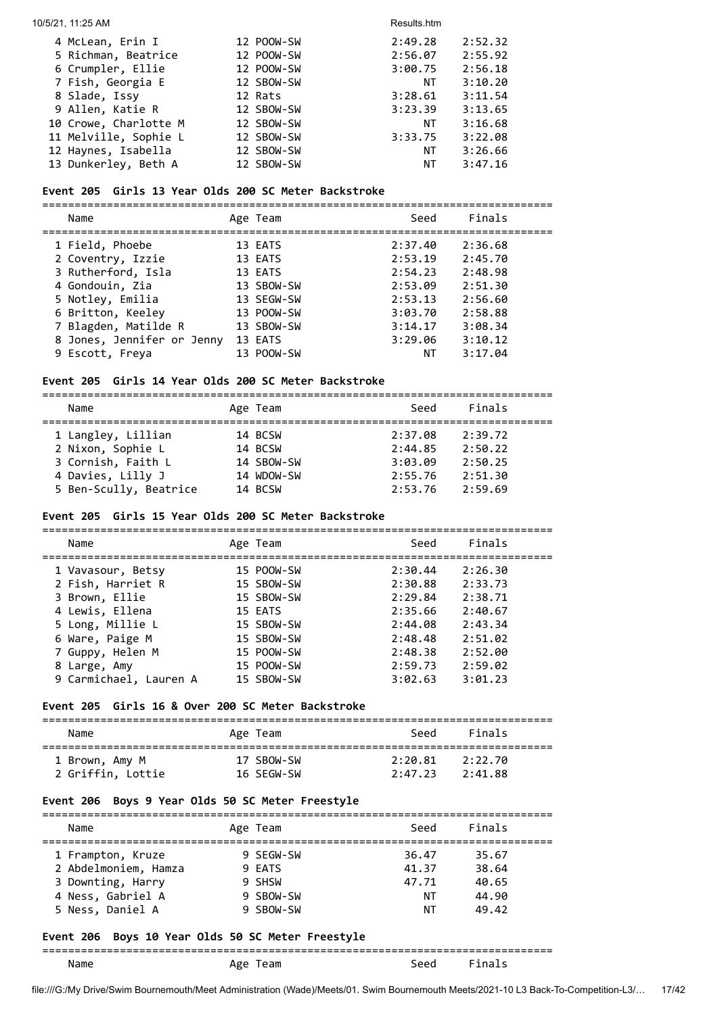#### 10/5/21, 11:25 AM Results.htm

| 12 POOW-SW | 2:49.28 | 2:52.32 |
|------------|---------|---------|
| 12 POOW-SW | 2:56.07 | 2:55.92 |
| 12 POOW-SW | 3:00.75 | 2:56.18 |
| 12 SBOW-SW | ΝT      | 3:10.20 |
| 12 Rats    | 3:28.61 | 3:11.54 |
| 12 SBOW-SW | 3:23.39 | 3:13.65 |
| 12 SBOW-SW | NΤ      | 3:16.68 |
| 12 SBOW-SW | 3:33.75 | 3:22.08 |
| 12 SBOW-SW | NT      | 3:26.66 |
| 12 SBOW-SW | ΝT      | 3:47.16 |
|            |         |         |

## **Event 205 Girls 13 Year Olds 200 SC Meter Backstroke**

===============================================================================

| Name                                    | Age Team           | Seed               | Finals             |
|-----------------------------------------|--------------------|--------------------|--------------------|
| 1 Field, Phoebe                         | 13 EATS            | 2:37.40            | 2:36.68            |
| 2 Coventry, Izzie<br>3 Rutherford, Isla | 13 EATS<br>13 EATS | 2:53.19<br>2:54.23 | 2:45.70<br>2:48.98 |
| 4 Gondouin, Zia                         | 13 SBOW-SW         | 2:53.09            | 2:51.30            |
| 5 Notley, Emilia                        | 13 SEGW-SW         | 2:53.13            | 2:56.60            |
| 6 Britton, Keeley                       | 13 POOW-SW         | 3:03.70            | 2:58.88            |
| 7 Blagden, Matilde R                    | 13 SBOW-SW         | 3:14.17            | 3:08.34            |
| 8 Jones, Jennifer or Jenny              | 13 EATS            | 3:29.06            | 3:10.12            |
| 9 Escott, Freya                         | 13 POOW-SW         | NΤ                 | 3:17.04            |
|                                         |                    |                    |                    |

#### **Event 205 Girls 14 Year Olds 200 SC Meter Backstroke**

===============================================================================

| Name                   | Age Team   | Seed    | Finals  |
|------------------------|------------|---------|---------|
| 1 Langley, Lillian     | 14 BCSW    | 2:37.08 | 2:39.72 |
| 2 Nixon, Sophie L      | 14 BCSW    | 2:44.85 | 2:50.22 |
| 3 Cornish, Faith L     | 14 SBOW-SW | 3:03.09 | 2:50.25 |
| 4 Davies, Lilly J      | 14 WDOW-SW | 2:55.76 | 2:51.30 |
| 5 Ben-Scully, Beatrice | 14 BCSW    | 2:53.76 | 2:59.69 |
|                        |            |         |         |

## **Event 205 Girls 15 Year Olds 200 SC Meter Backstroke**

| Name                   | Age Team   | Seed    | Finals  |
|------------------------|------------|---------|---------|
| 1 Vavasour, Betsy      | 15 POOW-SW | 2:30.44 | 2:26.30 |
| 2 Fish, Harriet R      | 15 SBOW-SW | 2:30.88 | 2:33.73 |
| 3 Brown, Ellie         | 15 SBOW-SW | 2:29.84 | 2:38.71 |
| 4 Lewis, Ellena        | 15 EATS    | 2:35.66 | 2:40.67 |
| 5 Long, Millie L       | 15 SBOW-SW | 2:44.08 | 2:43.34 |
| 6 Ware, Paige M        | 15 SBOW-SW | 2:48.48 | 2:51.02 |
| 7 Guppy, Helen M       | 15 POOW-SW | 2:48.38 | 2:52.00 |
| 8 Large, Amy           | 15 POOW-SW | 2:59.73 | 2:59.02 |
| 9 Carmichael, Lauren A | 15 SBOW-SW | 3:02.63 | 3:01.23 |
|                        |            |         |         |

## **Event 205 Girls 16 & Over 200 SC Meter Backstroke**

| Name              | Age Team   | Seed    | Finals  |  |
|-------------------|------------|---------|---------|--|
| 1 Brown, Amy M    | 17 SBOW-SW | 2:20.81 | 2:22.70 |  |
| 2 Griffin, Lottie | 16 SEGW-SW | 2:47.23 | 2:41.88 |  |

## **Event 206 Boys 9 Year Olds 50 SC Meter Freestyle**

| Name                                                                                                    | Age Team                                                | Seed                                | Finals                                    |  |  |  |
|---------------------------------------------------------------------------------------------------------|---------------------------------------------------------|-------------------------------------|-------------------------------------------|--|--|--|
| 1 Frampton, Kruze<br>2 Abdelmoniem, Hamza<br>3 Downting, Harry<br>4 Ness, Gabriel A<br>5 Ness, Daniel A | 9 SEGW-SW<br>9 FATS<br>9 SHSW<br>9 SBOW-SW<br>9 SBOW-SW | 36.47<br>41.37<br>47.71<br>ΝT<br>NΤ | 35.67<br>38.64<br>40.65<br>44.90<br>49.42 |  |  |  |

## **Event 206 Boys 10 Year Olds 50 SC Meter Freestyle**

## =============================================================================== Name Age Team Seed Finals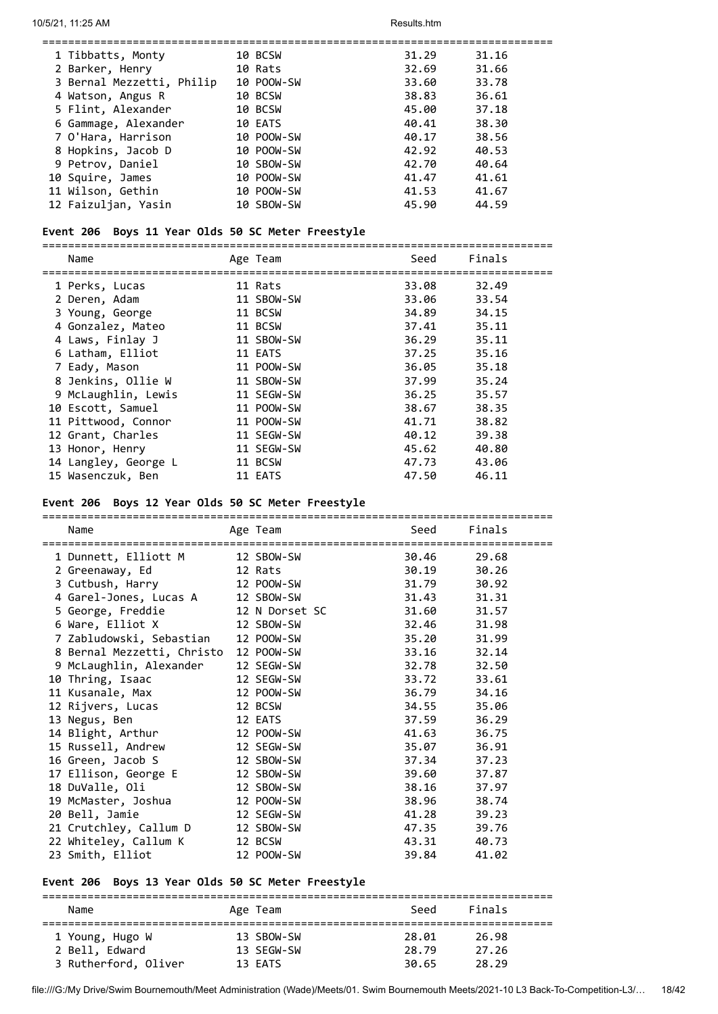| 10 BCSW                                 | 31.29 | 31.16 |
|-----------------------------------------|-------|-------|
| 10 Rats                                 | 32.69 | 31.66 |
| 3 Bernal Mezzetti, Philip<br>10 POOW-SW | 33.60 | 33.78 |
| 10 BCSW                                 | 38.83 | 36.61 |
| 10 BCSW                                 | 45.00 | 37.18 |
| 10 EATS                                 | 40.41 | 38.30 |
| 10 POOW-SW                              | 40.17 | 38.56 |
| 10 POOW-SW                              | 42.92 | 40.53 |
| 10 SBOW-SW                              | 42.70 | 40.64 |
| 10 POOW-SW                              | 41.47 | 41.61 |
| 10 POOW-SW                              | 41.53 | 41.67 |
| 10 SBOW-SW                              | 45.90 | 44.59 |
|                                         |       |       |

#### **Event 206 Boys 11 Year Olds 50 SC Meter Freestyle**

===============================================================================

| Name                 | Age Team   | Seed  | Finals |
|----------------------|------------|-------|--------|
| 1 Perks, Lucas       | 11 Rats    | 33.08 | 32.49  |
| 2 Deren, Adam        | 11 SBOW-SW | 33.06 | 33.54  |
| 3 Young, George      | 11 BCSW    | 34.89 | 34.15  |
| 4 Gonzalez, Mateo    | 11 BCSW    | 37.41 | 35.11  |
| 4 Laws, Finlay J     | 11 SBOW-SW | 36.29 | 35.11  |
| 6 Latham, Elliot     | 11 EATS    | 37.25 | 35.16  |
| 7 Eady, Mason        | 11 POOW-SW | 36.05 | 35.18  |
| 8 Jenkins, Ollie W   | 11 SBOW-SW | 37.99 | 35.24  |
| 9 McLaughlin, Lewis  | 11 SEGW-SW | 36.25 | 35.57  |
| 10 Escott, Samuel    | 11 POOW-SW | 38.67 | 38.35  |
| 11 Pittwood, Connor  | 11 POOW-SW | 41.71 | 38.82  |
| 12 Grant, Charles    | 11 SEGW-SW | 40.12 | 39.38  |
| 13 Honor, Henry      | 11 SEGW-SW | 45.62 | 40.80  |
| 14 Langley, George L | 11 BCSW    | 47.73 | 43.06  |
| 15 Wasenczuk, Ben    | 11 EATS    | 47.50 | 46.11  |
|                      |            |       |        |

#### **Event 206 Boys 12 Year Olds 50 SC Meter Freestyle**

| Name                                | Age Team<br>.========================= | Seed  | Finals |
|-------------------------------------|----------------------------------------|-------|--------|
| 1 Dunnett, Elliott M 12 SBOW-SW     |                                        | 30.46 | 29.68  |
|                                     |                                        | 30.19 | 30.26  |
| 3 Cutbush, Harry 12 POOW-SW         |                                        | 31.79 | 30.92  |
| 4 Garel-Jones, Lucas A              | 12 SBOW-SW                             | 31.43 | 31.31  |
| 5 George, Freddie                   | 12 N Dorset SC                         | 31.60 | 31.57  |
| 6 Ware, Elliot X                    | 12 SBOW-SW                             | 32.46 | 31.98  |
| 7 Zabludowski, Sebastian 12 POOW-SW |                                        | 35.20 | 31.99  |
| 8 Bernal Mezzetti, Christo          | 12 POOW-SW                             | 33.16 | 32.14  |
| 9 McLaughlin, Alexander             | 12 SEGW-SW                             | 32.78 | 32.50  |
| 10 Thring, Isaac                    | 12 SEGW-SW                             | 33.72 | 33.61  |
| 11 Kusanale, Max                    | 12 POOW-SW                             | 36.79 | 34.16  |
| 12 Rijvers, Lucas                   | 12 BCSW                                | 34.55 | 35.06  |
| 13 Negus, Ben                       | 12 EATS                                | 37.59 | 36.29  |
| 14 Blight, Arthur                   | 12 POOW-SW                             | 41.63 | 36.75  |
| 15 Russell, Andrew                  | 12 SEGW-SW                             | 35.07 | 36.91  |
| 16 Green, Jacob S                   | 12 SBOW-SW                             | 37.34 | 37.23  |
| 17 Ellison, George E                | 12 SBOW-SW                             | 39.60 | 37.87  |
| 18 DuValle, Oli                     | 12 SBOW-SW                             | 38.16 | 37.97  |
| 19 McMaster, Joshua                 | 12 POOW-SW                             | 38.96 | 38.74  |
| 20 Bell, Jamie                      | 12 SEGW-SW                             | 41.28 | 39.23  |
| 21 Crutchley, Callum D              | 12 SBOW-SW                             | 47.35 | 39.76  |
| 22 Whiteley, Callum K               | 12 BCSW                                | 43.31 | 40.73  |
| 23 Smith, Elliot                    | 12 POOW-SW                             | 39.84 | 41.02  |

### **Event 206 Boys 13 Year Olds 50 SC Meter Freestyle**

=============================================================================== Name **Age Team** Age Team Seed Finals =============================================================================== 1 Young, Hugo W 13 SBOW-SW 28.01 26.98 2 Bell, Edward 13 SEGW-SW 28.79 27.26 3 Rutherford, Oliver 13 EATS 30.65 28.29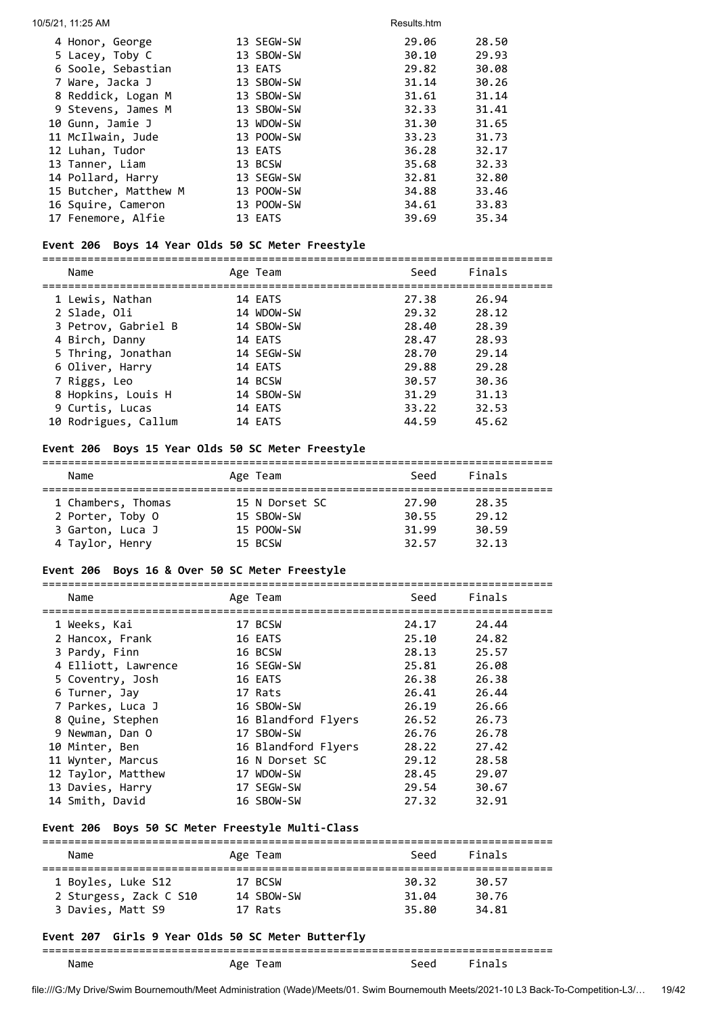| 10/5/21, 11:25 AM     |            | Results.htm |       |
|-----------------------|------------|-------------|-------|
| 4 Honor, George       | 13 SEGW-SW | 29.06       | 28.50 |
| 5 Lacey, Toby C       | 13 SBOW-SW | 30.10       | 29.93 |
| 6 Soole, Sebastian    | 13 EATS    | 29.82       | 30.08 |
| 7 Ware, Jacka J       | 13 SBOW-SW | 31.14       | 30.26 |
| 8 Reddick, Logan M    | 13 SBOW-SW | 31.61       | 31.14 |
| 9 Stevens, James M    | 13 SBOW-SW | 32.33       | 31.41 |
| 10 Gunn, Jamie J      | 13 WDOW-SW | 31.30       | 31.65 |
| 11 McIlwain, Jude     | 13 POOW-SW | 33.23       | 31.73 |
| 12 Luhan, Tudor       | 13 EATS    | 36.28       | 32.17 |
| 13 Tanner, Liam       | 13 BCSW    | 35.68       | 32.33 |
| 14 Pollard, Harry     | 13 SEGW-SW | 32.81       | 32.80 |
| 15 Butcher, Matthew M | 13 POOW-SW | 34.88       | 33.46 |
| 16 Squire, Cameron    | 13 POOW-SW | 34.61       | 33.83 |
| 17 Fenemore, Alfie    | 13 EATS    | 39.69       | 35.34 |

## **Event 206 Boys 14 Year Olds 50 SC Meter Freestyle**

|  | Name                 | Age Team   | Seed  | Finals |
|--|----------------------|------------|-------|--------|
|  | 1 Lewis, Nathan      | 14 EATS    | 27.38 | 26.94  |
|  | 2 Slade, Oli         | 14 WDOW-SW | 29.32 | 28.12  |
|  | 3 Petrov, Gabriel B  | 14 SBOW-SW | 28.40 | 28.39  |
|  | 4 Birch, Danny       | 14 EATS    | 28.47 | 28.93  |
|  | 5 Thring, Jonathan   | 14 SEGW-SW | 28.70 | 29.14  |
|  | 6 Oliver, Harry      | 14 EATS    | 29.88 | 29.28  |
|  | 7 Riggs, Leo         | 14 BCSW    | 30.57 | 30.36  |
|  | 8 Hopkins, Louis H   | 14 SBOW-SW | 31.29 | 31.13  |
|  | 9 Curtis, Lucas      | 14 EATS    | 33.22 | 32.53  |
|  | 10 Rodrigues, Callum | 14 EATS    | 44.59 | 45.62  |
|  |                      |            |       |        |

## **Event 206 Boys 15 Year Olds 50 SC Meter Freestyle**

| Name               | Age Team       | Seed  | Finals |  |  |  |  |
|--------------------|----------------|-------|--------|--|--|--|--|
| 1 Chambers, Thomas | 15 N Dorset SC | 27.90 | 28.35  |  |  |  |  |
| 2 Porter, Toby O   | 15 SBOW-SW     | 30.55 | 29.12  |  |  |  |  |
| 3 Garton, Luca J   | 15 POOW-SW     | 31.99 | 30.59  |  |  |  |  |
| 4 Taylor, Henry    | 15 BCSW        | 32.57 | 32.13  |  |  |  |  |

## **Event 206 Boys 16 & Over 50 SC Meter Freestyle**

| Name                |  | Age Team            | Seed  | Finals |  |  |
|---------------------|--|---------------------|-------|--------|--|--|
|                     |  |                     |       |        |  |  |
| 1 Weeks, Kai        |  | 17 BCSW             | 24.17 | 24.44  |  |  |
| 2 Hancox, Frank     |  | 16 EATS             | 25.10 | 24.82  |  |  |
| 3 Pardy, Finn       |  | 16 BCSW             | 28.13 | 25.57  |  |  |
| 4 Elliott, Lawrence |  | 16 SEGW-SW          | 25.81 | 26.08  |  |  |
| 5 Coventry, Josh    |  | 16 EATS             | 26.38 | 26.38  |  |  |
| 6 Turner, Jay       |  | 17 Rats             | 26.41 | 26.44  |  |  |
| 7 Parkes, Luca J    |  | 16 SBOW-SW          | 26.19 | 26.66  |  |  |
| 8 Quine, Stephen    |  | 16 Blandford Flyers | 26.52 | 26.73  |  |  |
| 9 Newman, Dan O     |  | 17 SBOW-SW          | 26.76 | 26.78  |  |  |
| 10 Minter, Ben      |  | 16 Blandford Flyers | 28.22 | 27.42  |  |  |
| 11 Wynter, Marcus   |  | 16 N Dorset SC      | 29.12 | 28.58  |  |  |
| 12 Taylor, Matthew  |  | 17 WDOW-SW          | 28.45 | 29.07  |  |  |
| 13 Davies, Harry    |  | 17 SEGW-SW          | 29.54 | 30.67  |  |  |
| 14 Smith, David     |  | 16 SBOW-SW          | 27.32 | 32.91  |  |  |

## **Event 206 Boys 50 SC Meter Freestyle Multi-Class**

| Name                   | Age Team   | Seed  | Finals |  |
|------------------------|------------|-------|--------|--|
| 1 Boyles, Luke S12     | 17 BCSW    | 30.32 | 30.57  |  |
| 2 Sturgess, Zack C S10 | 14 SBOW-SW | 31.04 | 30.76  |  |
| 3 Davies, Matt S9      | 17 Rats    | 35.80 | 34.81  |  |

## **Event 207 Girls 9 Year Olds 50 SC Meter Butterfly**

## =============================================================================== Name **Age Team** Age Team Seed Finals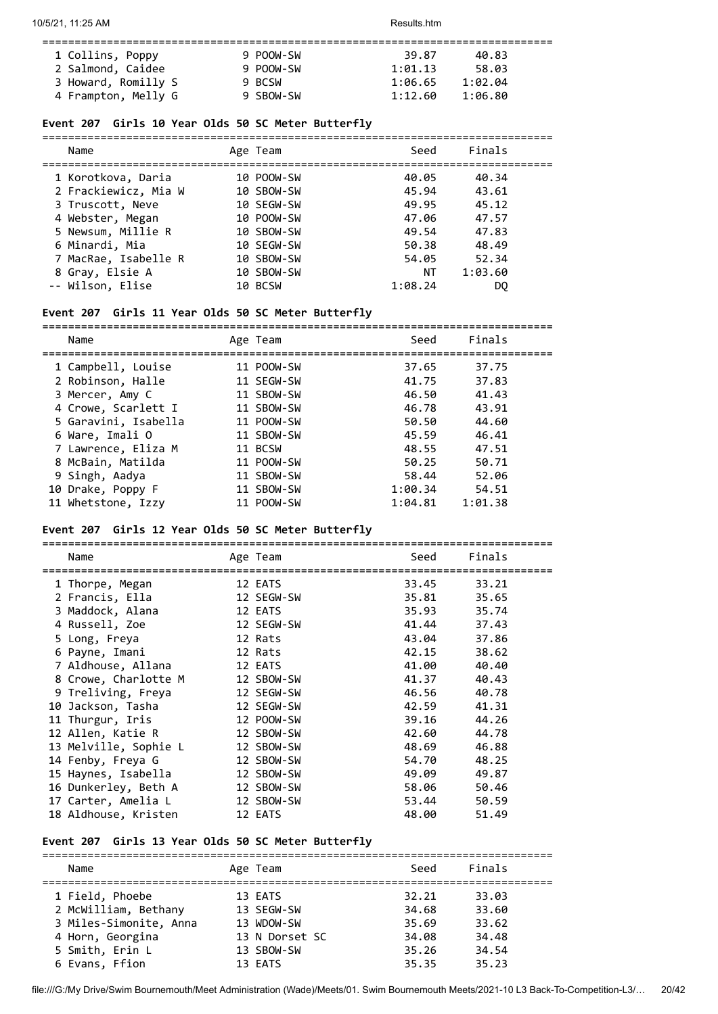| 1 Collins, Poppy    | 9 POOW-SW | 39.87   | 40.83   |  |
|---------------------|-----------|---------|---------|--|
| 2 Salmond, Caidee   | 9 POOW-SW | 1:01.13 | 58.03   |  |
| 3 Howard, Romilly S | 9 BCSW    | 1:06.65 | 1:02.04 |  |
| 4 Frampton, Melly G | 9 SBOW-SW | 1:12.60 | 1:06.80 |  |

## **Event 207 Girls 10 Year Olds 50 SC Meter Butterfly**

| Finals<br>Seed<br>Name<br>Age Team<br>1 Korotkova, Daria<br>10 POOW-SW<br>40.05<br>40.34<br>2 Frackiewicz, Mia W<br>10 SBOW-SW<br>45.94<br>43.61<br>49.95<br>45.12<br>3 Truscott, Neve<br>10 SEGW-SW<br>4 Webster, Megan<br>10 POOW-SW<br>47.06<br>47.57<br>5 Newsum, Millie R<br>10 SBOW-SW<br>47.83<br>49.54<br>6 Minardi, Mia<br>50.38<br>48.49<br>10 SEGW-SW<br>7 MacRae, Isabelle R<br>52.34<br>10 SBOW-SW<br>54.05<br>8 Gray, Elsie A<br>10 SBOW-SW<br>ΝT<br>1:03.60<br>-- Wilson, Elise<br>1:08.24<br>10 BCSW<br>DO |  |  |  |
|----------------------------------------------------------------------------------------------------------------------------------------------------------------------------------------------------------------------------------------------------------------------------------------------------------------------------------------------------------------------------------------------------------------------------------------------------------------------------------------------------------------------------|--|--|--|
|                                                                                                                                                                                                                                                                                                                                                                                                                                                                                                                            |  |  |  |
|                                                                                                                                                                                                                                                                                                                                                                                                                                                                                                                            |  |  |  |
|                                                                                                                                                                                                                                                                                                                                                                                                                                                                                                                            |  |  |  |
|                                                                                                                                                                                                                                                                                                                                                                                                                                                                                                                            |  |  |  |
|                                                                                                                                                                                                                                                                                                                                                                                                                                                                                                                            |  |  |  |
|                                                                                                                                                                                                                                                                                                                                                                                                                                                                                                                            |  |  |  |
|                                                                                                                                                                                                                                                                                                                                                                                                                                                                                                                            |  |  |  |
|                                                                                                                                                                                                                                                                                                                                                                                                                                                                                                                            |  |  |  |
|                                                                                                                                                                                                                                                                                                                                                                                                                                                                                                                            |  |  |  |

## **Event 207 Girls 11 Year Olds 50 SC Meter Butterfly**

| Name                 | Age Team   | Seed    | Finals  |
|----------------------|------------|---------|---------|
| 1 Campbell, Louise   | 11 POOW-SW | 37.65   | 37.75   |
| 2 Robinson, Halle    | 11 SEGW-SW | 41.75   | 37.83   |
| 3 Mercer, Amy C      | 11 SBOW-SW | 46.50   | 41.43   |
| 4 Crowe, Scarlett I  | 11 SBOW-SW | 46.78   | 43.91   |
| 5 Garavini, Isabella | 11 POOW-SW | 50.50   | 44.60   |
| 6 Ware, Imali O      | 11 SBOW-SW | 45.59   | 46.41   |
| 7 Lawrence, Eliza M  | 11 BCSW    | 48.55   | 47.51   |
| 8 McBain, Matilda    | 11 POOW-SW | 50.25   | 50.71   |
| 9 Singh, Aadya       | 11 SBOW-SW | 58.44   | 52.06   |
| 10 Drake, Poppy F    | 11 SBOW-SW | 1:00.34 | 54.51   |
| 11 Whetstone, Izzy   | 11 POOW-SW | 1:04.81 | 1:01.38 |

## **Event 207 Girls 12 Year Olds 50 SC Meter Butterfly**

| Name                  | Age Team   | Seed  | Finals |
|-----------------------|------------|-------|--------|
| 1 Thorpe, Megan       | 12 EATS    | 33.45 | 33.21  |
| 2 Francis, Ella       | 12 SEGW-SW | 35.81 | 35.65  |
| 3 Maddock, Alana      | 12 EATS    | 35.93 | 35.74  |
| 4 Russell, Zoe        | 12 SEGW-SW | 41.44 | 37.43  |
| 5 Long, Freya         | 12 Rats    | 43.04 | 37.86  |
| 6 Payne, Imani        | 12 Rats    | 42.15 | 38.62  |
| 7 Aldhouse, Allana    | 12 EATS    | 41.00 | 40.40  |
| 8 Crowe, Charlotte M  | 12 SBOW-SW | 41.37 | 40.43  |
| 9 Treliving, Freya    | 12 SEGW-SW | 46.56 | 40.78  |
| 10 Jackson, Tasha     | 12 SEGW-SW | 42.59 | 41.31  |
| 11 Thurgur, Iris      | 12 POOW-SW | 39.16 | 44.26  |
| 12 Allen, Katie R     | 12 SBOW-SW | 42.60 | 44.78  |
| 13 Melville, Sophie L | 12 SBOW-SW | 48.69 | 46.88  |
| 14 Fenby, Freya G     | 12 SBOW-SW | 54.70 | 48.25  |
| 15 Haynes, Isabella   | 12 SBOW-SW | 49.09 | 49.87  |
| 16 Dunkerley, Beth A  | 12 SBOW-SW | 58.06 | 50.46  |
| 17 Carter, Amelia L   | 12 SBOW-SW | 53.44 | 50.59  |
| 18 Aldhouse, Kristen  | 12 EATS    | 48.00 | 51.49  |
|                       |            |       |        |

## **Event 207 Girls 13 Year Olds 50 SC Meter Butterfly**

| Name                   | Age Team       | Seed  | Finals |
|------------------------|----------------|-------|--------|
| 1 Field, Phoebe        | 13 EATS        | 32.21 | 33.03  |
| 2 McWilliam, Bethany   | 13 SEGW-SW     | 34.68 | 33.60  |
| 3 Miles-Simonite, Anna | 13 WDOW-SW     | 35.69 | 33.62  |
| 4 Horn, Georgina       | 13 N Dorset SC | 34.08 | 34.48  |
| 5 Smith, Erin L        | 13 SBOW-SW     | 35.26 | 34.54  |
| 6 Evans, Ffion         | 13 EATS        | 35.35 | 35.23  |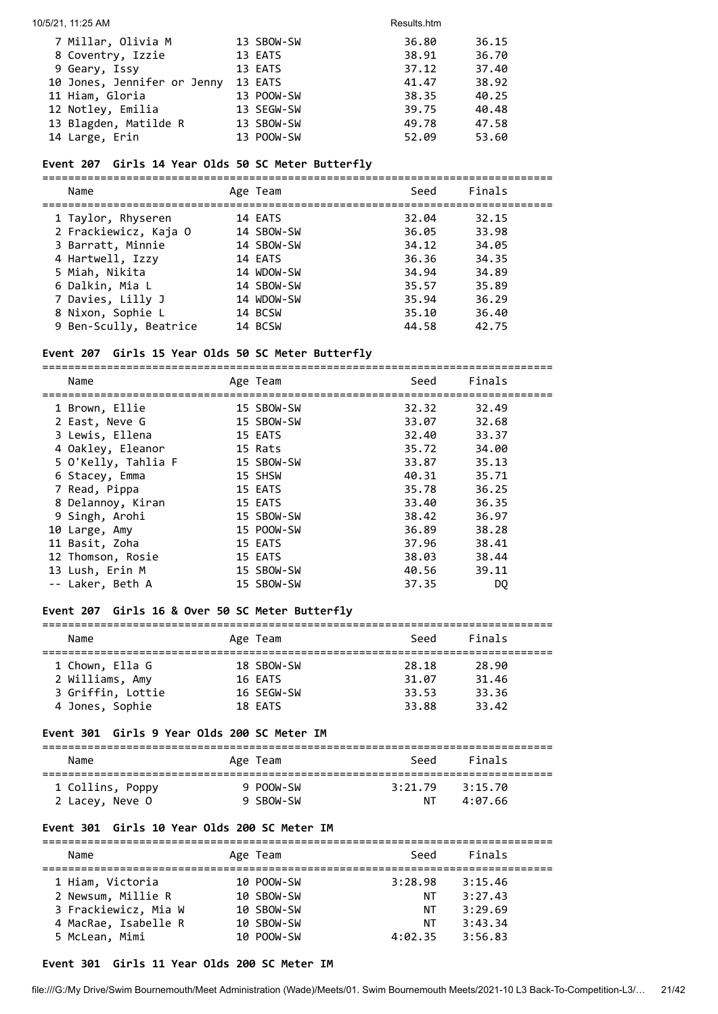#### 10/5/21, 11:25 AM Results.htm

| 7 Millar, Olivia M          | 13 SBOW-SW | 36.80 | 36.15 |
|-----------------------------|------------|-------|-------|
| 8 Coventry, Izzie           | 13 EATS    | 38.91 | 36.70 |
| 9 Geary, Issy               | 13 EATS    | 37.12 | 37.40 |
| 10 Jones, Jennifer or Jenny | 13 EATS    | 41.47 | 38.92 |
| 11 Hiam, Gloria             | 13 POOW-SW | 38.35 | 40.25 |
| 12 Notley, Emilia           | 13 SEGW-SW | 39.75 | 40.48 |
| 13 Blagden, Matilde R       | 13 SBOW-SW | 49.78 | 47.58 |
| 14 Large, Erin              | 13 POOW-SW | 52.09 | 53.60 |

## **Event 207 Girls 14 Year Olds 50 SC Meter Butterfly**

=============================================================================== Name **Age Team** Age Team Seed Finals =============================================================================== 1 Taylor, Rhyseren 14 EATS 32.04 32.15 2 Frackiewicz, Kaja O 14 SBOW-SW 36.05 33.98 3 Barratt, Minnie 14 SBOW-SW 34.12 34.05 4 Hartwell, Izzy 14 EATS 36.36 34.35 5 Miah, Nikita 14 WDOW-SW 34.94 34.89 6 Dalkin, Mia L 14 SBOW-SW 35.57 35.89 7 Davies, Lilly J 14 WDOW-SW 35.94 36.29 8 Nixon, Sophie L 14 BCSW 35.10 36.40 9 Ben-Scully, Beatrice 14 BCSW 44.58 42.75

#### **Event 207 Girls 15 Year Olds 50 SC Meter Butterfly**

| Name                | Age Team   | Seed  | Finals |
|---------------------|------------|-------|--------|
|                     |            |       |        |
| 1 Brown, Ellie      | 15 SBOW-SW | 32.32 | 32.49  |
| 2 East, Neve G      | 15 SBOW-SW | 33.07 | 32.68  |
| 3 Lewis, Ellena     | 15 EATS    | 32.40 | 33.37  |
| 4 Oakley, Eleanor   | 15 Rats    | 35.72 | 34.00  |
| 5 O'Kelly, Tahlia F | 15 SBOW-SW | 33.87 | 35.13  |
| 6 Stacey, Emma      | 15 SHSW    | 40.31 | 35.71  |
| 7 Read, Pippa       | 15 EATS    | 35.78 | 36.25  |
| 8 Delannoy, Kiran   | 15 EATS    | 33.40 | 36.35  |
| 9 Singh, Arohi      | 15 SBOW-SW | 38.42 | 36.97  |
| 10 Large, Amy       | 15 POOW-SW | 36.89 | 38.28  |
| 11 Basit, Zoha      | 15 EATS    | 37.96 | 38.41  |
| 12 Thomson, Rosie   | 15 EATS    | 38.03 | 38.44  |
| 13 Lush, Erin M     | 15 SBOW-SW | 40.56 | 39.11  |
| -- Laker, Beth A    | 15 SBOW-SW | 37.35 | DO     |

#### **Event 207 Girls 16 & Over 50 SC Meter Butterfly**

| Name              | Age Team   | Seed  | Finals |
|-------------------|------------|-------|--------|
|                   |            |       |        |
| 1 Chown, Ella G   | 18 SBOW-SW | 28.18 | 28.90  |
| 2 Williams, Amy   | 16 EATS    | 31.07 | 31.46  |
| 3 Griffin, Lottie | 16 SEGW-SW | 33.53 | 33.36  |
| 4 Jones, Sophie   | 18 EATS    | 33.88 | 33.42  |

#### **Event 301 Girls 9 Year Olds 200 SC Meter IM**

| Name             | Age Team  | Seed    | Finals  |  |
|------------------|-----------|---------|---------|--|
| 1 Collins, Poppy | 9 POOW-SW | 3:21.79 | 3:15.70 |  |
| 2 Lacey, Neve O  | 9 SBOW-SW | NΤ      | 4:07.66 |  |

#### **Event 301 Girls 10 Year Olds 200 SC Meter IM**

| Name                                                                                   | Age Team                                             | Seed                      | Finals                                   |
|----------------------------------------------------------------------------------------|------------------------------------------------------|---------------------------|------------------------------------------|
| 1 Hiam, Victoria<br>2 Newsum, Millie R<br>3 Frackiewicz, Mia W<br>4 MacRae, Isabelle R | 10 POOW-SW<br>10 SBOW-SW<br>10 SBOW-SW<br>10 SBOW-SW | 3:28.98<br>NT<br>ΝT<br>NΤ | 3:15.46<br>3:27.43<br>3:29.69<br>3:43.34 |
| 5 McLean, Mimi                                                                         | 10 POOW-SW                                           | 4:02.35                   | 3:56.83                                  |

### **Event 301 Girls 11 Year Olds 200 SC Meter IM**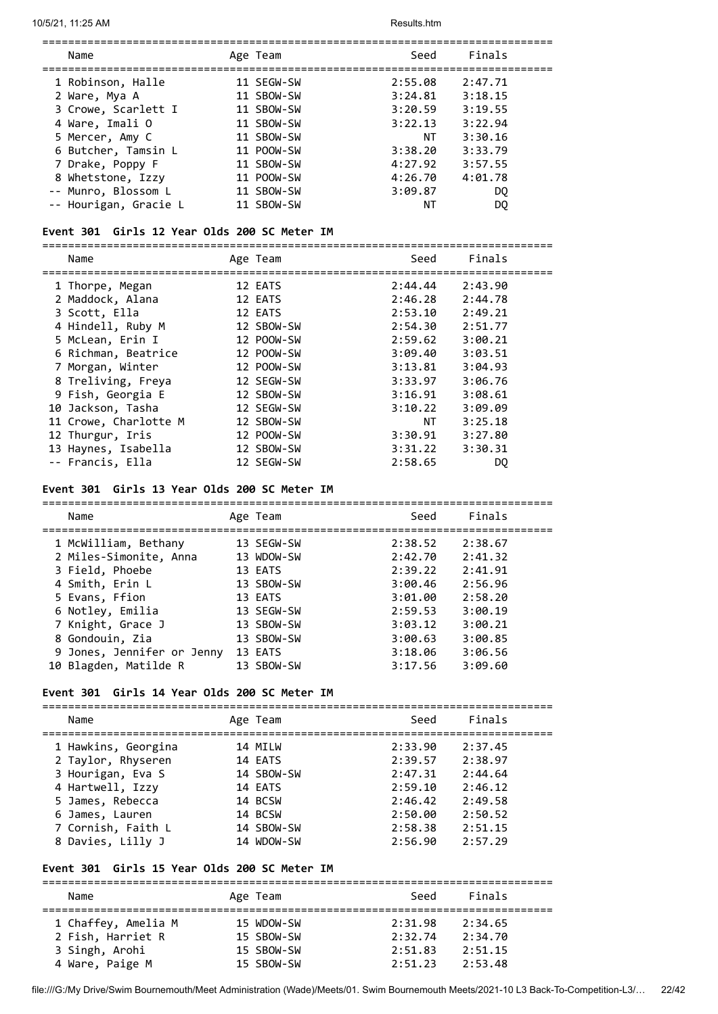| Name                  |  | Age Team   | Seed    | Finals  |  |
|-----------------------|--|------------|---------|---------|--|
| 1 Robinson, Halle     |  | 11 SEGW-SW | 2:55.08 | 2:47.71 |  |
| 2 Ware, Mya A         |  | 11 SBOW-SW | 3:24.81 | 3:18.15 |  |
| 3 Crowe, Scarlett I   |  | 11 SBOW-SW | 3:20.59 | 3:19.55 |  |
| 4 Ware, Imali O       |  | 11 SBOW-SW | 3:22.13 | 3:22.94 |  |
| 5 Mercer, Amy C       |  | 11 SBOW-SW | NΤ      | 3:30.16 |  |
| 6 Butcher, Tamsin L   |  | 11 POOW-SW | 3:38.20 | 3:33.79 |  |
| 7 Drake, Poppy F      |  | 11 SBOW-SW | 4:27.92 | 3:57.55 |  |
| 8 Whetstone, Izzy     |  | 11 POOW-SW | 4:26.70 | 4:01.78 |  |
| -- Munro, Blossom L   |  | 11 SBOW-SW | 3:09.87 | DO.     |  |
| -- Hourigan, Gracie L |  | 11 SBOW-SW | ΝT      | DO      |  |

## **Event 301 Girls 12 Year Olds 200 SC Meter IM**

===============================================================================

| Name                  | Age Team   | Seed    | Finals  |
|-----------------------|------------|---------|---------|
| 1 Thorpe, Megan       | 12 EATS    | 2:44.44 | 2:43.90 |
| 2 Maddock, Alana      | 12 EATS    | 2:46.28 | 2:44.78 |
| 3 Scott, Ella         | 12 EATS    | 2:53.10 | 2:49.21 |
| 4 Hindell, Ruby M     | 12 SBOW-SW | 2:54.30 | 2:51.77 |
| 5 McLean, Erin I      | 12 POOW-SW | 2:59.62 | 3:00.21 |
| 6 Richman, Beatrice   | 12 POOW-SW | 3:09.40 | 3:03.51 |
| 7 Morgan, Winter      | 12 POOW-SW | 3:13.81 | 3:04.93 |
| 8 Treliving, Freya    | 12 SEGW-SW | 3:33.97 | 3:06.76 |
| 9 Fish, Georgia E     | 12 SBOW-SW | 3:16.91 | 3:08.61 |
| 10 Jackson, Tasha     | 12 SEGW-SW | 3:10.22 | 3:09.09 |
| 11 Crowe, Charlotte M | 12 SBOW-SW | NT      | 3:25.18 |
| 12 Thurgur, Iris      | 12 POOW-SW | 3:30.91 | 3:27.80 |
| 13 Haynes, Isabella   | 12 SBOW-SW | 3:31.22 | 3:30.31 |
| -- Francis, Ella      | 12 SEGW-SW | 2:58.65 | DQ      |
|                       |            |         |         |

#### **Event 301 Girls 13 Year Olds 200 SC Meter IM**

| Name                       | Age Team   | Seed    | Finals  |
|----------------------------|------------|---------|---------|
| 1 McWilliam, Bethany       | 13 SEGW-SW | 2:38.52 | 2:38.67 |
| 2 Miles-Simonite, Anna     | 13 WDOW-SW | 2:42.70 | 2:41.32 |
| 3 Field, Phoebe            | 13 EATS    | 2:39.22 | 2:41.91 |
| 4 Smith, Erin L            | 13 SBOW-SW | 3:00.46 | 2:56.96 |
| 5 Evans, Ffion             | 13 EATS    | 3:01.00 | 2:58.20 |
| 6 Notley, Emilia           | 13 SEGW-SW | 2:59.53 | 3:00.19 |
| 7 Knight, Grace J          | 13 SBOW-SW | 3:03.12 | 3:00.21 |
| 8 Gondouin, Zia            | 13 SBOW-SW | 3:00.63 | 3:00.85 |
| 9 Jones, Jennifer or Jenny | 13 EATS    | 3:18.06 | 3:06.56 |
| 10 Blagden, Matilde R      | 13 SBOW-SW | 3:17.56 | 3:09.60 |

#### **Event 301 Girls 14 Year Olds 200 SC Meter IM**

| Name                | Age Team   | Seed    | Finals  |
|---------------------|------------|---------|---------|
| 1 Hawkins, Georgina | 14 MILW    | 2:33.90 | 2:37.45 |
| 2 Taylor, Rhyseren  | 14 EATS    | 2:39.57 | 2:38.97 |
| 3 Hourigan, Eva S   | 14 SBOW-SW | 2:47.31 | 2:44.64 |
| 4 Hartwell, Izzy    | 14 EATS    | 2:59.10 | 2:46.12 |
| 5 James, Rebecca    | 14 BCSW    | 2:46.42 | 2:49.58 |
| 6 James, Lauren     | 14 BCSW    | 2:50.00 | 2:50.52 |
| 7 Cornish, Faith L  | 14 SBOW-SW | 2:58.38 | 2:51.15 |
| 8 Davies, Lilly J   | 14 WDOW-SW | 2:56.90 | 2:57.29 |

#### **Event 301 Girls 15 Year Olds 200 SC Meter IM**

=============================================================================== Name **Age Team** Age Team Seed Finals =============================================================================== 1 Chaffey, Amelia M 15 WDOW-SW 2:31.98 2:34.65 2 Fish, Harriet R 15 SBOW-SW 2:32.74 2:34.70 3 Singh, Arohi 15 SBOW-SW 2:51.83 2:51.15 4 Ware, Paige M 15 SBOW-SW 2:51.23 2:53.48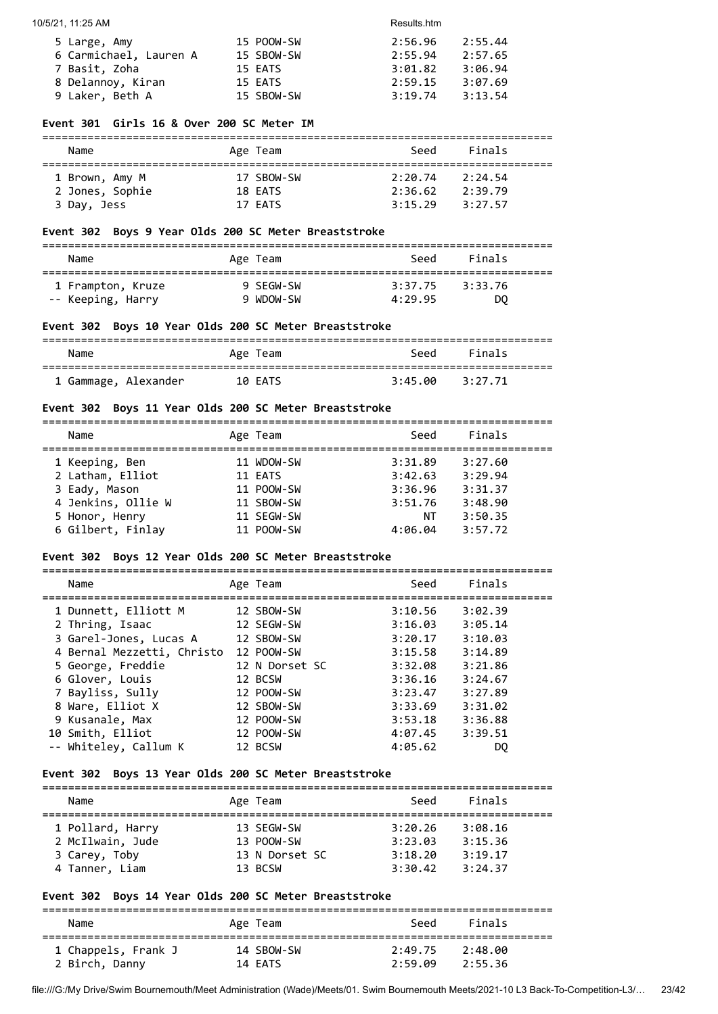| 5 Large, Amy           | 15 POOW-SW | 2:56.96 | 2:55.44 |
|------------------------|------------|---------|---------|
| 6 Carmichael, Lauren A | 15 SBOW-SW | 2:55.94 | 2:57.65 |
| 7 Basit, Zoha          | 15 EATS    | 3:01.82 | 3:06.94 |
| 8 Delannoy, Kiran      | 15 EATS    | 2:59.15 | 3:07.69 |
| 9 Laker, Beth A        | 15 SBOW-SW | 3:19.74 | 3:13.54 |

#### **Event 301 Girls 16 & Over 200 SC Meter IM**

## ===============================================================================

| Name            | Age Team   | Seed    | Finals  |  |
|-----------------|------------|---------|---------|--|
| 1 Brown, Amy M  | 17 SBOW-SW | 2:20.74 | 2:24.54 |  |
| 2 Jones, Sophie | 18 EATS    | 2:36.62 | 2:39.79 |  |
| 3 Day, Jess     | 17 EATS    | 3:15.29 | 3:27.57 |  |

#### **Event 302 Boys 9 Year Olds 200 SC Meter Breaststroke**

=============================================================================== Name Age Team Seed Finals =============================================================================== 1 Frampton, Kruze 9 SEGW-SW 3:37.75 3:33.76 -- Keeping, Harry 9 WDOW-SW 4:29.95 DQ

#### **Event 302 Boys 10 Year Olds 200 SC Meter Breaststroke**

| Name                 | Age Team | Seed    | Finals  |
|----------------------|----------|---------|---------|
| 1 Gammage, Alexander | 10 EATS  | 3:45.00 | 3:27.71 |

#### **Event 302 Boys 11 Year Olds 200 SC Meter Breaststroke**

| Name               | Age Team   | Seed    | Finals  |
|--------------------|------------|---------|---------|
| 1 Keeping, Ben     | 11 WDOW-SW | 3:31.89 | 3:27.60 |
| 2 Latham, Elliot   | 11 EATS    | 3:42.63 | 3:29.94 |
| 3 Eady, Mason      | 11 POOW-SW | 3:36.96 | 3:31.37 |
| 4 Jenkins, Ollie W | 11 SBOW-SW | 3:51.76 | 3:48.90 |
| 5 Honor, Henry     | 11 SEGW-SW | ΝT      | 3:50.35 |
| 6 Gilbert, Finlay  | 11 POOW-SW | 4:06.04 | 3:57.72 |
|                    |            |         |         |

#### **Event 302 Boys 12 Year Olds 200 SC Meter Breaststroke**

=============================================================================== Name **Age Team** Seed Finals =============================================================================== 1 Dunnett, Elliott M 12 SBOW-SW 3:10.56 3:02.39 2 Thring, Isaac 12 SEGW-SW 3:16.03 3:05.14 3 Garel-Jones, Lucas A 12 SBOW-SW 3:20.17 3:10.03 4 Bernal Mezzetti, Christo 12 POOW-SW 3:15.58 3:14.89 5 George, Freddie 12 N Dorset SC 3:32.08 3:21.86 6 Glover, Louis 12 BCSW 3:36.16 3:24.67 7 Bayliss, Sully 12 POOW-SW 3:23.47 3:27.89 8 Ware, Elliot X 12 SBOW-SW 3:33.69 3:31.02 9 Kusanale, Max 12 POOW-SW 3:53.18 3:36.88 10 Smith, Elliot 12 POOW-SW 4:07.45 3:39.51 -- Whiteley, Callum K 12 BCSW 4:05.62 DQ

#### **Event 302 Boys 13 Year Olds 200 SC Meter Breaststroke**

===============================================================================

| Name<br>Age Team                                                                                                                 |                                                                                      |  |
|----------------------------------------------------------------------------------------------------------------------------------|--------------------------------------------------------------------------------------|--|
| 1 Pollard, Harry<br>13 SEGW-SW<br>2 McIlwain, Jude<br>13 POOW-SW<br>13 N Dorset SC<br>3 Carey, Toby<br>4 Tanner, Liam<br>13 BCSW | 3:20.26<br>3:08.16<br>3:23.03<br>3:15.36<br>3:19.17<br>3:18.20<br>3:30.42<br>3:24.37 |  |

## **Event 302 Boys 14 Year Olds 200 SC Meter Breaststroke**

| Name                | Age Team   | Seed    | Finals  |  |
|---------------------|------------|---------|---------|--|
| 1 Chappels, Frank J | 14 SBOW-SW | 2:49.75 | 2:48.00 |  |
| 2 Birch, Danny      | 14 EATS    | 2:59.09 | 2:55.36 |  |

```
file:///G:/My Drive/Swim Bournemouth/Meet Administration (Wade)/Meets/01. Swim Bournemouth Meets/2021-10 L3 Back-To-Competition-L3/… 23/42
```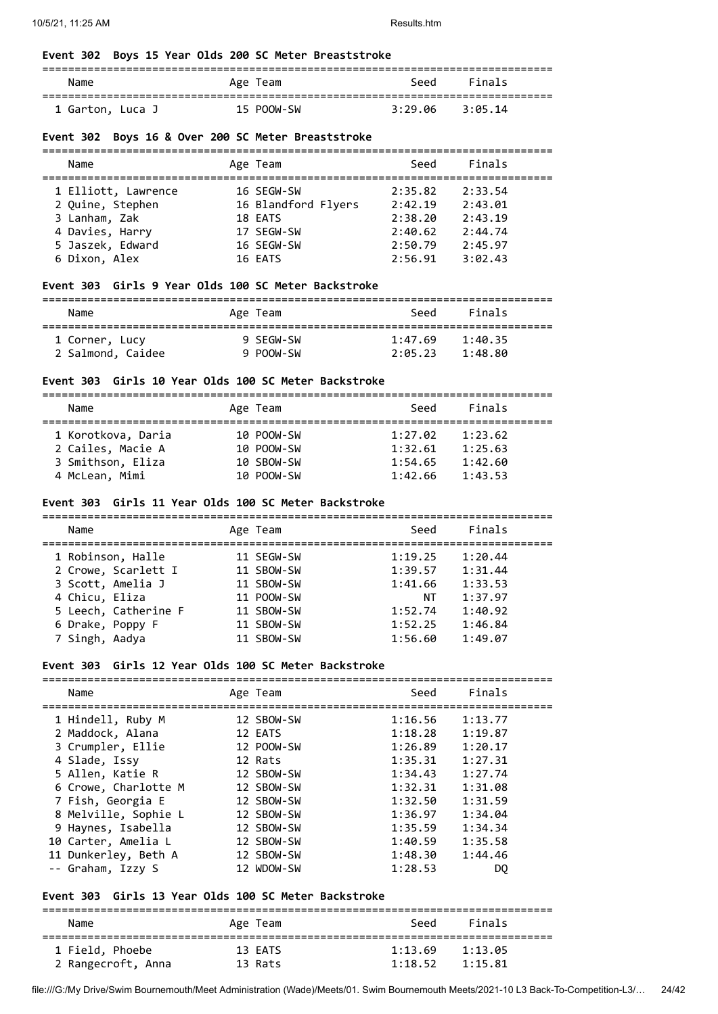## **Event 302 Boys 15 Year Olds 200 SC Meter Breaststroke**

| Name             | Age Team   | Seed    | Finals  |  |
|------------------|------------|---------|---------|--|
| 1 Garton, Luca J | 15 POOW-SW | 3:29.06 | 3:05.14 |  |

## **Event 302 Boys 16 & Over 200 SC Meter Breaststroke**

| Name                | Age Team            | Seed    | Finals  |  |
|---------------------|---------------------|---------|---------|--|
| 1 Elliott, Lawrence | 16 SEGW-SW          | 2:35.82 | 2:33.54 |  |
| 2 Quine, Stephen    | 16 Blandford Flyers | 2:42.19 | 2:43.01 |  |
| 3 Lanham, Zak       | 18 EATS             | 2:38.20 | 2:43.19 |  |
| 4 Davies, Harry     | 17 SEGW-SW          | 2:40.62 | 2:44.74 |  |
| 5 Jaszek, Edward    | 16 SEGW-SW          | 2:50.79 | 2:45.97 |  |
| 6 Dixon, Alex       | 16 EATS             | 2:56.91 | 3:02.43 |  |

#### **Event 303 Girls 9 Year Olds 100 SC Meter Backstroke**

| Name              | Age Team  | Seed    | Finals  |  |
|-------------------|-----------|---------|---------|--|
| 1 Corner, Lucy    | 9 SFGW-SW | 1:47.69 | 1:40.35 |  |
| 2 Salmond, Caidee | 9 POOW-SW | 2:05.23 | 1:48.80 |  |

#### **Event 303 Girls 10 Year Olds 100 SC Meter Backstroke**

| Name               | Age Team   | Seed    | Finals  |
|--------------------|------------|---------|---------|
|                    |            |         |         |
| 1 Korotkova, Daria | 10 POOW-SW | 1:27.02 | 1:23.62 |
| 2 Cailes, Macie A  | 10 POOW-SW | 1:32.61 | 1:25.63 |
| 3 Smithson, Eliza  | 10 SBOW-SW | 1:54.65 | 1:42.60 |
| 4 McLean, Mimi     | 10 POOW-SW | 1:42.66 | 1:43.53 |

#### **Event 303 Girls 11 Year Olds 100 SC Meter Backstroke**

| Name                 | Age Team   | Seed    | Finals  |  |
|----------------------|------------|---------|---------|--|
| 1 Robinson, Halle    | 11 SEGW-SW | 1:19.25 | 1:20.44 |  |
| 2 Crowe, Scarlett I  | 11 SBOW-SW | 1:39.57 | 1:31.44 |  |
| 3 Scott, Amelia J    | 11 SBOW-SW | 1:41.66 | 1:33.53 |  |
| 4 Chicu, Eliza       | 11 POOW-SW | ΝT      | 1:37.97 |  |
| 5 Leech, Catherine F | 11 SBOW-SW | 1:52.74 | 1:40.92 |  |
| 6 Drake, Poppy F     | 11 SBOW-SW | 1:52.25 | 1:46.84 |  |
| 7 Singh, Aadya       | 11 SBOW-SW | 1:56.60 | 1:49.07 |  |

## **Event 303 Girls 12 Year Olds 100 SC Meter Backstroke**

| Name                 | Age Team   | Seed    | Finals  |
|----------------------|------------|---------|---------|
| 1 Hindell, Ruby M    | 12 SBOW-SW | 1:16.56 | 1:13.77 |
| 2 Maddock, Alana     | 12 EATS    | 1:18.28 | 1:19.87 |
| 3 Crumpler, Ellie    | 12 POOW-SW | 1:26.89 | 1:20.17 |
| 4 Slade, Issy        | 12 Rats    | 1:35.31 | 1:27.31 |
| 5 Allen, Katie R     | 12 SBOW-SW | 1:34.43 | 1:27.74 |
| 6 Crowe, Charlotte M | 12 SBOW-SW | 1:32.31 | 1:31.08 |
| 7 Fish, Georgia E    | 12 SBOW-SW | 1:32.50 | 1:31.59 |
| 8 Melville, Sophie L | 12 SBOW-SW | 1:36.97 | 1:34.04 |
| 9 Haynes, Isabella   | 12 SBOW-SW | 1:35.59 | 1:34.34 |
| 10 Carter, Amelia L  | 12 SBOW-SW | 1:40.59 | 1:35.58 |
| 11 Dunkerley, Beth A | 12 SBOW-SW | 1:48.30 | 1:44.46 |
| -- Graham, Izzy S    | 12 WDOW-SW | 1:28.53 | DO      |

#### **Event 303 Girls 13 Year Olds 100 SC Meter Backstroke**

=============================================================================== Name **Age Team** Age Team Seed Finals =============================================================================== 1 Field, Phoebe 13 EATS 1:13.69 1:13.05 2 Rangecroft, Anna 13 Rats 1:18.52 1:15.81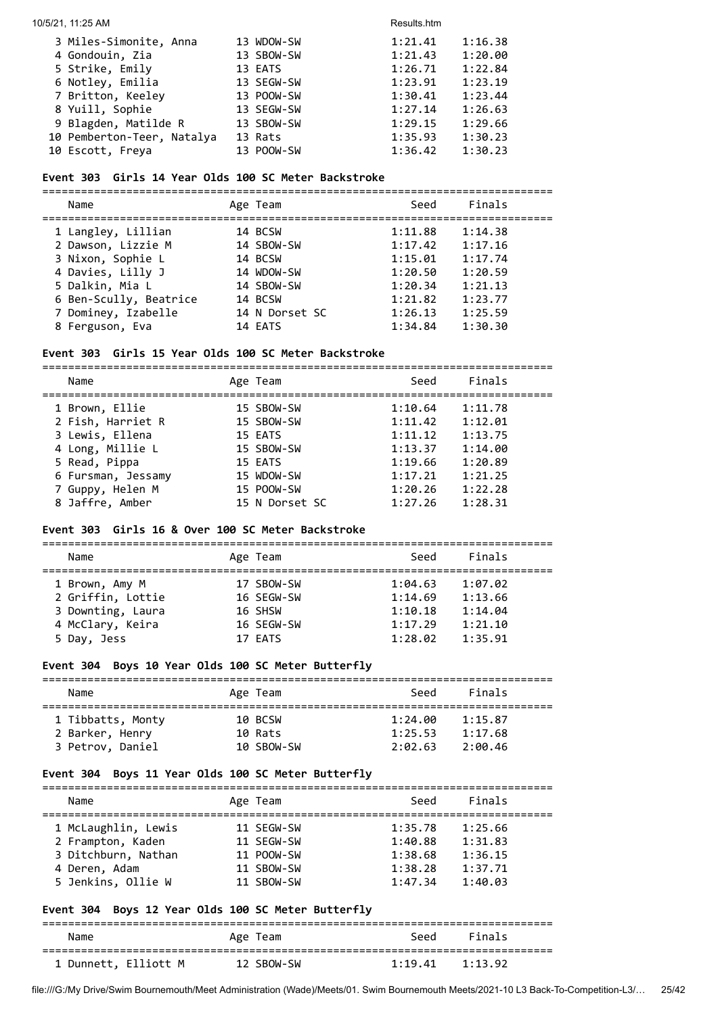#### 10/5/21, 11:25 AM Results.htm

| 3 Miles-Simonite, Anna     | 13 WDOW-SW | 1:21.41 | 1:16.38 |
|----------------------------|------------|---------|---------|
| 4 Gondouin, Zia            | 13 SBOW-SW | 1:21.43 | 1:20.00 |
| 5 Strike, Emily            | 13 EATS    | 1:26.71 | 1:22.84 |
| 6 Notley, Emilia           | 13 SEGW-SW | 1:23.91 | 1:23.19 |
| 7 Britton, Keeley          | 13 POOW-SW | 1:30.41 | 1:23.44 |
| 8 Yuill, Sophie            | 13 SEGW-SW | 1:27.14 | 1:26.63 |
| 9 Blagden, Matilde R       | 13 SBOW-SW | 1:29.15 | 1:29.66 |
| 10 Pemberton-Teer, Natalya | 13 Rats    | 1:35.93 | 1:30.23 |
| 10 Escott, Freya           | 13 POOW-SW | 1:36.42 | 1:30.23 |

## **Event 303 Girls 14 Year Olds 100 SC Meter Backstroke**

=============================================================================== Name **Age Team** Seed Finals =============================================================================== 1 Langley, Lillian 14 BCSW 1:11.88 1:14.38 2 Dawson, Lizzie M 14 SBOW-SW 1:17.42 1:17.16 3 Nixon, Sophie L 14 BCSW 1:15.01 1:17.74 4 Davies, Lilly J 14 WDOW-SW 1:20.50 1:20.59 5 Dalkin, Mia L 14 SBOW-SW 1:20.34 1:21.13 6 Ben-Scully, Beatrice 14 BCSW 1:21.82 1:23.77 7 Dominey, Izabelle 14 N Dorset SC 1:26.13 1:25.59 8 Ferguson, Eva 14 EATS 1:34.84 1:30.30

## **Event 303 Girls 15 Year Olds 100 SC Meter Backstroke**

=============================================================================== Name **Age Team** Age Team Seed Finals =============================================================================== 1 Brown, Ellie 15 SBOW-SW 1:10.64 1:11.78 2 Fish, Harriet R 15 SBOW-SW 1:11.42 1:12.01 3 Lewis, Ellena 15 EATS 1:11.12 1:13.75 4 Long, Millie L 15 SBOW-SW 1:13.37 1:14.00 5 Read, Pippa 15 EATS 1:19.66 1:20.89 6 Fursman, Jessamy 15 WDOW-SW 1:17.21 1:21.25 7 Guppy, Helen M 15 POOW-SW 1:20.26 1:22.28 8 Jaffre, Amber 15 N Dorset SC 1:27.26 1:28.31

#### **Event 303 Girls 16 & Over 100 SC Meter Backstroke**

===============================================================================

| Name              | Age Team   | Seed    | Finals  |  |
|-------------------|------------|---------|---------|--|
| 1 Brown, Amy M    | 17 SBOW-SW | 1:04.63 | 1:07.02 |  |
| 2 Griffin, Lottie | 16 SEGW-SW | 1:14.69 | 1:13.66 |  |
| 3 Downting, Laura | 16 SHSW    | 1:10.18 | 1:14.04 |  |
| 4 McClary, Keira  | 16 SEGW-SW | 1:17.29 | 1:21.10 |  |
| 5 Day, Jess       | 17 EATS    | 1:28.02 | 1:35.91 |  |
|                   |            |         |         |  |

#### **Event 304 Boys 10 Year Olds 100 SC Meter Butterfly**

| Name                                 | Age Team           | Seed               | Finals             |  |
|--------------------------------------|--------------------|--------------------|--------------------|--|
| 1 Tibbatts, Monty<br>2 Barker, Henry | 10 BCSW<br>10 Rats | 1:24.00<br>1:25.53 | 1:15.87<br>1:17.68 |  |
| 3 Petrov, Daniel                     | 10 SBOW-SW         | 2:02.63            | 2:00.46            |  |

#### **Event 304 Boys 11 Year Olds 100 SC Meter Butterfly**

| Name                | Age Team   | Seed    | Finals  |
|---------------------|------------|---------|---------|
| 1 McLaughlin, Lewis | 11 SEGW-SW | 1:35.78 | 1:25.66 |
| 2 Frampton, Kaden   | 11 SEGW-SW | 1:40.88 | 1:31.83 |
| 3 Ditchburn, Nathan | 11 POOW-SW | 1:38.68 | 1:36.15 |
| 4 Deren, Adam       | 11 SBOW-SW | 1:38.28 | 1:37.71 |
| 5 Jenkins, Ollie W  | 11 SBOW-SW | 1:47.34 | 1:40.03 |

#### **Event 304 Boys 12 Year Olds 100 SC Meter Butterfly**

=============================================================================== Name **Age Team** Age Team Seed Finals =============================================================================== 1 Dunnett, Elliott M 12 SBOW-SW 1:19.41 1:13.92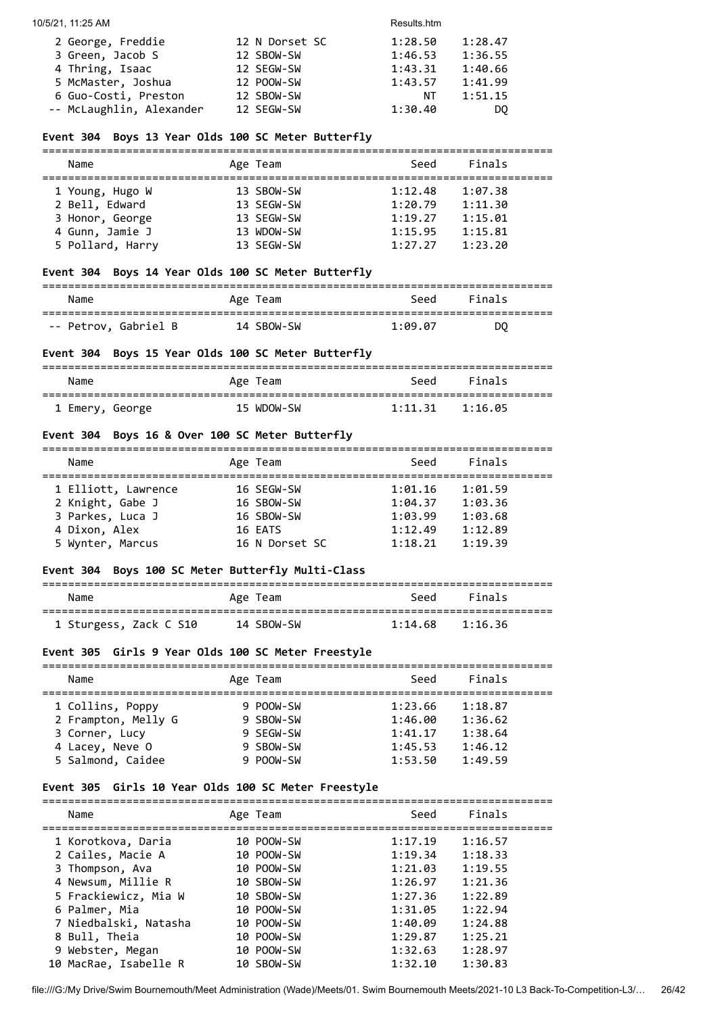| 2 George, Freddie        | 12 N Dorset SC | 1:28.50 | 1:28.47 |
|--------------------------|----------------|---------|---------|
| 3 Green, Jacob S         | 12 SBOW-SW     | 1:46.53 | 1:36.55 |
| 4 Thring, Isaac          | 12 SEGW-SW     | 1:43.31 | 1:40.66 |
| 5 McMaster, Joshua       | 12 POOW-SW     | 1:43.57 | 1:41.99 |
| 6 Guo-Costi, Preston     | 12 SBOW-SW     | NT      | 1:51.15 |
| -- McLaughlin, Alexander | 12 SEGW-SW     | 1:30.40 | DO.     |

## **Event 304 Boys 13 Year Olds 100 SC Meter Butterfly**

| Name             | Age Team   | Seed    | Finals  |  |
|------------------|------------|---------|---------|--|
| 1 Young, Hugo W  | 13 SBOW-SW | 1:12.48 | 1:07.38 |  |
| 2 Bell, Edward   | 13 SEGW-SW | 1:20.79 | 1:11.30 |  |
| 3 Honor, George  | 13 SEGW-SW | 1:19.27 | 1:15.01 |  |
| 4 Gunn, Jamie J  | 13 WDOW-SW | 1:15.95 | 1:15.81 |  |
| 5 Pollard, Harry | 13 SEGW-SW | 1:27.27 | 1:23.20 |  |

## **Event 304 Boys 14 Year Olds 100 SC Meter Butterfly**

| Name                 | Age Team   | Seed    | Finals |  |
|----------------------|------------|---------|--------|--|
|                      |            |         |        |  |
| -- Petrov, Gabriel B | 14 SBOW-SW | 1:09.07 | DO     |  |

## **Event 304 Boys 15 Year Olds 100 SC Meter Butterfly**

| Name            | Age Team   | Seed                | Finals |  |
|-----------------|------------|---------------------|--------|--|
| 1 Emery, George | 15 WDOW-SW | $1:11.31$ $1:16.05$ |        |  |

## **Event 304 Boys 16 & Over 100 SC Meter Butterfly**

| Name                | Age Team       | Seed    | Finals  |  |
|---------------------|----------------|---------|---------|--|
|                     |                |         |         |  |
| 1 Elliott, Lawrence | 16 SEGW-SW     | 1:01.16 | 1:01.59 |  |
| 2 Knight, Gabe J    | 16 SBOW-SW     | 1:04.37 | 1:03.36 |  |
| 3 Parkes, Luca J    | 16 SBOW-SW     | 1:03.99 | 1:03.68 |  |
| 4 Dixon, Alex       | 16 EATS        | 1:12.49 | 1:12.89 |  |
| 5 Wynter, Marcus    | 16 N Dorset SC | 1:18.21 | 1:19.39 |  |

## **Event 304 Boys 100 SC Meter Butterfly Multi-Class**

| Name                   | Age Team   | Seed    | Finals  |
|------------------------|------------|---------|---------|
| 1 Sturgess, Zack C S10 | 14 SBOW-SW | 1:14.68 | 1:16.36 |

## **Event 305 Girls 9 Year Olds 100 SC Meter Freestyle**

| Name                | Age Team  | Seed    | Finals  |  |  |  |
|---------------------|-----------|---------|---------|--|--|--|
| 1 Collins, Poppy    | 9 POOW-SW | 1:23.66 | 1:18.87 |  |  |  |
| 2 Frampton, Melly G | 9 SBOW-SW | 1:46.00 | 1:36.62 |  |  |  |
| 3 Corner, Lucy      | 9 SEGW-SW | 1:41.17 | 1:38.64 |  |  |  |
| 4 Lacey, Neve O     | 9 SBOW-SW | 1:45.53 | 1:46.12 |  |  |  |
| 5 Salmond, Caidee   | 9 POOW-SW | 1:53.50 | 1:49.59 |  |  |  |

## **Event 305 Girls 10 Year Olds 100 SC Meter Freestyle**

|  | Name                  | Age Team   | Seed    | Finals  |
|--|-----------------------|------------|---------|---------|
|  | 1 Korotkova, Daria    | 10 POOW-SW | 1:17.19 | 1:16.57 |
|  | 2 Cailes, Macie A     | 10 POOW-SW | 1:19.34 | 1:18.33 |
|  | 3 Thompson, Ava       | 10 POOW-SW | 1:21.03 | 1:19.55 |
|  | 4 Newsum, Millie R    | 10 SBOW-SW | 1:26.97 | 1:21.36 |
|  | 5 Frackiewicz, Mia W  | 10 SBOW-SW | 1:27.36 | 1:22.89 |
|  | 6 Palmer, Mia         | 10 POOW-SW | 1:31.05 | 1:22.94 |
|  | 7 Niedbalski, Natasha | 10 POOW-SW | 1:40.09 | 1:24.88 |
|  | 8 Bull, Theia         | 10 POOW-SW | 1:29.87 | 1:25.21 |
|  | 9 Webster, Megan      | 10 POOW-SW | 1:32.63 | 1:28.97 |
|  | 10 MacRae, Isabelle R | 10 SBOW-SW | 1:32.10 | 1:30.83 |
|  |                       |            |         |         |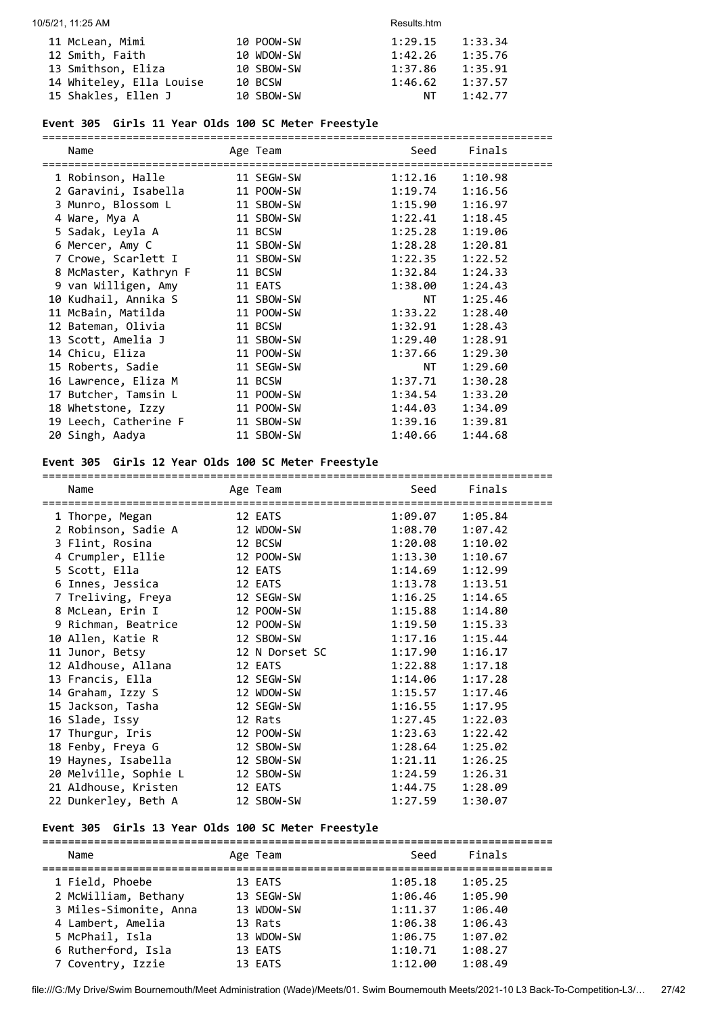| 11 McLean, Mimi          | 10 POOW-SW | 1:29.15 | 1:33.34 |
|--------------------------|------------|---------|---------|
| 12 Smith, Faith          | 10 WDOW-SW | 1:42.26 | 1:35.76 |
| 13 Smithson, Eliza       | 10 SBOW-SW | 1:37.86 | 1:35.91 |
| 14 Whiteley, Ella Louise | 10 BCSW    | 1:46.62 | 1:37.57 |
| 15 Shakles, Ellen J      | 10 SBOW-SW | NT      | 1:42.77 |

## **Event 305 Girls 11 Year Olds 100 SC Meter Freestyle**

| Name                  | Age Team   | Seed    | Finals  |
|-----------------------|------------|---------|---------|
| 1 Robinson, Halle     | 11 SEGW-SW | 1:12.16 | 1:10.98 |
| 2 Garavini, Isabella  | 11 POOW-SW | 1:19.74 | 1:16.56 |
| 3 Munro, Blossom L    | 11 SBOW-SW | 1:15.90 | 1:16.97 |
| 4 Ware, Mya A         | 11 SBOW-SW | 1:22.41 | 1:18.45 |
| 5 Sadak, Leyla A      | 11 BCSW    | 1:25.28 | 1:19.06 |
| 6 Mercer, Amy C       | 11 SBOW-SW | 1:28.28 | 1:20.81 |
| 7 Crowe, Scarlett I   | 11 SBOW-SW | 1:22.35 | 1:22.52 |
| 8 McMaster, Kathryn F | 11 BCSW    | 1:32.84 | 1:24.33 |
| 9 van Willigen, Amy   | 11 EATS    | 1:38.00 | 1:24.43 |
| 10 Kudhail, Annika S  | 11 SBOW-SW | NT      | 1:25.46 |
| 11 McBain, Matilda    | 11 POOW-SW | 1:33.22 | 1:28.40 |
| 12 Bateman, Olivia    | 11 BCSW    | 1:32.91 | 1:28.43 |
| 13 Scott, Amelia J    | 11 SBOW-SW | 1:29.40 | 1:28.91 |
| 14 Chicu, Eliza       | 11 POOW-SW | 1:37.66 | 1:29.30 |
| 15 Roberts, Sadie     | 11 SEGW-SW | NT 1    | 1:29.60 |
| 16 Lawrence, Eliza M  | 11 BCSW    | 1:37.71 | 1:30.28 |
| 17 Butcher, Tamsin L  | 11 POOW-SW | 1:34.54 | 1:33.20 |
| 18 Whetstone, Izzy    | 11 POOW-SW | 1:44.03 | 1:34.09 |
| 19 Leech, Catherine F | 11 SBOW-SW | 1:39.16 | 1:39.81 |
| 20 Singh, Aadya       | 11 SBOW-SW | 1:40.66 | 1:44.68 |

## **Event 305 Girls 12 Year Olds 100 SC Meter Freestyle**

| Name                  | Age Team       | Seed    | Finals  |
|-----------------------|----------------|---------|---------|
| 1 Thorpe, Megan       | 12 EATS        | 1:09.07 | 1:05.84 |
| 2 Robinson, Sadie A   | 12 WDOW-SW     | 1:08.70 | 1:07.42 |
| 3 Flint, Rosina       | 12 BCSW        | 1:20.08 | 1:10.02 |
| 4 Crumpler, Ellie     | 12 POOW-SW     | 1:13.30 | 1:10.67 |
| 5 Scott, Ella         | 12 EATS        | 1:14.69 | 1:12.99 |
| 6 Innes, Jessica      | 12 EATS        | 1:13.78 | 1:13.51 |
| 7 Treliving, Freya    | 12 SEGW-SW     | 1:16.25 | 1:14.65 |
| 8 McLean, Erin I      | 12 POOW-SW     | 1:15.88 | 1:14.80 |
| 9 Richman, Beatrice   | 12 POOW-SW     | 1:19.50 | 1:15.33 |
| 10 Allen, Katie R     | 12 SBOW-SW     | 1:17.16 | 1:15.44 |
| 11 Junor, Betsy       | 12 N Dorset SC | 1:17.90 | 1:16.17 |
| 12 Aldhouse, Allana   | 12 EATS        | 1:22.88 | 1:17.18 |
| 13 Francis, Ella      | 12 SEGW-SW     | 1:14.06 | 1:17.28 |
| 14 Graham, Izzy S     | 12 WDOW-SW     | 1:15.57 | 1:17.46 |
| 15 Jackson, Tasha     | 12 SEGW-SW     | 1:16.55 | 1:17.95 |
| 16 Slade, Issy        | 12 Rats        | 1:27.45 | 1:22.03 |
| 17 Thurgur, Iris      | 12 POOW-SW     | 1:23.63 | 1:22.42 |
| 18 Fenby, Freya G     | 12 SBOW-SW     | 1:28.64 | 1:25.02 |
| 19 Haynes, Isabella   | 12 SBOW-SW     | 1:21.11 | 1:26.25 |
| 20 Melville, Sophie L | 12 SBOW-SW     | 1:24.59 | 1:26.31 |
| 21 Aldhouse, Kristen  | 12 EATS        | 1:44.75 | 1:28.09 |
| 22 Dunkerley, Beth A  | 12 SBOW-SW     | 1:27.59 | 1:30.07 |

## **Event 305 Girls 13 Year Olds 100 SC Meter Freestyle**

| Name                   | Age Team   | Seed    | Finals  |
|------------------------|------------|---------|---------|
| 1 Field, Phoebe        | 13 EATS    | 1:05.18 | 1:05.25 |
| 2 McWilliam, Bethany   | 13 SEGW-SW | 1:06.46 | 1:05.90 |
| 3 Miles-Simonite, Anna | 13 WDOW-SW | 1:11.37 | 1:06.40 |
| 4 Lambert, Amelia      | 13 Rats    | 1:06.38 | 1:06.43 |
| 5 McPhail, Isla        | 13 WDOW-SW | 1:06.75 | 1:07.02 |
| 6 Rutherford, Isla     | 13 EATS    | 1:10.71 | 1:08.27 |
| 7 Coventry, Izzie      | 13 EATS    | 1:12.00 | 1:08.49 |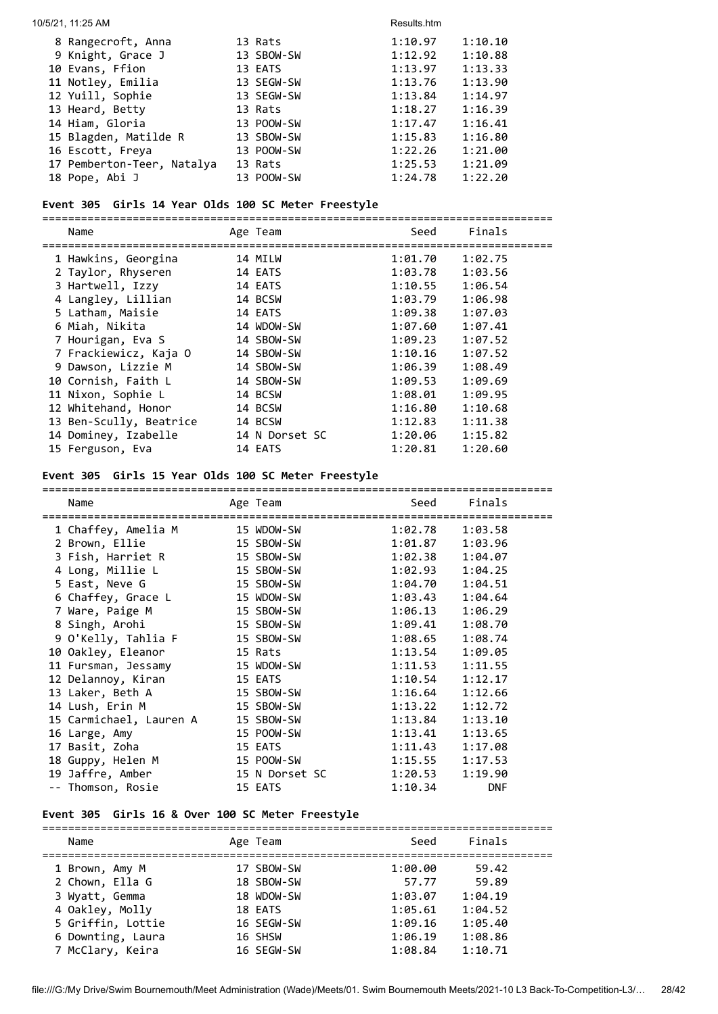#### 10/5/21, 11:25 AM Results.htm

| 8 Rangecroft, Anna         | 13 Rats    | 1:10.97 | 1:10.10 |
|----------------------------|------------|---------|---------|
| 9 Knight, Grace J          | 13 SBOW-SW | 1:12.92 | 1:10.88 |
| 10 Evans, Ffion            | 13 EATS    | 1:13.97 | 1:13.33 |
| 11 Notley, Emilia          | 13 SEGW-SW | 1:13.76 | 1:13.90 |
| 12 Yuill, Sophie           | 13 SEGW-SW | 1:13.84 | 1:14.97 |
| 13 Heard, Betty            | 13 Rats    | 1:18.27 | 1:16.39 |
| 14 Hiam, Gloria            | 13 POOW-SW | 1:17.47 | 1:16.41 |
| 15 Blagden, Matilde R      | 13 SBOW-SW | 1:15.83 | 1:16.80 |
| 16 Escott, Freya           | 13 POOW-SW | 1:22.26 | 1:21.00 |
| 17 Pemberton-Teer, Natalya | 13 Rats    | 1:25.53 | 1:21.09 |
| 18 Pope, Abi J             | 13 POOW-SW | 1:24.78 | 1:22.20 |

## **Event 305 Girls 14 Year Olds 100 SC Meter Freestyle**

===============================================================================

|  | Name                    | Age Team       | Seed    | Finals  |
|--|-------------------------|----------------|---------|---------|
|  | 1 Hawkins, Georgina     | 14 MILW        | 1:01.70 | 1:02.75 |
|  | 2 Taylor, Rhyseren      | 14 EATS        | 1:03.78 | 1:03.56 |
|  | 3 Hartwell, Izzy        | 14 EATS        | 1:10.55 | 1:06.54 |
|  | 4 Langley, Lillian      | 14 BCSW        | 1:03.79 | 1:06.98 |
|  | 5 Latham, Maisie        | 14 EATS        | 1:09.38 | 1:07.03 |
|  | 6 Miah, Nikita          | 14 WDOW-SW     | 1:07.60 | 1:07.41 |
|  | 7 Hourigan, Eva S       | 14 SBOW-SW     | 1:09.23 | 1:07.52 |
|  | 7 Frackiewicz, Kaja O   | 14 SBOW-SW     | 1:10.16 | 1:07.52 |
|  | 9 Dawson, Lizzie M      | 14 SBOW-SW     | 1:06.39 | 1:08.49 |
|  | 10 Cornish, Faith L     | 14 SBOW-SW     | 1:09.53 | 1:09.69 |
|  | 11 Nixon, Sophie L      | 14 BCSW        | 1:08.01 | 1:09.95 |
|  | 12 Whitehand, Honor     | 14 BCSW        | 1:16.80 | 1:10.68 |
|  | 13 Ben-Scully, Beatrice | 14 BCSW        | 1:12.83 | 1:11.38 |
|  | 14 Dominey, Izabelle    | 14 N Dorset SC | 1:20.06 | 1:15.82 |
|  | 15 Ferguson, Eva        | 14 EATS        | 1:20.81 | 1:20.60 |
|  |                         |                |         |         |

## **Event 305 Girls 15 Year Olds 100 SC Meter Freestyle**

| Name                    | Age Team       | Seed    | Finals     |
|-------------------------|----------------|---------|------------|
| 1 Chaffey, Amelia M     | 15 WDOW-SW     | 1:02.78 | 1:03.58    |
| 2 Brown, Ellie          | 15 SBOW-SW     | 1:01.87 | 1:03.96    |
| 3 Fish, Harriet R       | 15 SBOW-SW     | 1:02.38 | 1:04.07    |
| 4 Long, Millie L        | 15 SBOW-SW     | 1:02.93 | 1:04.25    |
| 5 East, Neve G          | 15 SBOW-SW     | 1:04.70 | 1:04.51    |
| 6 Chaffey, Grace L      | 15 WDOW-SW     | 1:03.43 | 1:04.64    |
| 7 Ware, Paige M         | 15 SBOW-SW     | 1:06.13 | 1:06.29    |
| 8 Singh, Arohi          | 15 SBOW-SW     | 1:09.41 | 1:08.70    |
| 9 O'Kelly, Tahlia F     | 15 SBOW-SW     | 1:08.65 | 1:08.74    |
| 10 Oakley, Eleanor      | 15 Rats        | 1:13.54 | 1:09.05    |
| 11 Fursman, Jessamy     | 15 WDOW-SW     | 1:11.53 | 1:11.55    |
| 12 Delannoy, Kiran      | 15 EATS        | 1:10.54 | 1:12.17    |
| 13 Laker, Beth A        | 15 SBOW-SW     | 1:16.64 | 1:12.66    |
| 14 Lush, Erin M         | 15 SBOW-SW     | 1:13.22 | 1:12.72    |
| 15 Carmichael, Lauren A | 15 SBOW-SW     | 1:13.84 | 1:13.10    |
| 16 Large, Amy           | 15 POOW-SW     | 1:13.41 | 1:13.65    |
| 17 Basit, Zoha          | 15 EATS        | 1:11.43 | 1:17.08    |
| 18 Guppy, Helen M       | 15 POOW-SW     | 1:15.55 | 1:17.53    |
| 19 Jaffre, Amber        | 15 N Dorset SC | 1:20.53 | 1:19.90    |
| -- Thomson, Rosie       | 15 EATS        | 1:10.34 | <b>DNF</b> |

## **Event 305 Girls 16 & Over 100 SC Meter Freestyle**

| Name              | Age Team   | Seed    | Finals  |  |
|-------------------|------------|---------|---------|--|
| 1 Brown, Amy M    | 17 SBOW-SW | 1:00.00 | 59.42   |  |
| 2 Chown, Ella G   | 18 SBOW-SW | 57.77   | 59.89   |  |
| 3 Wyatt, Gemma    | 18 WDOW-SW | 1:03.07 | 1:04.19 |  |
| 4 Oakley, Molly   | 18 EATS    | 1:05.61 | 1:04.52 |  |
| 5 Griffin, Lottie | 16 SEGW-SW | 1:09.16 | 1:05.40 |  |
| 6 Downting, Laura | 16 SHSW    | 1:06.19 | 1:08.86 |  |
| 7 McClary, Keira  | 16 SEGW-SW | 1:08.84 | 1:10.71 |  |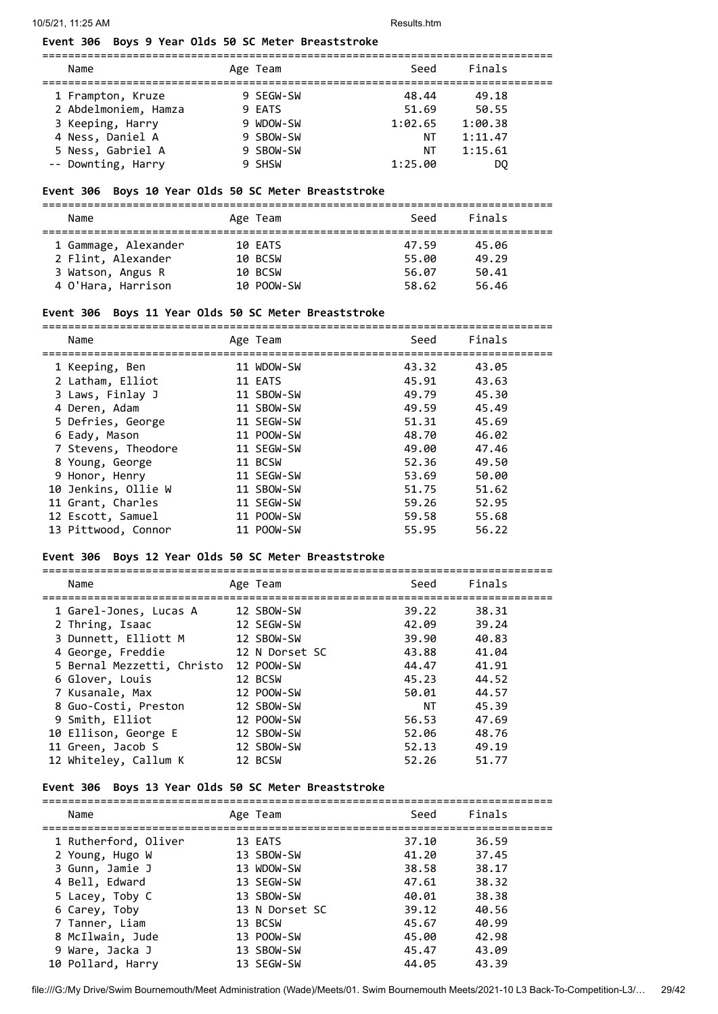#### **Event 306 Boys 9 Year Olds 50 SC Meter Breaststroke**

| Name                 | Age Team  | Seed    | Finals  |  |
|----------------------|-----------|---------|---------|--|
| 1 Frampton, Kruze    | 9 SEGW-SW | 48.44   | 49.18   |  |
| 2 Abdelmoniem, Hamza | 9 EATS    | 51.69   | 50.55   |  |
| 3 Keeping, Harry     | 9 WDOW-SW | 1:02.65 | 1:00.38 |  |
| 4 Ness, Daniel A     | 9 SBOW-SW | ΝT      | 1:11.47 |  |
| 5 Ness, Gabriel A    | 9 SBOW-SW | NΤ      | 1:15.61 |  |
| -- Downting, Harry   | 9 SHSW    | 1:25.00 | DO.     |  |

===============================================================================

#### **Event 306 Boys 10 Year Olds 50 SC Meter Breaststroke**

=============================================================================== Name **Age Team** Age Team Seed Finals =============================================================================== 1 Gammage, Alexander 10 EATS 47.59 45.06 2 Flint, Alexander 10 BCSW 55.00 49.29 3 Watson, Angus R 10 BCSW 56.07 50.41

4 O'Hara, Harrison 10 POOW-SW 58.62 56.46

#### **Event 306 Boys 11 Year Olds 50 SC Meter Breaststroke**

| Name                | Age Team   | Seed  | Finals |
|---------------------|------------|-------|--------|
|                     |            |       |        |
| 1 Keeping, Ben      | 11 WDOW-SW | 43.32 | 43.05  |
| 2 Latham, Elliot    | 11 EATS    | 45.91 | 43.63  |
| 3 Laws, Finlay J    | 11 SBOW-SW | 49.79 | 45.30  |
| 4 Deren, Adam       | 11 SBOW-SW | 49.59 | 45.49  |
| 5 Defries, George   | 11 SEGW-SW | 51.31 | 45.69  |
| 6 Eady, Mason       | 11 POOW-SW | 48.70 | 46.02  |
| 7 Stevens, Theodore | 11 SEGW-SW | 49.00 | 47.46  |
| 8 Young, George     | 11 BCSW    | 52.36 | 49.50  |
| 9 Honor, Henry      | 11 SEGW-SW | 53.69 | 50.00  |
| 10 Jenkins, Ollie W | 11 SBOW-SW | 51.75 | 51.62  |
| 11 Grant, Charles   | 11 SEGW-SW | 59.26 | 52.95  |
| 12 Escott, Samuel   | 11 POOW-SW | 59.58 | 55.68  |
| 13 Pittwood, Connor | 11 POOW-SW | 55.95 | 56.22  |
|                     |            |       |        |

#### **Event 306 Boys 12 Year Olds 50 SC Meter Breaststroke**

| Name                       | Age Team       | Seed  | Finals |
|----------------------------|----------------|-------|--------|
| 1 Garel-Jones, Lucas A     | 12 SBOW-SW     | 39.22 | 38.31  |
| 2 Thring, Isaac            | 12 SEGW-SW     | 42.09 | 39.24  |
| 3 Dunnett, Elliott M       | 12 SBOW-SW     | 39.90 | 40.83  |
| 4 George, Freddie          | 12 N Dorset SC | 43.88 | 41.04  |
| 5 Bernal Mezzetti, Christo | 12 POOW-SW     | 44.47 | 41.91  |
| 6 Glover, Louis            | 12 BCSW        | 45.23 | 44.52  |
| 7 Kusanale, Max            | 12 POOW-SW     | 50.01 | 44.57  |
| 8 Guo-Costi, Preston       | 12 SBOW-SW     | NT.   | 45.39  |
| 9 Smith, Elliot            | 12 POOW-SW     | 56.53 | 47.69  |
| 10 Ellison, George E       | 12 SBOW-SW     | 52.06 | 48.76  |
| 11 Green, Jacob S          | 12 SBOW-SW     | 52.13 | 49.19  |
| 12 Whiteley, Callum K      | 12 BCSW        | 52.26 | 51.77  |

#### **Event 306 Boys 13 Year Olds 50 SC Meter Breaststroke**

| Name                 | Age Team       | Seed  | Finals |
|----------------------|----------------|-------|--------|
| 1 Rutherford, Oliver | 13 EATS        | 37.10 | 36.59  |
| 2 Young, Hugo W      | 13 SBOW-SW     | 41.20 | 37.45  |
| 3 Gunn, Jamie J      | 13 WDOW-SW     | 38.58 | 38.17  |
| 4 Bell, Edward       | 13 SEGW-SW     | 47.61 | 38.32  |
| 5 Lacey, Toby C      | 13 SBOW-SW     | 40.01 | 38.38  |
| 6 Carey, Toby        | 13 N Dorset SC | 39.12 | 40.56  |
| 7 Tanner, Liam       | 13 BCSW        | 45.67 | 40.99  |
| 8 McIlwain, Jude     | 13 POOW-SW     | 45.00 | 42.98  |
| 9 Ware, Jacka J      | 13 SBOW-SW     | 45.47 | 43.09  |
| 10 Pollard, Harry    | 13 SEGW-SW     | 44.05 | 43.39  |
|                      |                |       |        |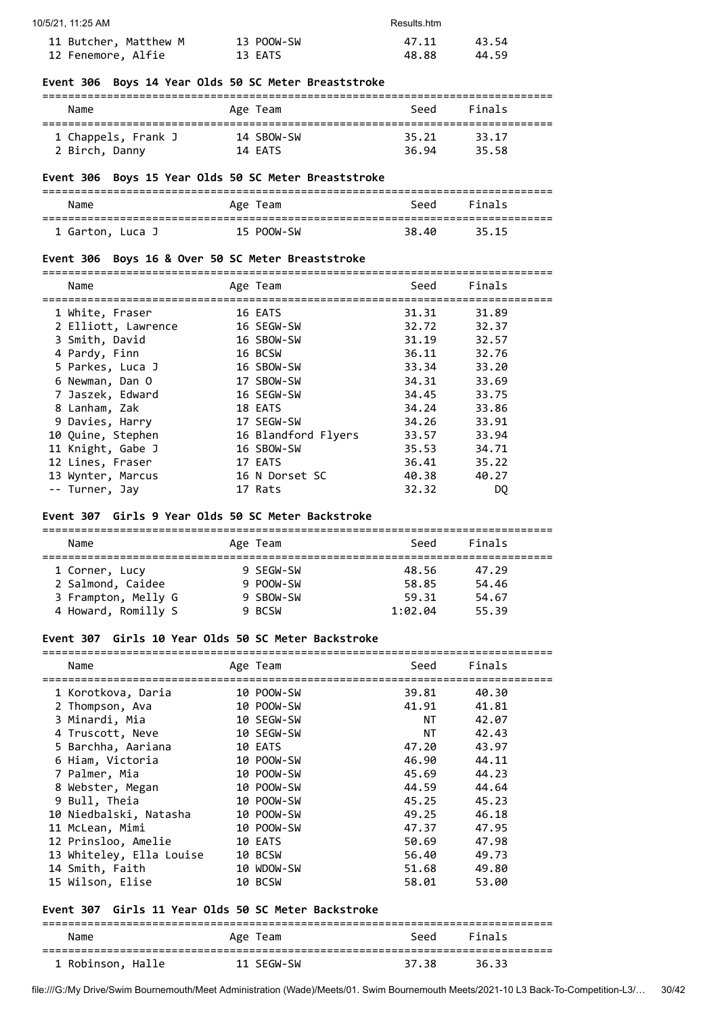| 10/5/21, 11:25 AM     | Results.htm |       |       |
|-----------------------|-------------|-------|-------|
| 11 Butcher, Matthew M | 13 POOW-SW  | 47.11 | 43.54 |
| 12 Fenemore, Alfie    | 13 EATS     | 48.88 | 44.59 |

## **Event 306 Boys 14 Year Olds 50 SC Meter Breaststroke**

| Name                | Age Team   | Seed  | Finals |  |
|---------------------|------------|-------|--------|--|
| 1 Chappels, Frank J | 14 SBOW-SW | 35.21 | 33.17  |  |
| 2 Birch, Danny      | 14 EATS    | 36.94 | 35.58  |  |

## **Event 306 Boys 15 Year Olds 50 SC Meter Breaststroke**

| Name             | Age Team   | Seed  | Finals |  |  |  |
|------------------|------------|-------|--------|--|--|--|
| 1 Garton, Luca J | 15 POOW-SW | 38.40 | 35.15  |  |  |  |

#### **Event 306 Boys 16 & Over 50 SC Meter Breaststroke**

| Name                | Age Team            | Seed  | Finals |
|---------------------|---------------------|-------|--------|
|                     |                     |       |        |
| 1 White, Fraser     | 16 EATS             | 31.31 | 31.89  |
| 2 Elliott, Lawrence | 16 SEGW-SW          | 32.72 | 32.37  |
| 3 Smith, David      | 16 SBOW-SW          | 31.19 | 32.57  |
| 4 Pardy, Finn       | 16 BCSW             | 36.11 | 32.76  |
| 5 Parkes, Luca J    | 16 SBOW-SW          | 33.34 | 33.20  |
| 6 Newman, Dan O     | 17 SBOW-SW          | 34.31 | 33.69  |
| 7 Jaszek, Edward    | 16 SEGW-SW          | 34.45 | 33.75  |
| 8 Lanham, Zak       | 18 EATS             | 34.24 | 33.86  |
| 9 Davies, Harry     | 17 SEGW-SW          | 34.26 | 33.91  |
| 10 Quine, Stephen   | 16 Blandford Flyers | 33.57 | 33.94  |
| 11 Knight, Gabe J   | 16 SBOW-SW          | 35.53 | 34.71  |
| 12 Lines, Fraser    | 17 EATS             | 36.41 | 35.22  |
| 13 Wynter, Marcus   | 16 N Dorset SC      | 40.38 | 40.27  |
| -- Turner, Jay      | 17 Rats             | 32.32 | DO     |

## **Event 307 Girls 9 Year Olds 50 SC Meter Backstroke**

| Name                |  | Age Team  | Seed    | Finals |  |  |  |
|---------------------|--|-----------|---------|--------|--|--|--|
|                     |  |           |         |        |  |  |  |
| 1 Corner, Lucy      |  | 9 SEGW-SW | 48.56   | 47.29  |  |  |  |
| 2 Salmond, Caidee   |  | 9 POOW-SW | 58.85   | 54.46  |  |  |  |
| 3 Frampton, Melly G |  | 9 SBOW-SW | 59.31   | 54.67  |  |  |  |
| 4 Howard, Romilly S |  | 9 BCSW    | 1:02.04 | 55.39  |  |  |  |

#### **Event 307 Girls 10 Year Olds 50 SC Meter Backstroke**

| Name<br>=========================== | Age Team<br>================================ | Seed  | Finals |
|-------------------------------------|----------------------------------------------|-------|--------|
| 1 Korotkova, Daria                  | 10 POOW-SW                                   | 39.81 | 40.30  |
| 2 Thompson, Ava                     | 10 POOW-SW                                   | 41.91 | 41.81  |
| 3 Minardi, Mia                      | 10 SEGW-SW                                   | NT    | 42.07  |
| 4 Truscott, Neve                    | 10 SEGW-SW                                   | NT.   | 42.43  |
| 5 Barchha, Aariana                  | 10 EATS                                      | 47.20 | 43.97  |
| 6 Hiam, Victoria                    | 10 POOW-SW                                   | 46.90 | 44.11  |
| 7 Palmer, Mia                       | 10 POOW-SW                                   | 45.69 | 44.23  |
| 8 Webster, Megan                    | 10 POOW-SW                                   | 44.59 | 44.64  |
| 9 Bull, Theia                       | 10 POOW-SW                                   | 45.25 | 45.23  |
| 10 Niedbalski, Natasha              | 10 POOW-SW                                   | 49.25 | 46.18  |
| 11 McLean, Mimi                     | 10 POOW-SW                                   | 47.37 | 47.95  |
| 12 Prinsloo, Amelie                 | 10 EATS                                      | 50.69 | 47.98  |
| 13 Whiteley, Ella Louise            | 10 BCSW                                      | 56.40 | 49.73  |
| 14 Smith, Faith                     | 10 WDOW-SW                                   | 51.68 | 49.80  |
| 15 Wilson, Elise                    | 10 BCSW                                      | 58.01 | 53.00  |

## **Event 307 Girls 11 Year Olds 50 SC Meter Backstroke**

=============================================================================== Name **Age Team** Age Team Seed Finals =============================================================================== 1 Robinson, Halle 11 SEGW-SW 37.38 36.33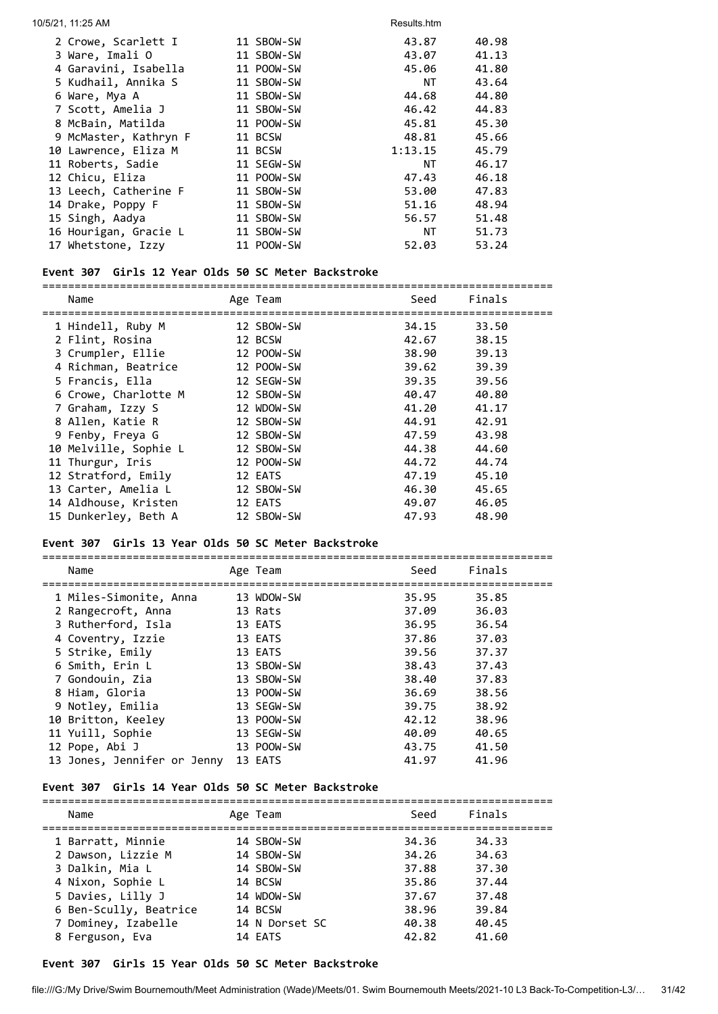| 10/5/21, 11:25 AM     |            | Results.htm |       |
|-----------------------|------------|-------------|-------|
| 2 Crowe, Scarlett I   | 11 SBOW-SW | 43.87       | 40.98 |
| 3 Ware, Imali O       | 11 SBOW-SW | 43.07       | 41.13 |
| 4 Garavini, Isabella  | 11 POOW-SW | 45.06       | 41.80 |
| 5 Kudhail, Annika S   | 11 SBOW-SW | NT          | 43.64 |
| 6 Ware, Mya A         | 11 SBOW-SW | 44.68       | 44.80 |
| 7 Scott, Amelia J     | 11 SBOW-SW | 46.42       | 44.83 |
| 8 McBain, Matilda     | 11 POOW-SW | 45.81       | 45.30 |
| 9 McMaster, Kathryn F | 11 BCSW    | 48.81       | 45.66 |
| 10 Lawrence, Eliza M  | 11 BCSW    | 1:13.15     | 45.79 |
| 11 Roberts, Sadie     | 11 SEGW-SW | NT          | 46.17 |
| 12 Chicu, Eliza       | 11 POOW-SW | 47.43       | 46.18 |
| 13 Leech, Catherine F | 11 SBOW-SW | 53.00       | 47.83 |
| 14 Drake, Poppy F     | 11 SBOW-SW | 51.16       | 48.94 |
| 15 Singh, Aadya       | 11 SBOW-SW | 56.57       | 51.48 |
| 16 Hourigan, Gracie L | 11 SBOW-SW | ΝT          | 51.73 |
| 17 Whetstone, Izzy    | 11 POOW-SW | 52.03       | 53.24 |

## **Event 307 Girls 12 Year Olds 50 SC Meter Backstroke**

| Name                  | Age Team   | Seed  | Finals |
|-----------------------|------------|-------|--------|
| 1 Hindell, Ruby M     | 12 SBOW-SW | 34.15 | 33.50  |
| 2 Flint, Rosina       | 12 BCSW    | 42.67 | 38.15  |
| 3 Crumpler, Ellie     | 12 POOW-SW | 38.90 | 39.13  |
| 4 Richman, Beatrice   | 12 POOW-SW | 39.62 | 39.39  |
| 5 Francis, Ella       | 12 SEGW-SW | 39.35 | 39.56  |
| 6 Crowe, Charlotte M  | 12 SBOW-SW | 40.47 | 40.80  |
| 7 Graham, Izzy S      | 12 WDOW-SW | 41.20 | 41.17  |
| 8 Allen, Katie R      | 12 SBOW-SW | 44.91 | 42.91  |
| 9 Fenby, Freya G      | 12 SBOW-SW | 47.59 | 43.98  |
| 10 Melville, Sophie L | 12 SBOW-SW | 44.38 | 44.60  |
| 11 Thurgur, Iris      | 12 POOW-SW | 44.72 | 44.74  |
| 12 Stratford, Emily   | 12 EATS    | 47.19 | 45.10  |
| 13 Carter, Amelia L   | 12 SBOW-SW | 46.30 | 45.65  |
| 14 Aldhouse, Kristen  | 12 EATS    | 49.07 | 46.05  |
| 15 Dunkerley, Beth A  | 12 SBOW-SW | 47.93 | 48.90  |

#### **Event 307 Girls 13 Year Olds 50 SC Meter Backstroke**

===============================================================================

| Name                        | Age Team   | Seed  | Finals |
|-----------------------------|------------|-------|--------|
| 1 Miles-Simonite, Anna      | 13 WDOW-SW | 35.95 | 35.85  |
| 2 Rangecroft, Anna          | 13 Rats    | 37.09 | 36.03  |
| 3 Rutherford, Isla          | 13 EATS    | 36.95 | 36.54  |
| 4 Coventry, Izzie           | 13 EATS    | 37.86 | 37.03  |
| 5 Strike, Emily             | 13 EATS    | 39.56 | 37.37  |
| 6 Smith, Erin L             | 13 SBOW-SW | 38.43 | 37.43  |
| 7 Gondouin, Zia             | 13 SBOW-SW | 38.40 | 37.83  |
| 8 Hiam, Gloria              | 13 POOW-SW | 36.69 | 38.56  |
| 9 Notley, Emilia            | 13 SEGW-SW | 39.75 | 38.92  |
| 10 Britton, Keeley          | 13 POOW-SW | 42.12 | 38.96  |
| 11 Yuill, Sophie            | 13 SEGW-SW | 40.09 | 40.65  |
| 12 Pope, Abi J              | 13 POOW-SW | 43.75 | 41.50  |
| 13 Jones, Jennifer or Jenny | 13 EATS    | 41.97 | 41.96  |

## **Event 307 Girls 14 Year Olds 50 SC Meter Backstroke**

| Name                   | Age Team       | Seed  | Finals |
|------------------------|----------------|-------|--------|
| 1 Barratt, Minnie      | 14 SBOW-SW     | 34.36 | 34.33  |
| 2 Dawson, Lizzie M     | 14 SBOW-SW     | 34.26 | 34.63  |
| 3 Dalkin, Mia L        | 14 SBOW-SW     | 37.88 | 37.30  |
| 4 Nixon, Sophie L      | 14 BCSW        | 35.86 | 37.44  |
| 5 Davies, Lilly J      | 14 WDOW-SW     | 37.67 | 37.48  |
| 6 Ben-Scully, Beatrice | 14 BCSW        | 38.96 | 39.84  |
| 7 Dominey, Izabelle    | 14 N Dorset SC | 40.38 | 40.45  |
| 8 Ferguson, Eva        | 14 EATS        | 42.82 | 41.60  |
|                        |                |       |        |

## **Event 307 Girls 15 Year Olds 50 SC Meter Backstroke**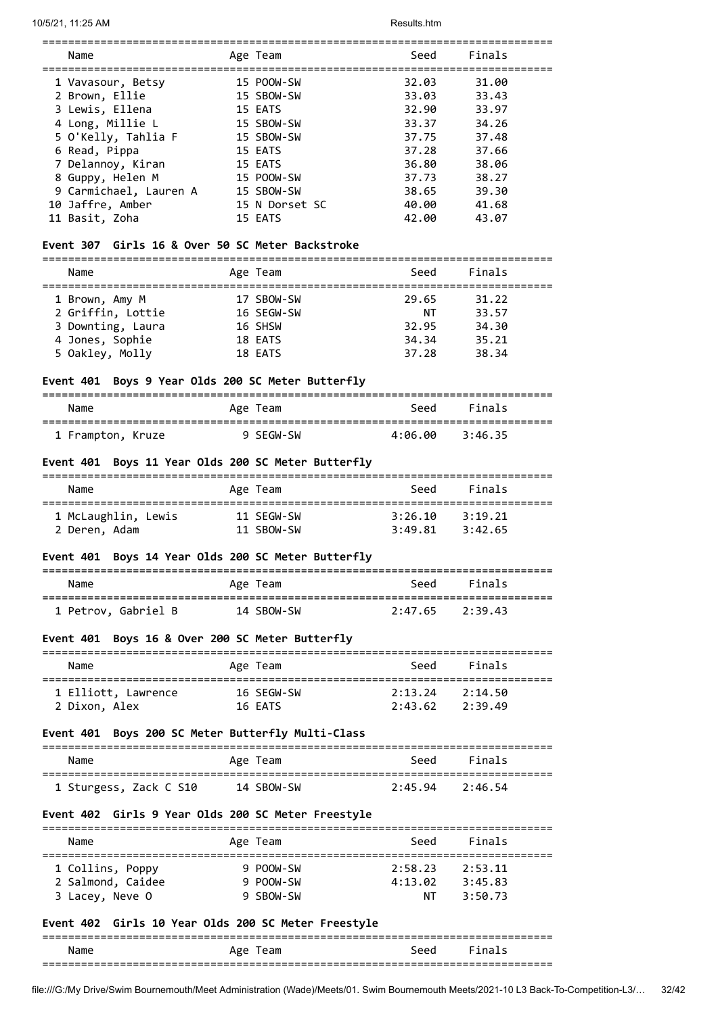| Name                   | Age Team       | Seed  | Finals |  |
|------------------------|----------------|-------|--------|--|
| 1 Vavasour, Betsy      | 15 POOW-SW     | 32.03 | 31.00  |  |
| 2 Brown, Ellie         | 15 SBOW-SW     | 33.03 | 33.43  |  |
| 3 Lewis, Ellena        | 15 EATS        | 32.90 | 33.97  |  |
| 4 Long, Millie L       | 15 SBOW-SW     | 33.37 | 34.26  |  |
| 5 O'Kelly, Tahlia F    | 15 SBOW-SW     | 37.75 | 37.48  |  |
| 6 Read, Pippa          | 15 EATS        | 37.28 | 37.66  |  |
| 7 Delannoy, Kiran      | 15 EATS        | 36.80 | 38.06  |  |
| 8 Guppy, Helen M       | 15 POOW-SW     | 37.73 | 38.27  |  |
| 9 Carmichael, Lauren A | 15 SBOW-SW     | 38.65 | 39.30  |  |
| 10 Jaffre, Amber       | 15 N Dorset SC | 40.00 | 41.68  |  |
| 11 Basit, Zoha         | 15 EATS        | 42.00 | 43.07  |  |

===============================================================================

## **Event 307 Girls 16 & Over 50 SC Meter Backstroke**

| ------- |  | _____ |
|---------|--|-------|
|         |  |       |

|                   | $\cdots$   | ----  | .     |
|-------------------|------------|-------|-------|
|                   |            |       |       |
| 1 Brown, Amy M    | 17 SBOW-SW | 29.65 | 31.22 |
| 2 Griffin, Lottie | 16 SEGW-SW | ΝT    | 33.57 |
| 3 Downting, Laura | 16 SHSW    | 32.95 | 34.30 |
| 4 Jones, Sophie   | 18 EATS    | 34.34 | 35.21 |
| 5 Oakley, Molly   | 18 EATS    | 37.28 | 38.34 |
|                   |            |       |       |

#### **Event 401 Boys 9 Year Olds 200 SC Meter Butterfly**

| Name              | Age Team  | Seed    | Finals  |  |
|-------------------|-----------|---------|---------|--|
| 1 Frampton, Kruze | 9 SEGW-SW | 4:06.00 | 3:46.35 |  |

## **Event 401 Boys 11 Year Olds 200 SC Meter Butterfly**

| Name                | Age Team   | Seed    | Finals  |  |
|---------------------|------------|---------|---------|--|
| 1 McLaughlin, Lewis | 11 SEGW-SW | 3:26.10 | 3:19.21 |  |
| 2 Deren, Adam       | 11 SBOW-SW | 3:49.81 | 3:42.65 |  |

## **Event 401 Boys 14 Year Olds 200 SC Meter Butterfly**

| Name                | Age Team   | Seed                | Finals |
|---------------------|------------|---------------------|--------|
|                     |            |                     |        |
| 1 Petrov, Gabriel B | 14 SBOW-SW | $2:47.65$ $2:39.43$ |        |

## **Event 401 Boys 16 & Over 200 SC Meter Butterfly**

| Name                | Age Team   | Seed    | Finals  |  |
|---------------------|------------|---------|---------|--|
| 1 Elliott, Lawrence | 16 SFGW-SW | 2:13.24 | 2:14.50 |  |
| 2 Dixon, Alex       | 16 FATS    | 2:43.62 | 2:39.49 |  |

#### **Event 401 Boys 200 SC Meter Butterfly Multi-Class**

| Name                   | Age Team   | Seed                | <b>Finals</b> |
|------------------------|------------|---------------------|---------------|
| 1 Sturgess, Zack C S10 | 14 SBOW-SW | $2:45.94$ $2:46.54$ |               |

## **Event 402 Girls 9 Year Olds 200 SC Meter Freestyle**

| Name              | Age Team  | Seed    | Finals  |  |
|-------------------|-----------|---------|---------|--|
| 1 Collins, Poppy  | 9 POOW-SW | 2:58.23 | 2:53.11 |  |
| 2 Salmond, Caidee | 9 POOW-SW | 4:13.02 | 3:45.83 |  |
| 3 Lacey, Neve O   | 9 SBOW-SW | ΝT      | 3:50.73 |  |

#### **Event 402 Girls 10 Year Olds 200 SC Meter Freestyle**

#### =============================================================================== Name **Age Team** Age Team Seed Finals ===============================================================================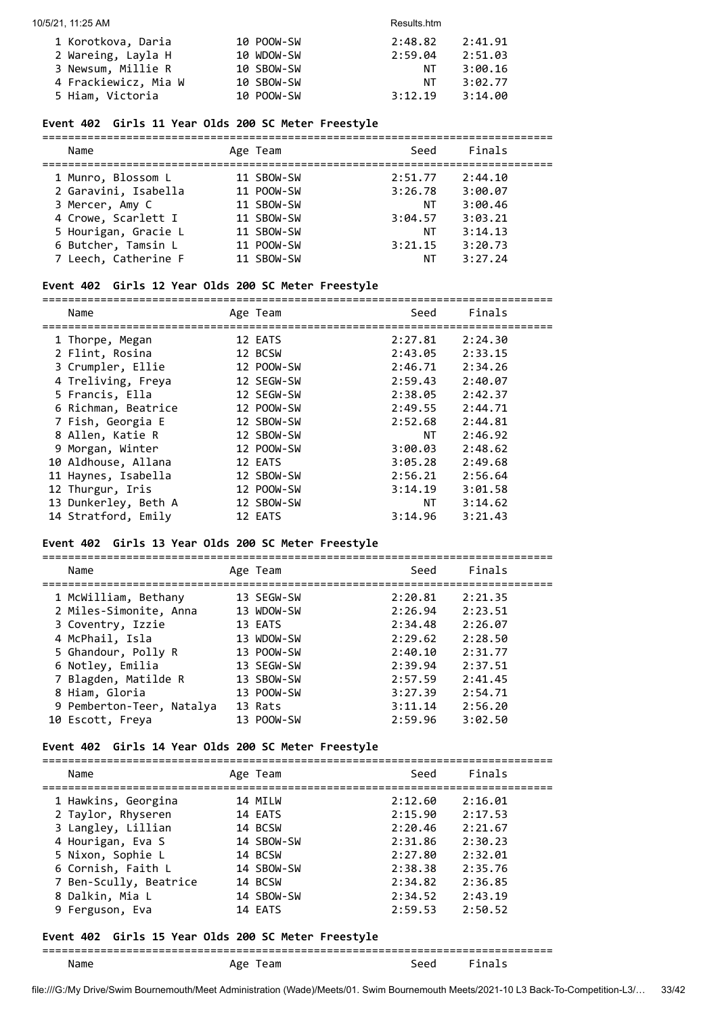| 1 Korotkova, Daria   | 10 POOW-SW | 2:48.82 | 2:41.91 |
|----------------------|------------|---------|---------|
| 2 Wareing, Layla H   | 10 WDOW-SW | 2:59.04 | 2:51.03 |
| 3 Newsum, Millie R   | 10 SBOW-SW | NT.     | 3:00.16 |
| 4 Frackiewicz, Mia W | 10 SBOW-SW | NT      | 3:02.77 |
| 5 Hiam, Victoria     | 10 POOW-SW | 3:12.19 | 3:14.00 |

## **Event 402 Girls 11 Year Olds 200 SC Meter Freestyle**

| Name                 | Age Team   | Seed    | Finals  |  |
|----------------------|------------|---------|---------|--|
| 1 Munro, Blossom L   | 11 SBOW-SW | 2:51.77 | 2:44.10 |  |
| 2 Garavini, Isabella | 11 POOW-SW | 3:26.78 | 3:00.07 |  |
| 3 Mercer, Amy C      | 11 SBOW-SW | NΤ      | 3:00.46 |  |
| 4 Crowe, Scarlett I  | 11 SBOW-SW | 3:04.57 | 3:03.21 |  |
| 5 Hourigan, Gracie L | 11 SBOW-SW | ΝT      | 3:14.13 |  |
| 6 Butcher, Tamsin L  | 11 POOW-SW | 3:21.15 | 3:20.73 |  |
| 7 Leech, Catherine F | 11 SBOW-SW | ΝT      | 3:27.24 |  |
|                      |            |         |         |  |

#### **Event 402 Girls 12 Year Olds 200 SC Meter Freestyle**

===============================================================================

| Name                 | Age Team   | Seed      | Finals  |
|----------------------|------------|-----------|---------|
| 1 Thorpe, Megan      | 12 EATS    | 2:27.81   | 2:24.30 |
| 2 Flint, Rosina      | 12 BCSW    | 2:43.05   | 2:33.15 |
| 3 Crumpler, Ellie    | 12 POOW-SW | 2:46.71   | 2:34.26 |
| 4 Treliving, Freya   | 12 SEGW-SW | 2:59.43   | 2:40.07 |
| 5 Francis, Ella      | 12 SEGW-SW | 2:38.05   | 2:42.37 |
| 6 Richman, Beatrice  | 12 POOW-SW | 2:49.55   | 2:44.71 |
| 7 Fish, Georgia E    | 12 SBOW-SW | 2:52.68   | 2:44.81 |
| 8 Allen, Katie R     | 12 SBOW-SW | <b>NT</b> | 2:46.92 |
| 9 Morgan, Winter     | 12 POOW-SW | 3:00.03   | 2:48.62 |
| 10 Aldhouse, Allana  | 12 EATS    | 3:05.28   | 2:49.68 |
| 11 Haynes, Isabella  | 12 SBOW-SW | 2:56.21   | 2:56.64 |
| 12 Thurgur, Iris     | 12 POOW-SW | 3:14.19   | 3:01.58 |
| 13 Dunkerley, Beth A | 12 SBOW-SW | NT        | 3:14.62 |
| 14 Stratford, Emily  | 12 EATS    | 3:14.96   | 3:21.43 |

#### **Event 402 Girls 13 Year Olds 200 SC Meter Freestyle**

===============================================================================

| Name                      | Age Team   | Seed    | Finals  |
|---------------------------|------------|---------|---------|
| 1 McWilliam, Bethany      | 13 SEGW-SW | 2:20.81 | 2:21.35 |
| 2 Miles-Simonite, Anna    | 13 WDOW-SW | 2:26.94 | 2:23.51 |
| 3 Coventry, Izzie         | 13 EATS    | 2:34.48 | 2:26.07 |
| 4 McPhail, Isla           | 13 WDOW-SW | 2:29.62 | 2:28.50 |
| 5 Ghandour, Polly R       | 13 POOW-SW | 2:40.10 | 2:31.77 |
| 6 Notley, Emilia          | 13 SEGW-SW | 2:39.94 | 2:37.51 |
| 7 Blagden, Matilde R      | 13 SBOW-SW | 2:57.59 | 2:41.45 |
| 8 Hiam, Gloria            | 13 POOW-SW | 3:27.39 | 2:54.71 |
| 9 Pemberton-Teer, Natalya | 13 Rats    | 3:11.14 | 2:56.20 |
| 10 Escott, Freya          | 13 POOW-SW | 2:59.96 | 3:02.50 |

#### **Event 402 Girls 14 Year Olds 200 SC Meter Freestyle**

| Name                   | Age Team   | Seed    | Finals  |
|------------------------|------------|---------|---------|
| 1 Hawkins, Georgina    | 14 MILW    | 2:12.60 | 2:16.01 |
| 2 Taylor, Rhyseren     | 14 EATS    | 2:15.90 | 2:17.53 |
| 3 Langley, Lillian     | 14 BCSW    | 2:20.46 | 2:21.67 |
| 4 Hourigan, Eva S      | 14 SBOW-SW | 2:31.86 | 2:30.23 |
| 5 Nixon, Sophie L      | 14 BCSW    | 2:27.80 | 2:32.01 |
| 6 Cornish, Faith L     | 14 SBOW-SW | 2:38.38 | 2:35.76 |
| 7 Ben-Scully, Beatrice | 14 BCSW    | 2:34.82 | 2:36.85 |
| 8 Dalkin, Mia L        | 14 SBOW-SW | 2:34.52 | 2:43.19 |
| 9 Ferguson, Eva        | 14 EATS    | 2:59.53 | 2:50.52 |

## **Event 402 Girls 15 Year Olds 200 SC Meter Freestyle**

## =============================================================================== Name Age Team Seed Finals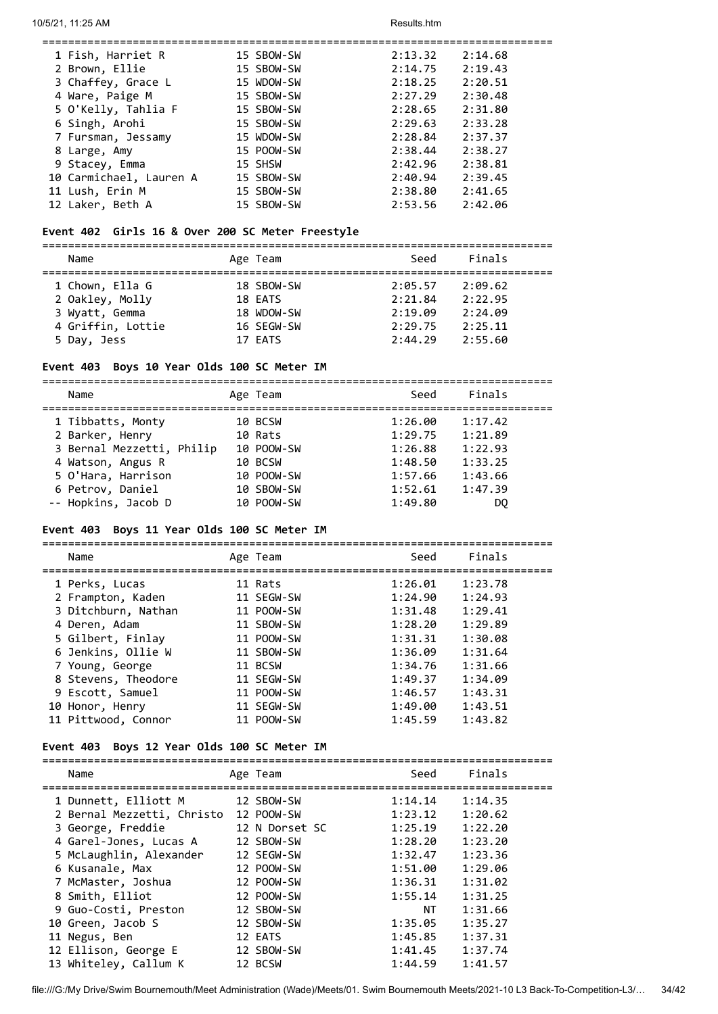| 1 Fish, Harriet R       | 15 SBOW-SW | 2:13.32 | 2:14.68 |
|-------------------------|------------|---------|---------|
| 2 Brown, Ellie          | 15 SBOW-SW | 2:14.75 | 2:19.43 |
| 3 Chaffey, Grace L      | 15 WDOW-SW | 2:18.25 | 2:20.51 |
| 4 Ware, Paige M         | 15 SBOW-SW | 2:27.29 | 2:30.48 |
| 5 O'Kelly, Tahlia F     | 15 SBOW-SW | 2:28.65 | 2:31.80 |
| 6 Singh, Arohi          | 15 SBOW-SW | 2:29.63 | 2:33.28 |
| 7 Fursman, Jessamy      | 15 WDOW-SW | 2:28.84 | 2:37.37 |
| 8 Large, Amy            | 15 POOW-SW | 2:38.44 | 2:38.27 |
| 9 Stacey, Emma          | 15 SHSW    | 2:42.96 | 2:38.81 |
| 10 Carmichael, Lauren A | 15 SBOW-SW | 2:40.94 | 2:39.45 |
| 11 Lush, Erin M         | 15 SBOW-SW | 2:38.80 | 2:41.65 |
| 12 Laker, Beth A        | 15 SBOW-SW | 2:53.56 | 2:42.06 |
|                         |            |         |         |

## **Event 402 Girls 16 & Over 200 SC Meter Freestyle**

===============================================================================

| Finals<br>Seed<br>Name<br>Age Team                    |  |
|-------------------------------------------------------|--|
| 1 Chown, Ella G<br>18 SBOW-SW<br>2:09.62<br>2:05.57   |  |
| 2 Oakley, Molly<br>2:22.95<br>18 EATS<br>2:21.84      |  |
| 2:19.09<br>3 Wyatt, Gemma<br>18 WDOW-SW<br>2:24.09    |  |
| 4 Griffin, Lottie<br>2:29.75<br>16 SEGW-SW<br>2:25.11 |  |
| 17 EATS<br>2:44.29<br>2:55.60<br>5 Day, Jess          |  |

## **Event 403 Boys 10 Year Olds 100 SC Meter IM**

| Name                      | Age Team   | Seed    | Finals  |
|---------------------------|------------|---------|---------|
| 1 Tibbatts, Monty         | 10 BCSW    | 1:26.00 | 1:17.42 |
| 2 Barker, Henry           | 10 Rats    | 1:29.75 | 1:21.89 |
| 3 Bernal Mezzetti, Philip | 10 POOW-SW | 1:26.88 | 1:22.93 |
| 4 Watson, Angus R         | 10 BCSW    | 1:48.50 | 1:33.25 |
| 5 O'Hara, Harrison        | 10 POOW-SW | 1:57.66 | 1:43.66 |
| 6 Petrov, Daniel          | 10 SBOW-SW | 1:52.61 | 1:47.39 |
| -- Hopkins, Jacob D       | 10 POOW-SW | 1:49.80 | DQ.     |

#### **Event 403 Boys 11 Year Olds 100 SC Meter IM**

===============================================================================

| Name                | Age Team   | Seed    | Finals  |
|---------------------|------------|---------|---------|
| 1 Perks, Lucas      | 11 Rats    | 1:26.01 | 1:23.78 |
| 2 Frampton, Kaden   | 11 SEGW-SW | 1:24.90 | 1:24.93 |
| 3 Ditchburn, Nathan | 11 POOW-SW | 1:31.48 | 1:29.41 |
| 4 Deren, Adam       | 11 SBOW-SW | 1:28.20 | 1:29.89 |
| 5 Gilbert, Finlay   | 11 POOW-SW | 1:31.31 | 1:30.08 |
| 6 Jenkins, Ollie W  | 11 SBOW-SW | 1:36.09 | 1:31.64 |
| 7 Young, George     | 11 BCSW    | 1:34.76 | 1:31.66 |
| 8 Stevens, Theodore | 11 SEGW-SW | 1:49.37 | 1:34.09 |
| 9 Escott, Samuel    | 11 POOW-SW | 1:46.57 | 1:43.31 |
| 10 Honor, Henry     | 11 SEGW-SW | 1:49.00 | 1:43.51 |
| 11 Pittwood, Connor | 11 POOW-SW | 1:45.59 | 1:43.82 |

## **Event 403 Boys 12 Year Olds 100 SC Meter IM**

| Name |                                                                                                                                                                                                                                                                                                         | Seed                                                                                                                                                                                         | Finals  |
|------|---------------------------------------------------------------------------------------------------------------------------------------------------------------------------------------------------------------------------------------------------------------------------------------------------------|----------------------------------------------------------------------------------------------------------------------------------------------------------------------------------------------|---------|
|      |                                                                                                                                                                                                                                                                                                         | 1:14.14                                                                                                                                                                                      | 1:14.35 |
|      |                                                                                                                                                                                                                                                                                                         | 1:23.12                                                                                                                                                                                      | 1:20.62 |
|      |                                                                                                                                                                                                                                                                                                         | 1:25.19                                                                                                                                                                                      | 1:22.20 |
|      |                                                                                                                                                                                                                                                                                                         | 1:28.20                                                                                                                                                                                      | 1:23.20 |
|      |                                                                                                                                                                                                                                                                                                         | 1:32.47                                                                                                                                                                                      | 1:23.36 |
|      |                                                                                                                                                                                                                                                                                                         | 1:51.00                                                                                                                                                                                      | 1:29.06 |
|      |                                                                                                                                                                                                                                                                                                         | 1:36.31                                                                                                                                                                                      | 1:31.02 |
|      |                                                                                                                                                                                                                                                                                                         | 1:55.14                                                                                                                                                                                      | 1:31.25 |
|      |                                                                                                                                                                                                                                                                                                         | NT                                                                                                                                                                                           | 1:31.66 |
|      |                                                                                                                                                                                                                                                                                                         | 1:35.05                                                                                                                                                                                      | 1:35.27 |
|      |                                                                                                                                                                                                                                                                                                         | 1:45.85                                                                                                                                                                                      | 1:37.31 |
|      |                                                                                                                                                                                                                                                                                                         | 1:41.45                                                                                                                                                                                      | 1:37.74 |
|      |                                                                                                                                                                                                                                                                                                         | 1:44.59                                                                                                                                                                                      | 1:41.57 |
|      | 1 Dunnett, Elliott M<br>2 Bernal Mezzetti, Christo<br>3 George, Freddie<br>4 Garel-Jones, Lucas A<br>5 McLaughlin, Alexander<br>6 Kusanale, Max<br>7 McMaster, Joshua<br>8 Smith, Elliot<br>9 Guo-Costi, Preston<br>10 Green, Jacob S<br>11 Negus, Ben<br>12 Ellison, George E<br>13 Whiteley, Callum K | Age Team<br>12 SBOW-SW<br>12 POOW-SW<br>12 N Dorset SC<br>12 SBOW-SW<br>12 SEGW-SW<br>12 POOW-SW<br>12 POOW-SW<br>12 POOW-SW<br>12 SBOW-SW<br>12 SBOW-SW<br>12 EATS<br>12 SBOW-SW<br>12 BCSW |         |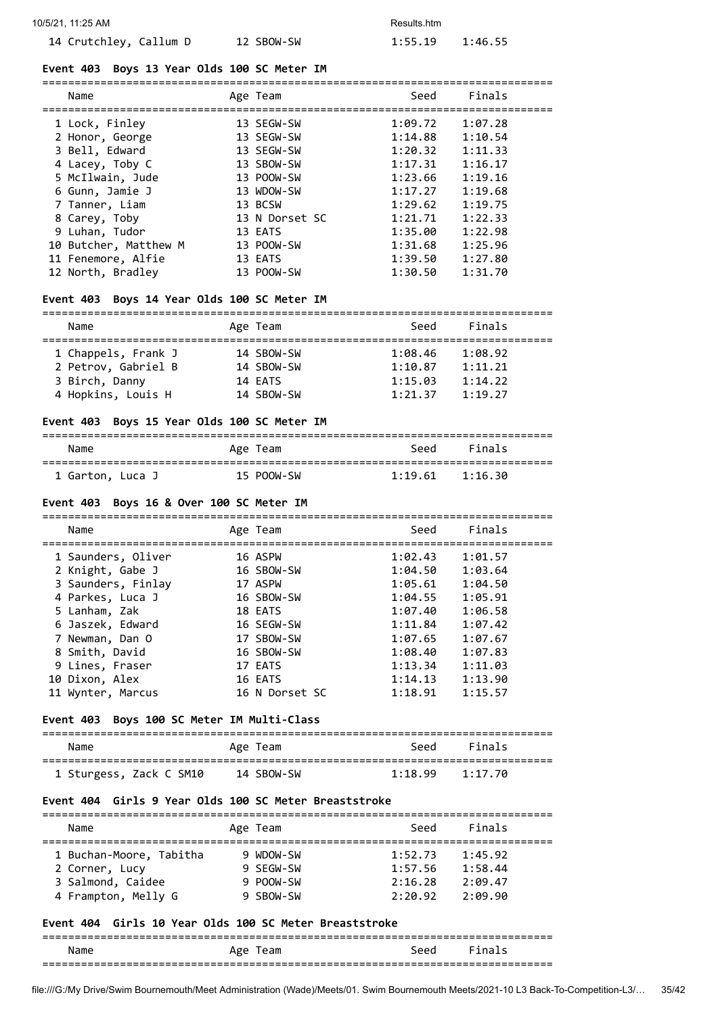#### **Event 403 Boys 13 Year Olds 100 SC Meter IM**

| Name                  | Age Team       | Seed    | Finals  |
|-----------------------|----------------|---------|---------|
| 1 Lock, Finley        | 13 SEGW-SW     | 1:09.72 | 1:07.28 |
| 2 Honor, George       | 13 SEGW-SW     | 1:14.88 | 1:10.54 |
| 3 Bell, Edward        | 13 SEGW-SW     | 1:20.32 | 1:11.33 |
| 4 Lacey, Toby C       | 13 SBOW-SW     | 1:17.31 | 1:16.17 |
| 5 McIlwain, Jude      | 13 POOW-SW     | 1:23.66 | 1:19.16 |
| 6 Gunn, Jamie J       | 13 WDOW-SW     | 1:17.27 | 1:19.68 |
| 7 Tanner, Liam        | 13 BCSW        | 1:29.62 | 1:19.75 |
| 8 Carey, Toby         | 13 N Dorset SC | 1:21.71 | 1:22.33 |
| 9 Luhan, Tudor        | 13 EATS        | 1:35.00 | 1:22.98 |
| 10 Butcher, Matthew M | 13 POOW-SW     | 1:31.68 | 1:25.96 |
| 11 Fenemore, Alfie    | 13 EATS        | 1:39.50 | 1:27.80 |
| 12 North, Bradley     | 13 POOW-SW     | 1:30.50 | 1:31.70 |

===============================================================================

#### **Event 403 Boys 14 Year Olds 100 SC Meter IM**

=============================================================================== Seed Finals

| name                | Age ream   | <b>SEEU</b> | <b>Filldin</b> |
|---------------------|------------|-------------|----------------|
| 1 Chappels, Frank J | 14 SBOW-SW | 1:08.46     | 1:08.92        |
| 2 Petrov, Gabriel B | 14 SBOW-SW | 1:10.87     | 1:11.21        |
| 3 Birch, Danny      | 14 EATS    | 1:15.03     | 1:14.22        |
| 4 Hopkins, Louis H  | 14 SBOW-SW | 1:21.37     | 1:19.27        |
|                     |            |             |                |

## **Event 403 Boys 15 Year Olds 100 SC Meter IM**

| Name             | Age Team   |                     | Seed Finals |  |
|------------------|------------|---------------------|-------------|--|
| 1 Garton, Luca J | 15 POOW-SW | $1:19.61$ $1:16.30$ |             |  |

#### **Event 403 Boys 16 & Over 100 SC Meter IM**

| Name               | Age Team       | Seed    | Finals  |
|--------------------|----------------|---------|---------|
| 1 Saunders, Oliver | 16 ASPW        | 1:02.43 | 1:01.57 |
| 2 Knight, Gabe J   | 16 SBOW-SW     | 1:04.50 | 1:03.64 |
| 3 Saunders, Finlay | 17 ASPW        | 1:05.61 | 1:04.50 |
| 4 Parkes, Luca J   | 16 SBOW-SW     | 1:04.55 | 1:05.91 |
| 5 Lanham, Zak      | 18 EATS        | 1:07.40 | 1:06.58 |
| 6 Jaszek, Edward   | 16 SEGW-SW     | 1:11.84 | 1:07.42 |
| 7 Newman, Dan O    | 17 SBOW-SW     | 1:07.65 | 1:07.67 |
| 8 Smith, David     | 16 SBOW-SW     | 1:08.40 | 1:07.83 |
| 9 Lines, Fraser    | 17 EATS        | 1:13.34 | 1:11.03 |
| 10 Dixon, Alex     | 16 EATS        | 1:14.13 | 1:13.90 |
| 11 Wynter, Marcus  | 16 N Dorset SC | 1:18.91 | 1:15.57 |

## **Event 403 Boys 100 SC Meter IM Multi-Class**

| Name                    | Age Team   |                     | Seed Finals |
|-------------------------|------------|---------------------|-------------|
| 1 Sturgess, Zack C SM10 | 14 SBOW-SW | $1:18.99$ $1:17.70$ |             |

## **Event 404 Girls 9 Year Olds 100 SC Meter Breaststroke**

| Name                    | Age Team  | Seed    | Finals  |  |
|-------------------------|-----------|---------|---------|--|
| 1 Buchan-Moore, Tabitha | 9 WDOW-SW | 1:52.73 | 1:45.92 |  |
| 2 Corner, Lucy          | 9 SFGW-SW | 1:57.56 | 1:58.44 |  |
| 3 Salmond, Caidee       | 9 POOW-SW | 2:16.28 | 2:09.47 |  |
| 4 Frampton, Melly G     | 9 SBOW-SW | 2:20.92 | 2:09.90 |  |

#### **Event 404 Girls 10 Year Olds 100 SC Meter Breaststroke**

#### =============================================================================== Name **Age Team** Age Team Seed Finals ===============================================================================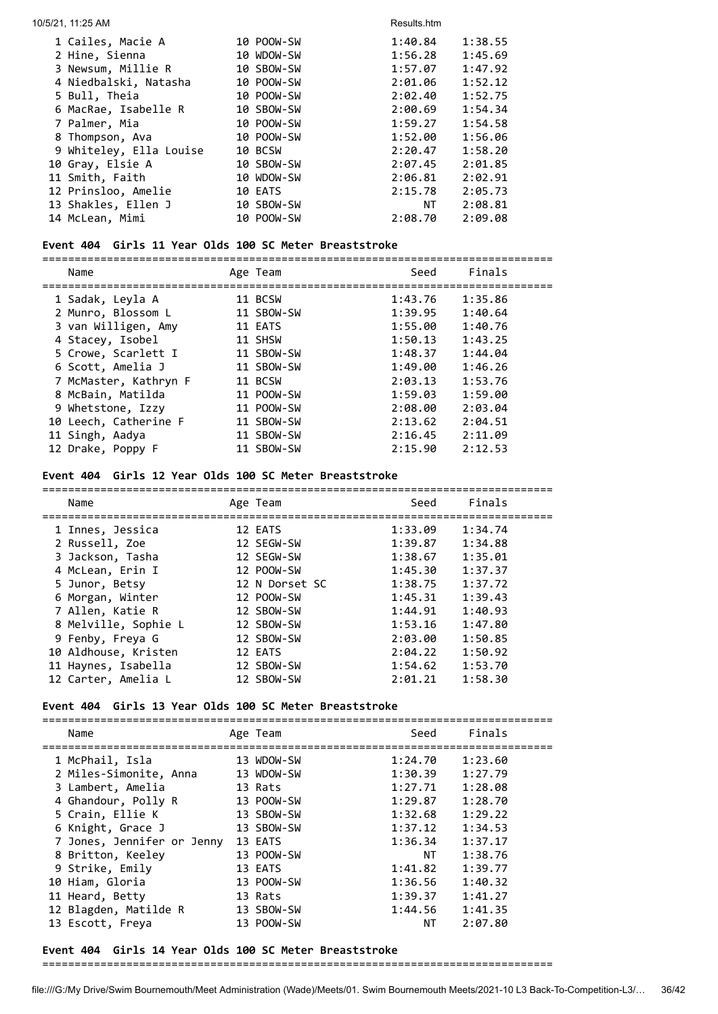| 10/5/21, 11:25 AM       |            | Results.htm |         |
|-------------------------|------------|-------------|---------|
| 1 Cailes, Macie A       | 10 POOW-SW | 1:40.84     | 1:38.55 |
| 2 Hine, Sienna          | 10 WDOW-SW | 1:56.28     | 1:45.69 |
| 3 Newsum, Millie R      | 10 SBOW-SW | 1:57.07     | 1:47.92 |
| 4 Niedbalski, Natasha   | 10 POOW-SW | 2:01.06     | 1:52.12 |
| 5 Bull, Theia           | 10 POOW-SW | 2:02.40     | 1:52.75 |
| 6 MacRae, Isabelle R    | 10 SBOW-SW | 2:00.69     | 1:54.34 |
| 7 Palmer, Mia           | 10 POOW-SW | 1:59.27     | 1:54.58 |
| 8 Thompson, Ava         | 10 POOW-SW | 1:52.00     | 1:56.06 |
| 9 Whiteley, Ella Louise | 10 BCSW    | 2:20.47     | 1:58.20 |
| 10 Gray, Elsie A        | 10 SBOW-SW | 2:07.45     | 2:01.85 |
| 11 Smith, Faith         | 10 WDOW-SW | 2:06.81     | 2:02.91 |
| 12 Prinsloo, Amelie     | 10 EATS    | 2:15.78     | 2:05.73 |
| 13 Shakles, Ellen J     | 10 SBOW-SW | NT L        | 2:08.81 |
| 14 McLean, Mimi         | 10 POOW-SW | 2:08.70     | 2:09.08 |

## **Event 404 Girls 11 Year Olds 100 SC Meter Breaststroke**

| Name                  | Age Team   | Seed    | Finals  |  |
|-----------------------|------------|---------|---------|--|
| 1 Sadak, Leyla A      | 11 BCSW    | 1:43.76 | 1:35.86 |  |
| 2 Munro, Blossom L    | 11 SBOW-SW | 1:39.95 | 1:40.64 |  |
| 3 van Willigen, Amy   | 11 EATS    | 1:55.00 | 1:40.76 |  |
| 4 Stacey, Isobel      | 11 SHSW    | 1:50.13 | 1:43.25 |  |
| 5 Crowe, Scarlett I   | 11 SBOW-SW | 1:48.37 | 1:44.04 |  |
| 6 Scott, Amelia J     | 11 SBOW-SW | 1:49.00 | 1:46.26 |  |
| 7 McMaster, Kathryn F | 11 BCSW    | 2:03.13 | 1:53.76 |  |
| 8 McBain, Matilda     | 11 POOW-SW | 1:59.03 | 1:59.00 |  |
| 9 Whetstone, Izzy     | 11 POOW-SW | 2:08.00 | 2:03.04 |  |
| 10 Leech, Catherine F | 11 SBOW-SW | 2:13.62 | 2:04.51 |  |
| 11 Singh, Aadya       | 11 SBOW-SW | 2:16.45 | 2:11.09 |  |
| 12 Drake, Poppy F     | 11 SBOW-SW | 2:15.90 | 2:12.53 |  |

## **Event 404 Girls 12 Year Olds 100 SC Meter Breaststroke**

| Name                 | Age Team       | Seed    | Finals  |
|----------------------|----------------|---------|---------|
| 1 Innes, Jessica     | 12 EATS        | 1:33.09 | 1:34.74 |
| 2 Russell, Zoe       | 12 SEGW-SW     | 1:39.87 | 1:34.88 |
| 3 Jackson, Tasha     | 12 SEGW-SW     | 1:38.67 | 1:35.01 |
| 4 McLean, Erin I     | 12 POOW-SW     | 1:45.30 | 1:37.37 |
| 5 Junor, Betsy       | 12 N Dorset SC | 1:38.75 | 1:37.72 |
| 6 Morgan, Winter     | 12 POOW-SW     | 1:45.31 | 1:39.43 |
| 7 Allen, Katie R     | 12 SBOW-SW     | 1:44.91 | 1:40.93 |
| 8 Melville, Sophie L | 12 SBOW-SW     | 1:53.16 | 1:47.80 |
| 9 Fenby, Freya G     | 12 SBOW-SW     | 2:03.00 | 1:50.85 |
| 10 Aldhouse, Kristen | 12 EATS        | 2:04.22 | 1:50.92 |
| 11 Haynes, Isabella  | 12 SBOW-SW     | 1:54.62 | 1:53.70 |
| 12 Carter, Amelia L  | 12 SBOW-SW     | 2:01.21 | 1:58.30 |

## **Event 404 Girls 13 Year Olds 100 SC Meter Breaststroke**

| Name                       | Age Team   | Seed    | Finals  |
|----------------------------|------------|---------|---------|
| 1 McPhail, Isla            | 13 WDOW-SW | 1:24.70 | 1:23.60 |
| 2 Miles-Simonite, Anna     | 13 WDOW-SW | 1:30.39 | 1:27.79 |
| 3 Lambert, Amelia          | 13 Rats    | 1:27.71 | 1:28.08 |
| 4 Ghandour, Polly R        | 13 POOW-SW | 1:29.87 | 1:28.70 |
| 5 Crain, Ellie K           | 13 SBOW-SW | 1:32.68 | 1:29.22 |
| 6 Knight, Grace J          | 13 SBOW-SW | 1:37.12 | 1:34.53 |
| 7 Jones, Jennifer or Jenny | 13 EATS    | 1:36.34 | 1:37.17 |
| 8 Britton, Keeley          | 13 POOW-SW | NT      | 1:38.76 |
| 9 Strike, Emily            | 13 EATS    | 1:41.82 | 1:39.77 |
| 10 Hiam, Gloria            | 13 POOW-SW | 1:36.56 | 1:40.32 |
| 11 Heard, Betty            | 13 Rats    | 1:39.37 | 1:41.27 |
| 12 Blagden, Matilde R      | 13 SBOW-SW | 1:44.56 | 1:41.35 |
| 13 Escott, Freya           | 13 POOW-SW | NT      | 2:07.80 |

## **Event 404 Girls 14 Year Olds 100 SC Meter Breaststroke**

===============================================================================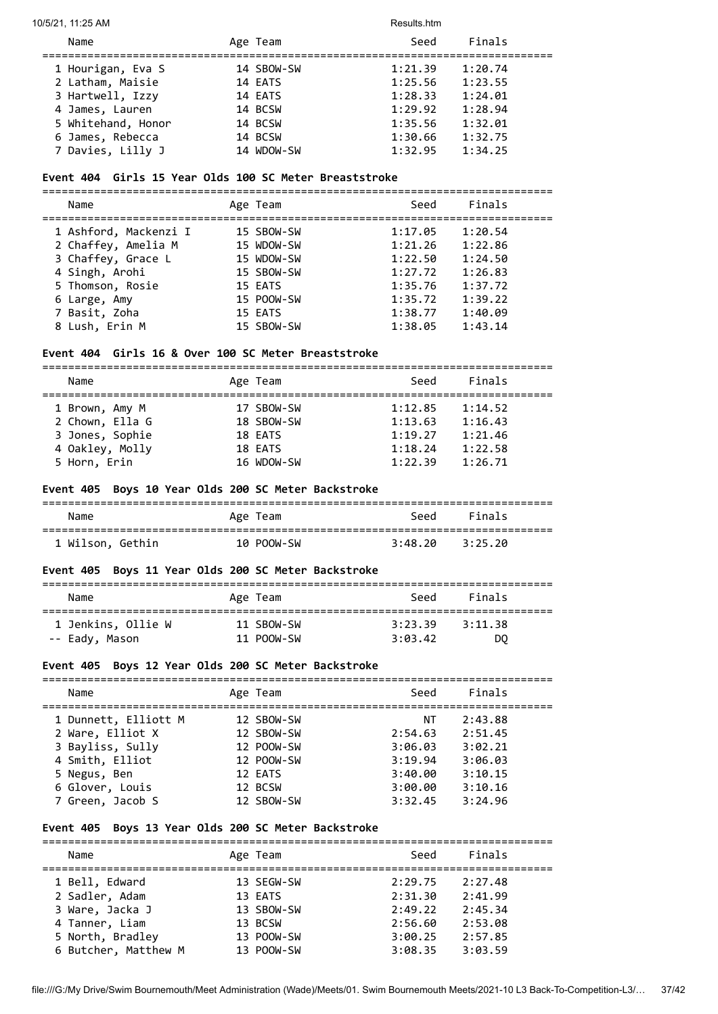10/5/21, 11:25 AM Results.htm

| Name               | Age Team   | Seed    | Finals  |  |
|--------------------|------------|---------|---------|--|
| 1 Hourigan, Eva S  | 14 SBOW-SW | 1:21.39 | 1:20.74 |  |
| 2 Latham, Maisie   | 14 EATS    | 1:25.56 | 1:23.55 |  |
| 3 Hartwell, Izzy   | 14 EATS    | 1:28.33 | 1:24.01 |  |
| 4 James, Lauren    | 14 BCSW    | 1:29.92 | 1:28.94 |  |
| 5 Whitehand, Honor | 14 BCSW    | 1:35.56 | 1:32.01 |  |
| 6 James, Rebecca   | 14 BCSW    | 1:30.66 | 1:32.75 |  |
| 7 Davies, Lilly J  | 14 WDOW-SW | 1:32.95 | 1:34.25 |  |

## **Event 404 Girls 15 Year Olds 100 SC Meter Breaststroke**

| Name                  | Age Team   | Seed    | Finals  |
|-----------------------|------------|---------|---------|
| 1 Ashford, Mackenzi I | 15 SBOW-SW | 1:17.05 | 1:20.54 |
| 2 Chaffey, Amelia M   | 15 WDOW-SW | 1:21.26 | 1:22.86 |
| 3 Chaffey, Grace L    | 15 WDOW-SW | 1:22.50 | 1:24.50 |
| 4 Singh, Arohi        | 15 SBOW-SW | 1:27.72 | 1:26.83 |
| 5 Thomson, Rosie      | 15 EATS    | 1:35.76 | 1:37.72 |
| 6 Large, Amy          | 15 POOW-SW | 1:35.72 | 1:39.22 |
| 7 Basit, Zoha         | 15 EATS    | 1:38.77 | 1:40.09 |
| 8 Lush, Erin M        | 15 SBOW-SW | 1:38.05 | 1:43.14 |

## **Event 404 Girls 16 & Over 100 SC Meter Breaststroke**

| Name            | Age Team   | Seed    | Finals  |
|-----------------|------------|---------|---------|
|                 |            |         |         |
| 1 Brown, Amy M  | 17 SBOW-SW | 1:12.85 | 1:14.52 |
| 2 Chown, Ella G | 18 SBOW-SW | 1:13.63 | 1:16.43 |
| 3 Jones, Sophie | 18 EATS    | 1:19.27 | 1:21.46 |
| 4 Oakley, Molly | 18 EATS    | 1:18.24 | 1:22.58 |
| 5 Horn, Erin    | 16 WDOW-SW | 1:22.39 | 1:26.71 |

## **Event 405 Boys 10 Year Olds 200 SC Meter Backstroke**

| Name             | Age Team   | Seed    | Finals  |  |
|------------------|------------|---------|---------|--|
| 1 Wilson, Gethin | 10 POOW-SW | 3:48.20 | 3:25.20 |  |

## **Event 405 Boys 11 Year Olds 200 SC Meter Backstroke**

| Name               | Age Team   | Seed    | Finals  |  |
|--------------------|------------|---------|---------|--|
| 1 Jenkins, Ollie W | 11 SBOW-SW | 3:23.39 | 3:11.38 |  |
| -- Eady, Mason     | 11 POOW-SW | 3:03.42 | DO      |  |

## **Event 405 Boys 12 Year Olds 200 SC Meter Backstroke**

| Name                 | Age Team   | Seed    | Finals  |
|----------------------|------------|---------|---------|
| 1 Dunnett, Elliott M | 12 SBOW-SW | ΝT      | 2:43.88 |
| 2 Ware, Elliot X     | 12 SBOW-SW | 2:54.63 | 2:51.45 |
| 3 Bayliss, Sully     | 12 POOW-SW | 3:06.03 | 3:02.21 |
| 4 Smith, Elliot      | 12 POOW-SW | 3:19.94 | 3:06.03 |
| 5 Negus, Ben         | 12 EATS    | 3:40.00 | 3:10.15 |
| 6 Glover, Louis      | 12 BCSW    | 3:00.00 | 3:10.16 |
| 7 Green, Jacob S     | 12 SBOW-SW | 3:32.45 | 3:24.96 |

## **Event 405 Boys 13 Year Olds 200 SC Meter Backstroke**

| Name                 | Age Team   | Seed    | Finals  |  |
|----------------------|------------|---------|---------|--|
| 1 Bell, Edward       | 13 SEGW-SW | 2:29.75 | 2:27.48 |  |
| 2 Sadler, Adam       | 13 EATS    | 2:31.30 | 2:41.99 |  |
| 3 Ware, Jacka J      | 13 SBOW-SW | 2:49.22 | 2:45.34 |  |
| 4 Tanner, Liam       | 13 BCSW    | 2:56.60 | 2:53.08 |  |
| 5 North, Bradley     | 13 POOW-SW | 3:00.25 | 2:57.85 |  |
| 6 Butcher, Matthew M | 13 POOW-SW | 3:08.35 | 3:03.59 |  |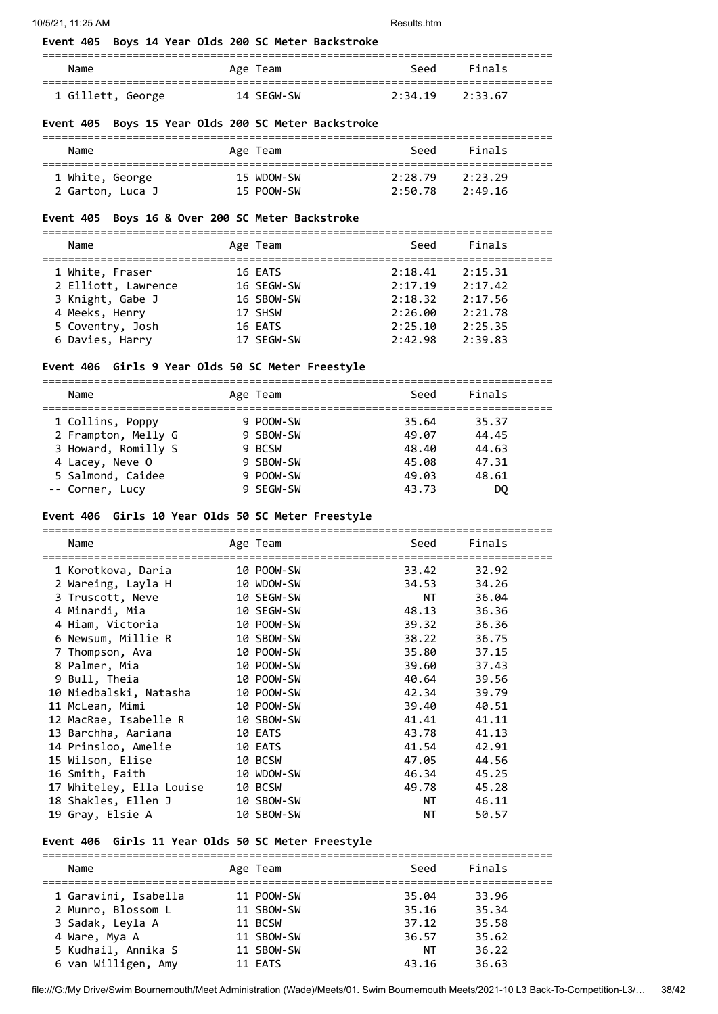#### **Event 405 Boys 14 Year Olds 200 SC Meter Backstroke**

| Name              | Age Team   | Seed                | Finals |  |
|-------------------|------------|---------------------|--------|--|
| 1 Gillett, George | 14 SEGW-SW | $2:34.19$ $2:33.67$ |        |  |

## **Event 405 Boys 15 Year Olds 200 SC Meter Backstroke**

| Name             | Age Team   | Seed    | Finals  |  |
|------------------|------------|---------|---------|--|
| 1 White, George  | 15 WDOW-SW | 2:28.79 | 2:23.29 |  |
| 2 Garton, Luca J | 15 POOW-SW | 2:50.78 | 2:49.16 |  |

## **Event 405 Boys 16 & Over 200 SC Meter Backstroke**

=============================================================================== Name **Age Team** Age Team Seed Finals =============================================================================== 1 White, Fraser 16 EATS 2:18.41 2:15.31

| 2 Elliott, Lawrence | 16 SEGW-SW | 2:17.19 | 2:17.42 |  |
|---------------------|------------|---------|---------|--|
| 3 Knight, Gabe J    | 16 SBOW-SW | 2:18.32 | 2:17.56 |  |
| 4 Meeks, Henry      | 17 SHSW    | 2:26.00 | 2:21.78 |  |
| 5 Coventry, Josh    | 16 EATS    | 2:25.10 | 2:25.35 |  |
| 6 Davies, Harry     | 17 SEGW-SW | 2:42.98 | 2:39.83 |  |

## **Event 406 Girls 9 Year Olds 50 SC Meter Freestyle**

| Name                | Age Team  | Seed  | Finals |
|---------------------|-----------|-------|--------|
| 1 Collins, Poppy    | 9 POOW-SW | 35.64 | 35.37  |
| 2 Frampton, Melly G | 9 SBOW-SW | 49.07 | 44.45  |
| 3 Howard, Romilly S | 9 BCSW    | 48.40 | 44.63  |
| 4 Lacey, Neve O     | 9 SBOW-SW | 45.08 | 47.31  |
| 5 Salmond, Caidee   | 9 POOW-SW | 49.03 | 48.61  |
| -- Corner, Lucy     | 9 SEGW-SW | 43.73 | DO     |

#### **Event 406 Girls 10 Year Olds 50 SC Meter Freestyle**

| Name                     | Age Team   | Seed                                                                                                            | Finals |
|--------------------------|------------|-----------------------------------------------------------------------------------------------------------------|--------|
|                          |            |                                                                                                                 |        |
| 1 Korotkova, Daria       | 10 POOW-SW | 33.42 32.92                                                                                                     |        |
| 2 Wareing, Layla H       | 10 WDOW-SW | 34.53                                                                                                           | 34.26  |
| 3 Truscott, Neve         | 10 SEGW-SW | NT the set of the set of the set of the set of the set of the set of the set of the set of the set of the set o | 36.04  |
| 4 Minardi, Mia           | 10 SEGW-SW | 48.13                                                                                                           | 36.36  |
| 4 Hiam, Victoria         | 10 POOW-SW | 39.32                                                                                                           | 36.36  |
| 6 Newsum, Millie R       | 10 SBOW-SW | 38.22                                                                                                           | 36.75  |
| 7 Thompson, Ava          | 10 POOW-SW | 35.80                                                                                                           | 37.15  |
| 8 Palmer, Mia            | 10 POOW-SW | 39.60                                                                                                           | 37.43  |
| 9 Bull, Theia            | 10 POOW-SW | 40.64                                                                                                           | 39.56  |
| 10 Niedbalski, Natasha   | 10 POOW-SW | 42.34                                                                                                           | 39.79  |
| 11 McLean, Mimi          | 10 POOW-SW | 39.40                                                                                                           | 40.51  |
| 12 MacRae, Isabelle R    | 10 SBOW-SW | 41.41                                                                                                           | 41.11  |
| 13 Barchha, Aariana      | 10 EATS    | 43.78                                                                                                           | 41.13  |
| 14 Prinsloo, Amelie      | 10 EATS    | 41.54                                                                                                           | 42.91  |
| 15 Wilson, Elise         | 10 BCSW    | 47.05                                                                                                           | 44.56  |
| 16 Smith, Faith          | 10 WDOW-SW | 46.34                                                                                                           | 45.25  |
| 17 Whiteley, Ella Louise | 10 BCSW    | 49.78                                                                                                           | 45.28  |
| 18 Shakles, Ellen J      | 10 SBOW-SW | NT <sub>2</sub>                                                                                                 | 46.11  |
| 19 Gray, Elsie A         | 10 SBOW-SW | NT                                                                                                              | 50.57  |
|                          |            |                                                                                                                 |        |

## **Event 406 Girls 11 Year Olds 50 SC Meter Freestyle**

| Name                 | Age Team   | Seed  | Finals |  |
|----------------------|------------|-------|--------|--|
| 1 Garavini, Isabella | 11 POOW-SW | 35.04 | 33.96  |  |
| 2 Munro, Blossom L   | 11 SBOW-SW | 35.16 | 35.34  |  |
| 3 Sadak, Leyla A     | 11 BCSW    | 37.12 | 35.58  |  |
| 4 Ware, Mya A        | 11 SBOW-SW | 36.57 | 35.62  |  |
| 5 Kudhail, Annika S  | 11 SBOW-SW | NΤ    | 36.22  |  |
| 6 van Willigen, Amy  | 11 EATS    | 43.16 | 36.63  |  |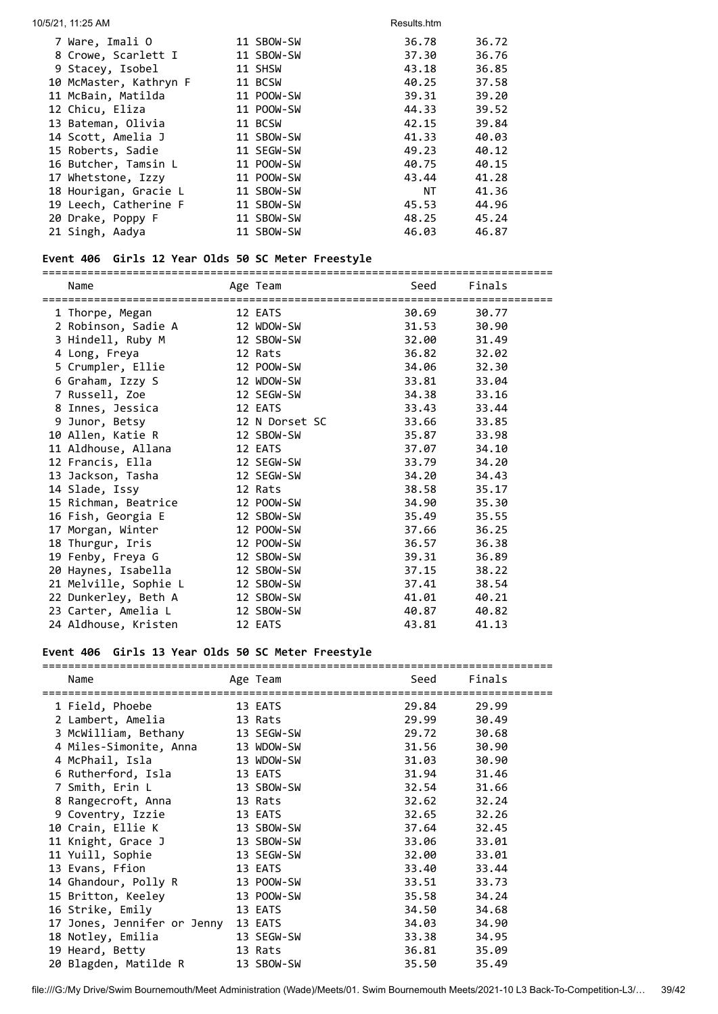| 10/5/21, 11:25 AM      |            | Results.htm |       |
|------------------------|------------|-------------|-------|
| 7 Ware, Imali O        | 11 SBOW-SW | 36.78       | 36.72 |
| 8 Crowe, Scarlett I    | 11 SBOW-SW | 37.30       | 36.76 |
| 9 Stacey, Isobel       | 11 SHSW    | 43.18       | 36.85 |
| 10 McMaster, Kathryn F | 11 BCSW    | 40.25       | 37.58 |
| 11 McBain, Matilda     | 11 POOW-SW | 39.31       | 39.20 |
| 12 Chicu, Eliza        | 11 POOW-SW | 44.33       | 39.52 |
| 13 Bateman, Olivia     | 11 BCSW    | 42.15       | 39.84 |
| 14 Scott, Amelia J     | 11 SBOW-SW | 41.33       | 40.03 |
| 15 Roberts, Sadie      | 11 SEGW-SW | 49.23       | 40.12 |
| 16 Butcher, Tamsin L   | 11 POOW-SW | 40.75       | 40.15 |
| 17 Whetstone, Izzy     | 11 POOW-SW | 43.44       | 41.28 |
| 18 Hourigan, Gracie L  | 11 SBOW-SW | ΝT          | 41.36 |
| 19 Leech, Catherine F  | 11 SBOW-SW | 45.53       | 44.96 |
| 20 Drake, Poppy F      | 11 SBOW-SW | 48.25       | 45.24 |
| 21 Singh, Aadya        | 11 SBOW-SW | 46.03       | 46.87 |

#### **Event 406 Girls 12 Year Olds 50 SC Meter Freestyle**

=============================================================================== Name **Age Team** Age Team Seed Finals =============================================================================== 1 Thorpe, Megan 12 EATS 30.69 30.77 2 Robinson, Sadie A 12 WDOW-SW 31.53 30.90 3 Hindell, Ruby M 12 SBOW-SW 32.00 31.49 4 Long, Freya 12 Rats 36.82 32.02 5 Crumpler, Ellie 12 POOW-SW 34.06 32.30 6 Graham, Izzy S 12 WDOW-SW 33.81 33.04 7 Russell, Zoe 12 SEGW-SW 34.38 33.16 8 Innes, Jessica 12 EATS 33.43 33.44 9 Junor, Betsy 12 N Dorset SC 33.66 33.85 10 Allen, Katie R 12 SBOW-SW 35.87 33.98 11 Aldhouse, Allana 12 EATS 37.07 34.10 12 Francis, Ella 12 SEGW-SW 33.79 34.20 13 Jackson, Tasha 12 SEGW-SW 34.20 34.43 14 Slade, Issy 12 Rats 38.58 35.17 15 Richman, Beatrice 12 POOW-SW 34.90 35.30 16 Fish, Georgia E 12 SBOW-SW 35.49 35.55 17 Morgan, Winter 12 POOW-SW 37.66 36.25 18 Thurgur, Iris 12 POOW-SW 36.57 36.38 19 Fenby, Freya G 12 SBOW-SW 39.31 36.89 20 Haynes, Isabella 12 SBOW-SW 37.15 38.22 21 Melville, Sophie L 12 SBOW-SW 37.41 38.54 22 Dunkerley, Beth A 12 SBOW-SW 41.01 40.21 23 Carter, Amelia L 12 SBOW-SW 40.87 40.82 24 Aldhouse, Kristen 12 EATS 43.81 41.13

#### **Event 406 Girls 13 Year Olds 50 SC Meter Freestyle**

| Name                                | Age Team   | Seed  | Finals |
|-------------------------------------|------------|-------|--------|
| 1 Field, Phoebe                     | 13 EATS    | 29.84 | 29.99  |
| 2 Lambert, Amelia                   | 13 Rats    | 29.99 | 30.49  |
| 3 McWilliam, Bethany                | 13 SEGW-SW | 29.72 | 30.68  |
| 4 Miles-Simonite, Anna              | 13 WDOW-SW | 31.56 | 30.90  |
| 4 McPhail, Isla                     | 13 WDOW-SW | 31.03 | 30.90  |
| 6 Rutherford, Isla                  | 13 EATS    | 31.94 | 31.46  |
| 7 Smith, Erin L                     | 13 SBOW-SW | 32.54 | 31.66  |
| 8 Rangecroft, Anna                  | 13 Rats    | 32.62 | 32.24  |
| 9 Coventry, Izzie                   | 13 EATS    | 32.65 | 32.26  |
| 10 Crain, Ellie K                   | 13 SBOW-SW | 37.64 | 32.45  |
| 11 Knight, Grace J                  | 13 SBOW-SW | 33.06 | 33.01  |
| 11 Yuill, Sophie                    | 13 SEGW-SW | 32.00 | 33.01  |
| 13 Evans, Ffion                     | 13 EATS    | 33.40 | 33.44  |
| 14 Ghandour, Polly R                | 13 POOW-SW | 33.51 | 33.73  |
| 15 Britton, Keeley                  | 13 POOW-SW | 35.58 | 34.24  |
| 16 Strike, Emily                    | 13 EATS    | 34.50 | 34.68  |
| 17 Jones, Jennifer or Jenny 13 EATS |            | 34.03 | 34.90  |
| 18 Notley, Emilia                   | 13 SEGW-SW | 33.38 | 34.95  |
| 19 Heard, Betty                     | 13 Rats    | 36.81 | 35.09  |
| 20 Blagden, Matilde R               | 13 SBOW-SW | 35.50 | 35.49  |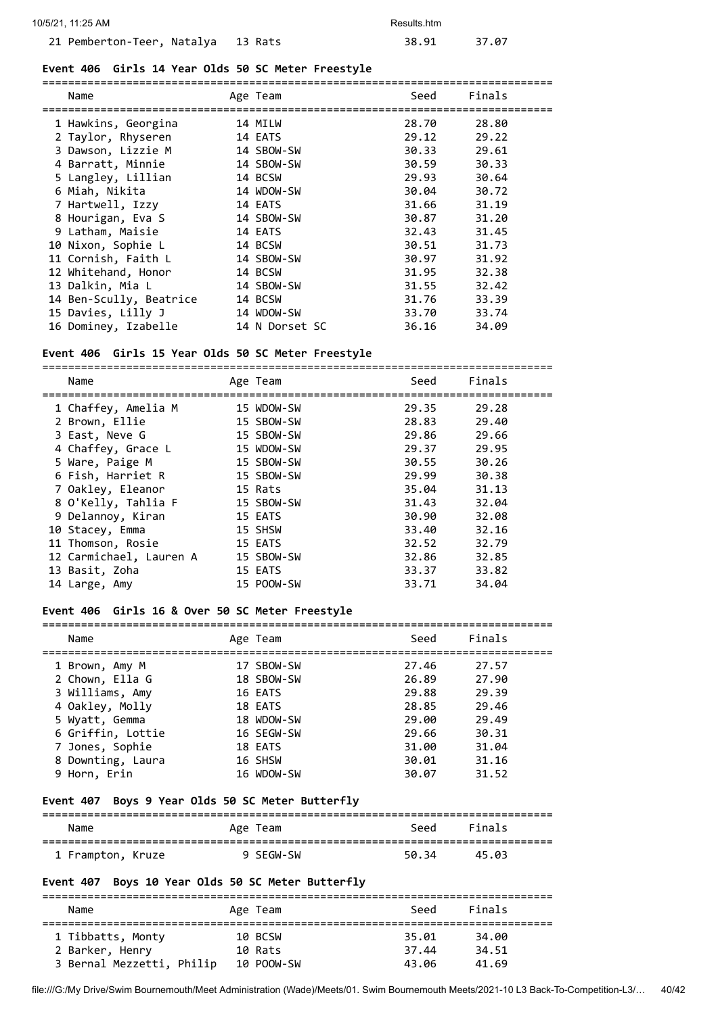## **Event 406 Girls 14 Year Olds 50 SC Meter Freestyle**

| Name<br>=================== | Age Team       | Seed<br>=========================== | Finals |
|-----------------------------|----------------|-------------------------------------|--------|
| 1 Hawkins, Georgina         | 14 MILW        | 28.70                               | 28.80  |
| 2 Taylor, Rhyseren          | 14 EATS        | 29.12                               | 29.22  |
| 3 Dawson, Lizzie M          | 14 SBOW-SW     | 30.33                               | 29.61  |
| 4 Barratt, Minnie           | 14 SBOW-SW     | 30.59                               | 30.33  |
| 5 Langley, Lillian          | 14 BCSW        | 29.93                               | 30.64  |
| 6 Miah, Nikita              | 14 WDOW-SW     | 30.04                               | 30.72  |
| 7 Hartwell, Izzy            | 14 EATS        | 31.66                               | 31.19  |
| 8 Hourigan, Eva S           | 14 SBOW-SW     | 30.87                               | 31.20  |
| 9 Latham, Maisie            | 14 EATS        | 32.43                               | 31.45  |
| 10 Nixon, Sophie L          | 14 BCSW        | 30.51                               | 31.73  |
| 11 Cornish, Faith L         | 14 SBOW-SW     | 30.97                               | 31.92  |
| 12 Whitehand, Honor         | 14 BCSW        | 31.95                               | 32.38  |
| 13 Dalkin, Mia L            | 14 SBOW-SW     | 31.55                               | 32.42  |
| 14 Ben-Scully, Beatrice     | 14 BCSW        | 31.76                               | 33.39  |
| 15 Davies, Lilly J          | 14 WDOW-SW     | 33.70                               | 33.74  |
| 16 Dominey, Izabelle        | 14 N Dorset SC | 36.16                               | 34.09  |

#### **Event 406 Girls 15 Year Olds 50 SC Meter Freestyle**

=============================================================================== Name Age Team Consumers Age Team Seed Finals =============================================================================== 1 Chaffey, Amelia M 15 WDOW-SW 29.35 29.28 2 Brown, Ellie 15 SBOW-SW 28.83 29.40 3 East, Neve G 15 SBOW-SW 29.86 29.66 4 Chaffey, Grace L 15 WDOW-SW 29.37 29.95 5 Ware, Paige M 15 SBOW-SW 30.55 30.26 6 Fish, Harriet R 15 SBOW-SW 29.99 30.38 7 Oakley, Eleanor 15 Rats 35.04 31.13 8 O'Kelly, Tahlia F 15 SBOW-SW 31.43 32.04 9 Delannoy, Kiran 15 EATS 30.90 32.08 10 Stacey, Emma 15 SHSW 33.40 32.16 11 Thomson, Rosie 15 EATS 32.52 32.79 12 Carmichael, Lauren A 15 SBOW-SW 32.86 32.85 13 Basit, Zoha 15 EATS 33.37 33.82 14 Large, Amy 15 POOW-SW 33.71 34.04

#### **Event 406 Girls 16 & Over 50 SC Meter Freestyle**

| Name              | Age Team   | Seed  | Finals |
|-------------------|------------|-------|--------|
| 1 Brown, Amy M    | 17 SBOW-SW | 27.46 | 27.57  |
| 2 Chown, Ella G   | 18 SBOW-SW | 26.89 | 27.90  |
| 3 Williams, Amy   | 16 EATS    | 29.88 | 29.39  |
| 4 Oakley, Molly   | 18 EATS    | 28.85 | 29.46  |
| 5 Wyatt, Gemma    | 18 WDOW-SW | 29.00 | 29.49  |
| 6 Griffin, Lottie | 16 SEGW-SW | 29.66 | 30.31  |
| 7 Jones, Sophie   | 18 EATS    | 31.00 | 31.04  |
| 8 Downting, Laura | 16 SHSW    | 30.01 | 31.16  |
| 9 Horn, Erin      | 16 WDOW-SW | 30.07 | 31.52  |

#### **Event 407 Boys 9 Year Olds 50 SC Meter Butterfly**

#### =============================================================================== Name **Age Team** Age Team Seed Finals =============================================================================== 1 Frampton, Kruze 9 SEGW-SW 50.34 45.03

#### **Event 407 Boys 10 Year Olds 50 SC Meter Butterfly**

=============================================================================== Name **Age Team** Age Team Seed Finals =============================================================================== 1 Tibbatts, Monty 10 BCSW 35.01 34.00 2 Barker, Henry 10 Rats 37.44 34.51 3 Bernal Mezzetti, Philip 10 POOW-SW 43.06 41.69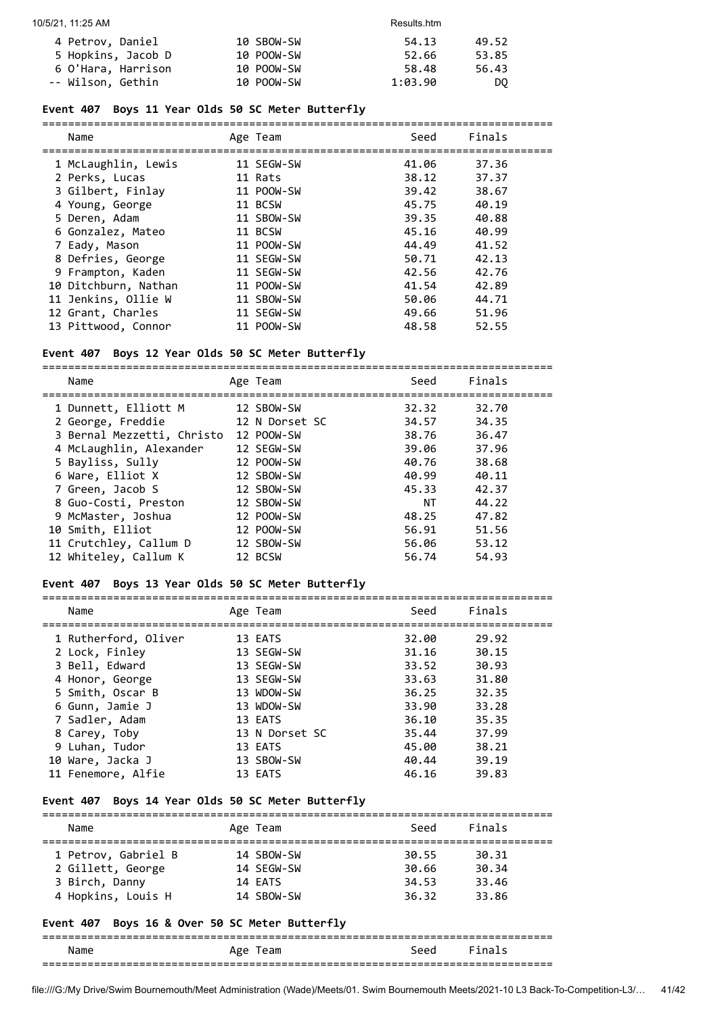| 4 Petrov, Daniel   | 10 SBOW-SW | 54.13   | 49.52 |
|--------------------|------------|---------|-------|
| 5 Hopkins, Jacob D | 10 POOW-SW | 52.66   | 53.85 |
| 6 O'Hara, Harrison | 10 POOW-SW | 58.48   | 56.43 |
| -- Wilson, Gethin  | 10 POOW-SW | 1:03.90 | DO.   |

#### **Event 407 Boys 11 Year Olds 50 SC Meter Butterfly**

| Name                 | Age Team   | Seed  | Finals |
|----------------------|------------|-------|--------|
| 1 McLaughlin, Lewis  | 11 SEGW-SW | 41.06 | 37.36  |
| 2 Perks, Lucas       | 11 Rats    | 38.12 | 37.37  |
| 3 Gilbert, Finlay    | 11 POOW-SW | 39.42 | 38.67  |
| 4 Young, George      | 11 BCSW    | 45.75 | 40.19  |
| 5 Deren, Adam        | 11 SBOW-SW | 39.35 | 40.88  |
| 6 Gonzalez, Mateo    | 11 BCSW    | 45.16 | 40.99  |
| 7 Eady, Mason        | 11 POOW-SW | 44.49 | 41.52  |
| 8 Defries, George    | 11 SEGW-SW | 50.71 | 42.13  |
| 9 Frampton, Kaden    | 11 SEGW-SW | 42.56 | 42.76  |
| 10 Ditchburn, Nathan | 11 POOW-SW | 41.54 | 42.89  |
| 11 Jenkins, Ollie W  | 11 SBOW-SW | 50.06 | 44.71  |
| 12 Grant, Charles    | 11 SEGW-SW | 49.66 | 51.96  |
| 13 Pittwood, Connor  | 11 POOW-SW | 48.58 | 52.55  |

#### **Event 407 Boys 12 Year Olds 50 SC Meter Butterfly**

=============================================================================== Name **Age Team** Age Team Seed Finals =============================================================================== 1 Dunnett, Elliott M 12 SBOW-SW 32.32 32.70 2 George, Freddie 12 N Dorset SC 34.57 34.35 3 Bernal Mezzetti, Christo 12 POOW-SW 38.76 36.47 4 McLaughlin, Alexander 12 SEGW-SW 39.06 37.96 5 Bayliss, Sully 12 POOW-SW 40.76 38.68 6 Ware, Elliot X 12 SBOW-SW 40.99 40.11 7 Green, Jacob S 12 SBOW-SW 45.33 42.37 8 Guo-Costi, Preston 12 SBOW-SW NT 44.22 9 McMaster, Joshua 12 POOW-SW 48.25 47.82 10 Smith, Elliot 12 POOW-SW 56.91 51.56 11 Crutchley, Callum D 12 SBOW-SW 56.06 53.12 12 Whiteley, Callum K 12 BCSW 56.74 54.93

#### **Event 407 Boys 13 Year Olds 50 SC Meter Butterfly**

| Name |                                                                                                                                                                                                                   | Seed                                                                                                                                                       | Finals |
|------|-------------------------------------------------------------------------------------------------------------------------------------------------------------------------------------------------------------------|------------------------------------------------------------------------------------------------------------------------------------------------------------|--------|
|      |                                                                                                                                                                                                                   | 32.00                                                                                                                                                      | 29.92  |
|      |                                                                                                                                                                                                                   | 31.16                                                                                                                                                      | 30.15  |
|      |                                                                                                                                                                                                                   | 33.52                                                                                                                                                      | 30.93  |
|      |                                                                                                                                                                                                                   | 33.63                                                                                                                                                      | 31.80  |
|      |                                                                                                                                                                                                                   | 36.25                                                                                                                                                      | 32.35  |
|      |                                                                                                                                                                                                                   | 33.90                                                                                                                                                      | 33.28  |
|      |                                                                                                                                                                                                                   | 36.10                                                                                                                                                      | 35.35  |
|      |                                                                                                                                                                                                                   | 35.44                                                                                                                                                      | 37.99  |
|      |                                                                                                                                                                                                                   | 45.00                                                                                                                                                      | 38.21  |
|      |                                                                                                                                                                                                                   | 40.44                                                                                                                                                      | 39.19  |
|      |                                                                                                                                                                                                                   | 46.16                                                                                                                                                      | 39.83  |
|      | 1 Rutherford, Oliver<br>2 Lock, Finley<br>3 Bell, Edward<br>4 Honor, George<br>5 Smith, Oscar B<br>6 Gunn, Jamie J<br>7 Sadler, Adam<br>8 Carey, Toby<br>9 Luhan, Tudor<br>10 Ware, Jacka J<br>11 Fenemore, Alfie | Age Team<br>13 EATS<br>13 SEGW-SW<br>13 SEGW-SW<br>13 SEGW-SW<br>13 WDOW-SW<br>13 WDOW-SW<br>13 EATS<br>13 N Dorset SC<br>13 EATS<br>13 SBOW-SW<br>13 EATS |        |

#### **Event 407 Boys 14 Year Olds 50 SC Meter Butterfly**

| Name                | Age Team   | Seed  | Finals |  |
|---------------------|------------|-------|--------|--|
| 1 Petrov, Gabriel B | 14 SBOW-SW | 30.55 | 30.31  |  |
| 2 Gillett, George   | 14 SFGW-SW | 30.66 | 30.34  |  |
| 3 Birch, Danny      | 14 EATS    | 34.53 | 33.46  |  |
| 4 Hopkins, Louis H  | 14 SBOW-SW | 36.32 | 33.86  |  |

#### **Event 407 Boys 16 & Over 50 SC Meter Butterfly**

#### =============================================================================== Age Team Seed Finals ===============================================================================